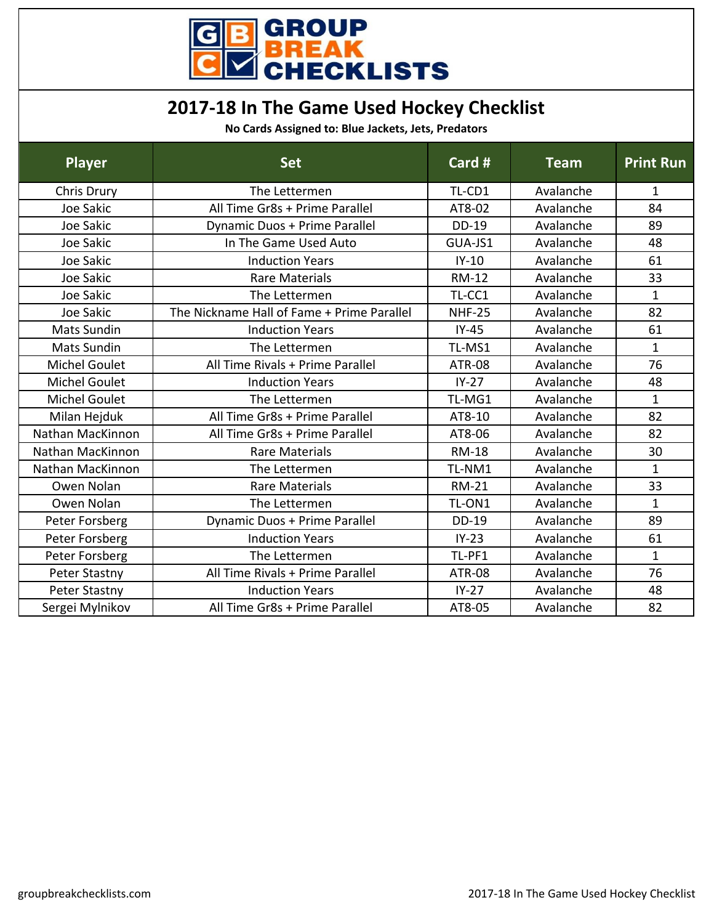

## **2017-18 In The Game Used Hockey Checklist**

**No Cards Assigned to: Blue Jackets, Jets, Predators**

| <b>Player</b>        | <b>Set</b>                                 | Card #        | <b>Team</b> | <b>Print Run</b> |
|----------------------|--------------------------------------------|---------------|-------------|------------------|
| Chris Drury          | The Lettermen                              | TL-CD1        | Avalanche   | 1                |
| Joe Sakic            | All Time Gr8s + Prime Parallel             | AT8-02        | Avalanche   | 84               |
| Joe Sakic            | Dynamic Duos + Prime Parallel              | DD-19         | Avalanche   | 89               |
| Joe Sakic            | In The Game Used Auto                      | GUA-JS1       | Avalanche   | 48               |
| Joe Sakic            | <b>Induction Years</b>                     | $IY-10$       | Avalanche   | 61               |
| Joe Sakic            | <b>Rare Materials</b>                      | <b>RM-12</b>  | Avalanche   | 33               |
| Joe Sakic            | The Lettermen                              | TL-CC1        | Avalanche   | $\mathbf 1$      |
| Joe Sakic            | The Nickname Hall of Fame + Prime Parallel | <b>NHF-25</b> | Avalanche   | 82               |
| <b>Mats Sundin</b>   | <b>Induction Years</b>                     | $IY-45$       | Avalanche   | 61               |
| <b>Mats Sundin</b>   | The Lettermen                              | TL-MS1        | Avalanche   | $\mathbf{1}$     |
| <b>Michel Goulet</b> | All Time Rivals + Prime Parallel           | <b>ATR-08</b> | Avalanche   | 76               |
| <b>Michel Goulet</b> | <b>Induction Years</b>                     | $IY-27$       | Avalanche   | 48               |
| <b>Michel Goulet</b> | The Lettermen                              | TL-MG1        | Avalanche   | $\mathbf{1}$     |
| Milan Hejduk         | All Time Gr8s + Prime Parallel             | AT8-10        | Avalanche   | 82               |
| Nathan MacKinnon     | All Time Gr8s + Prime Parallel             | AT8-06        | Avalanche   | 82               |
| Nathan MacKinnon     | <b>Rare Materials</b>                      | <b>RM-18</b>  | Avalanche   | 30               |
| Nathan MacKinnon     | The Lettermen                              | TL-NM1        | Avalanche   | $\mathbf{1}$     |
| Owen Nolan           | <b>Rare Materials</b>                      | <b>RM-21</b>  | Avalanche   | 33               |
| Owen Nolan           | The Lettermen                              | TL-ON1        | Avalanche   | $\mathbf{1}$     |
| Peter Forsberg       | Dynamic Duos + Prime Parallel              | DD-19         | Avalanche   | 89               |
| Peter Forsberg       | <b>Induction Years</b>                     | $IY-23$       | Avalanche   | 61               |
| Peter Forsberg       | The Lettermen                              | TL-PF1        | Avalanche   | $\mathbf{1}$     |
| Peter Stastny        | All Time Rivals + Prime Parallel           | <b>ATR-08</b> | Avalanche   | 76               |
| Peter Stastny        | <b>Induction Years</b>                     | $IY-27$       | Avalanche   | 48               |
| Sergei Mylnikov      | All Time Gr8s + Prime Parallel             | AT8-05        | Avalanche   | 82               |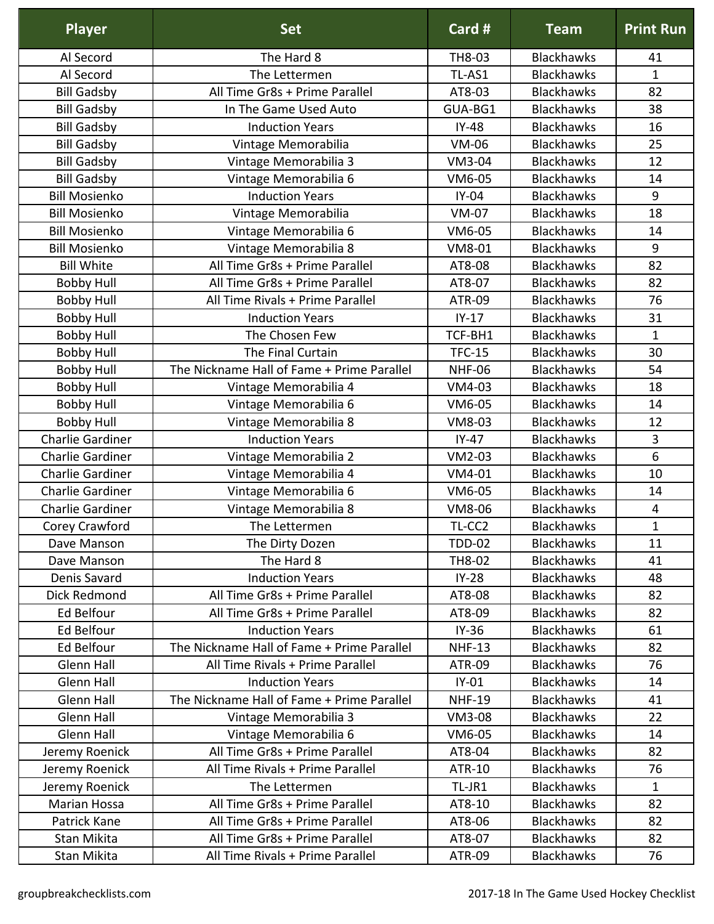| <b>Player</b>        | <b>Set</b>                                 | Card #        | <b>Team</b>       | <b>Print Run</b> |
|----------------------|--------------------------------------------|---------------|-------------------|------------------|
| Al Secord            | The Hard 8                                 | TH8-03        | <b>Blackhawks</b> | 41               |
| Al Secord            | The Lettermen                              | TL-AS1        | <b>Blackhawks</b> | $\mathbf 1$      |
| <b>Bill Gadsby</b>   | All Time Gr8s + Prime Parallel             | AT8-03        | <b>Blackhawks</b> | 82               |
| <b>Bill Gadsby</b>   | In The Game Used Auto                      | GUA-BG1       | <b>Blackhawks</b> | 38               |
| <b>Bill Gadsby</b>   | <b>Induction Years</b>                     | $IY-48$       | <b>Blackhawks</b> | 16               |
| <b>Bill Gadsby</b>   | Vintage Memorabilia                        | <b>VM-06</b>  | <b>Blackhawks</b> | 25               |
| <b>Bill Gadsby</b>   | Vintage Memorabilia 3                      | VM3-04        | <b>Blackhawks</b> | 12               |
| <b>Bill Gadsby</b>   | Vintage Memorabilia 6                      | VM6-05        | <b>Blackhawks</b> | 14               |
| <b>Bill Mosienko</b> | <b>Induction Years</b>                     | $IY-04$       | <b>Blackhawks</b> | 9                |
| <b>Bill Mosienko</b> | Vintage Memorabilia                        | <b>VM-07</b>  | <b>Blackhawks</b> | 18               |
| <b>Bill Mosienko</b> | Vintage Memorabilia 6                      | VM6-05        | <b>Blackhawks</b> | 14               |
| <b>Bill Mosienko</b> | Vintage Memorabilia 8                      | VM8-01        | <b>Blackhawks</b> | 9                |
| <b>Bill White</b>    | All Time Gr8s + Prime Parallel             | AT8-08        | <b>Blackhawks</b> | 82               |
| <b>Bobby Hull</b>    | All Time Gr8s + Prime Parallel             | AT8-07        | <b>Blackhawks</b> | 82               |
| <b>Bobby Hull</b>    | All Time Rivals + Prime Parallel           | <b>ATR-09</b> | <b>Blackhawks</b> | 76               |
| <b>Bobby Hull</b>    | <b>Induction Years</b>                     | $IY-17$       | <b>Blackhawks</b> | 31               |
| <b>Bobby Hull</b>    | The Chosen Few                             | TCF-BH1       | <b>Blackhawks</b> | $\mathbf 1$      |
| <b>Bobby Hull</b>    | The Final Curtain                          | <b>TFC-15</b> | <b>Blackhawks</b> | 30               |
| <b>Bobby Hull</b>    | The Nickname Hall of Fame + Prime Parallel | <b>NHF-06</b> | <b>Blackhawks</b> | 54               |
| <b>Bobby Hull</b>    | Vintage Memorabilia 4                      | VM4-03        | <b>Blackhawks</b> | 18               |
| <b>Bobby Hull</b>    | Vintage Memorabilia 6                      | VM6-05        | <b>Blackhawks</b> | 14               |
| <b>Bobby Hull</b>    | Vintage Memorabilia 8                      | VM8-03        | <b>Blackhawks</b> | 12               |
| Charlie Gardiner     | <b>Induction Years</b>                     | $IY-47$       | <b>Blackhawks</b> | 3                |
| Charlie Gardiner     | Vintage Memorabilia 2                      | VM2-03        | <b>Blackhawks</b> | 6                |
| Charlie Gardiner     | Vintage Memorabilia 4                      | VM4-01        | <b>Blackhawks</b> | 10               |
| Charlie Gardiner     | Vintage Memorabilia 6                      | VM6-05        | <b>Blackhawks</b> | 14               |
| Charlie Gardiner     | Vintage Memorabilia 8                      | VM8-06        | <b>Blackhawks</b> | 4                |
| Corey Crawford       | The Lettermen                              | TL-CC2        | <b>Blackhawks</b> | $\mathbf{1}$     |
| Dave Manson          | The Dirty Dozen                            | <b>TDD-02</b> | <b>Blackhawks</b> | 11               |
| Dave Manson          | The Hard 8                                 | TH8-02        | <b>Blackhawks</b> | 41               |
| Denis Savard         | <b>Induction Years</b>                     | $IY-28$       | <b>Blackhawks</b> | 48               |
| Dick Redmond         | All Time Gr8s + Prime Parallel             | AT8-08        | <b>Blackhawks</b> | 82               |
| <b>Ed Belfour</b>    | All Time Gr8s + Prime Parallel             | AT8-09        | <b>Blackhawks</b> | 82               |
| Ed Belfour           | <b>Induction Years</b>                     | $IY-36$       | <b>Blackhawks</b> | 61               |
| Ed Belfour           | The Nickname Hall of Fame + Prime Parallel | <b>NHF-13</b> | <b>Blackhawks</b> | 82               |
| Glenn Hall           | All Time Rivals + Prime Parallel           | ATR-09        | <b>Blackhawks</b> | 76               |
| <b>Glenn Hall</b>    | <b>Induction Years</b>                     | $IY-01$       | <b>Blackhawks</b> | 14               |
| Glenn Hall           | The Nickname Hall of Fame + Prime Parallel | <b>NHF-19</b> | <b>Blackhawks</b> | 41               |
| Glenn Hall           | Vintage Memorabilia 3                      | <b>VM3-08</b> | <b>Blackhawks</b> | 22               |
| Glenn Hall           | Vintage Memorabilia 6                      | VM6-05        | <b>Blackhawks</b> | 14               |
| Jeremy Roenick       | All Time Gr8s + Prime Parallel             | AT8-04        | <b>Blackhawks</b> | 82               |
| Jeremy Roenick       | All Time Rivals + Prime Parallel           | ATR-10        | <b>Blackhawks</b> | 76               |
| Jeremy Roenick       | The Lettermen                              | TL-JR1        | <b>Blackhawks</b> | $\mathbf{1}$     |
| Marian Hossa         | All Time Gr8s + Prime Parallel             | AT8-10        | <b>Blackhawks</b> | 82               |
| Patrick Kane         | All Time Gr8s + Prime Parallel             | AT8-06        | <b>Blackhawks</b> | 82               |
| Stan Mikita          | All Time Gr8s + Prime Parallel             | AT8-07        | <b>Blackhawks</b> | 82               |
| Stan Mikita          | All Time Rivals + Prime Parallel           | ATR-09        | <b>Blackhawks</b> | 76               |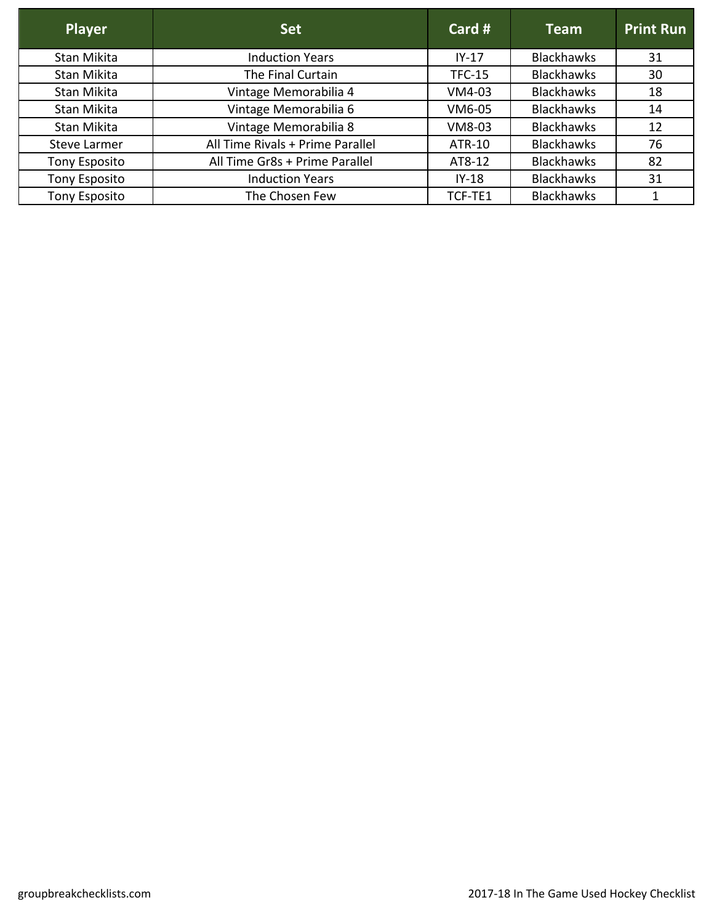| <b>Player</b>        | <b>Set</b>                       | Card $#$      | <b>Team</b>       | <b>Print Run</b> |
|----------------------|----------------------------------|---------------|-------------------|------------------|
| Stan Mikita          | <b>Induction Years</b>           | $IY-17$       | <b>Blackhawks</b> | 31               |
| Stan Mikita          | The Final Curtain                | <b>TFC-15</b> | <b>Blackhawks</b> | 30               |
| Stan Mikita          | Vintage Memorabilia 4            | VM4-03        | <b>Blackhawks</b> | 18               |
| Stan Mikita          | Vintage Memorabilia 6            | VM6-05        | <b>Blackhawks</b> | 14               |
| Stan Mikita          | Vintage Memorabilia 8            | VM8-03        | <b>Blackhawks</b> | 12               |
| Steve Larmer         | All Time Rivals + Prime Parallel | ATR-10        | <b>Blackhawks</b> | 76               |
| <b>Tony Esposito</b> | All Time Gr8s + Prime Parallel   | AT8-12        | <b>Blackhawks</b> | 82               |
| <b>Tony Esposito</b> | <b>Induction Years</b>           | $IY-18$       | <b>Blackhawks</b> | 31               |
| <b>Tony Esposito</b> | The Chosen Few                   | TCF-TE1       | <b>Blackhawks</b> |                  |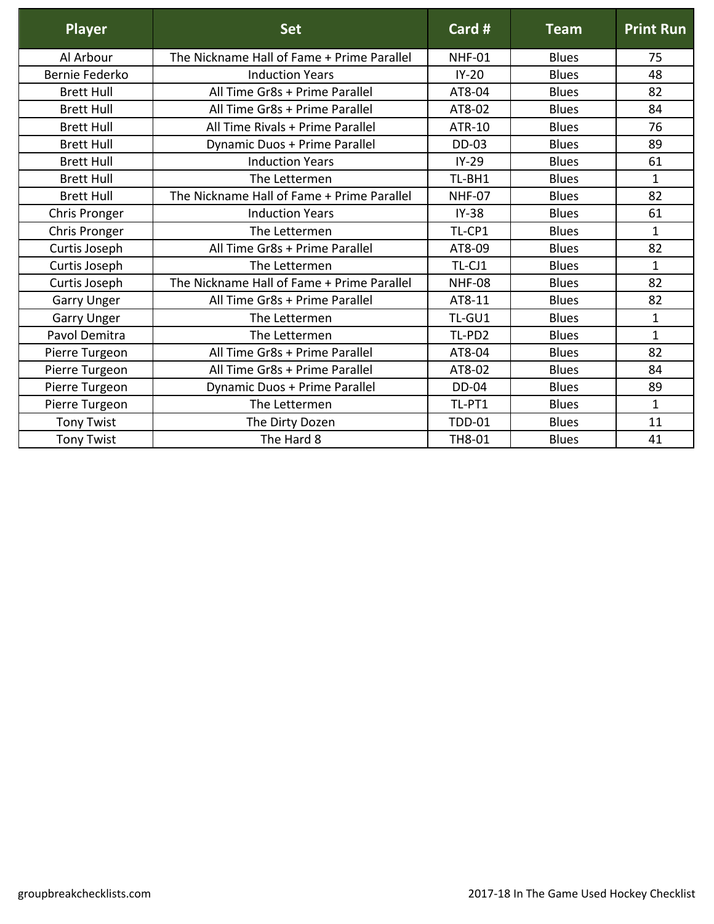| <b>Player</b>      | <b>Set</b>                                 | Card #        | <b>Team</b>  | <b>Print Run</b> |
|--------------------|--------------------------------------------|---------------|--------------|------------------|
| Al Arbour          | The Nickname Hall of Fame + Prime Parallel | NHF-01        | <b>Blues</b> | 75               |
| Bernie Federko     | <b>Induction Years</b>                     | $IY-20$       | <b>Blues</b> | 48               |
| <b>Brett Hull</b>  | All Time Gr8s + Prime Parallel             | AT8-04        | <b>Blues</b> | 82               |
| <b>Brett Hull</b>  | All Time Gr8s + Prime Parallel             | AT8-02        | <b>Blues</b> | 84               |
| <b>Brett Hull</b>  | All Time Rivals + Prime Parallel           | <b>ATR-10</b> | <b>Blues</b> | 76               |
| <b>Brett Hull</b>  | Dynamic Duos + Prime Parallel              | <b>DD-03</b>  | <b>Blues</b> | 89               |
| <b>Brett Hull</b>  | <b>Induction Years</b>                     | $IY-29$       | <b>Blues</b> | 61               |
| <b>Brett Hull</b>  | The Lettermen                              | TL-BH1        | <b>Blues</b> | $\mathbf{1}$     |
| <b>Brett Hull</b>  | The Nickname Hall of Fame + Prime Parallel | <b>NHF-07</b> | <b>Blues</b> | 82               |
| Chris Pronger      | <b>Induction Years</b>                     | $IY-38$       | <b>Blues</b> | 61               |
| Chris Pronger      | The Lettermen                              | TL-CP1        | <b>Blues</b> | $\mathbf{1}$     |
| Curtis Joseph      | All Time Gr8s + Prime Parallel             | AT8-09        | <b>Blues</b> | 82               |
| Curtis Joseph      | The Lettermen                              | TL-CJ1        | <b>Blues</b> | 1                |
| Curtis Joseph      | The Nickname Hall of Fame + Prime Parallel | <b>NHF-08</b> | <b>Blues</b> | 82               |
| <b>Garry Unger</b> | All Time Gr8s + Prime Parallel             | AT8-11        | <b>Blues</b> | 82               |
| <b>Garry Unger</b> | The Lettermen                              | TL-GU1        | <b>Blues</b> | $\mathbf{1}$     |
| Pavol Demitra      | The Lettermen                              | TL-PD2        | <b>Blues</b> | $\mathbf{1}$     |
| Pierre Turgeon     | All Time Gr8s + Prime Parallel             | AT8-04        | <b>Blues</b> | 82               |
| Pierre Turgeon     | All Time Gr8s + Prime Parallel             | AT8-02        | <b>Blues</b> | 84               |
| Pierre Turgeon     | Dynamic Duos + Prime Parallel              | <b>DD-04</b>  | <b>Blues</b> | 89               |
| Pierre Turgeon     | The Lettermen                              | TL-PT1        | <b>Blues</b> | $\mathbf{1}$     |
| <b>Tony Twist</b>  | The Dirty Dozen                            | <b>TDD-01</b> | <b>Blues</b> | 11               |
| <b>Tony Twist</b>  | The Hard 8                                 | TH8-01        | <b>Blues</b> | 41               |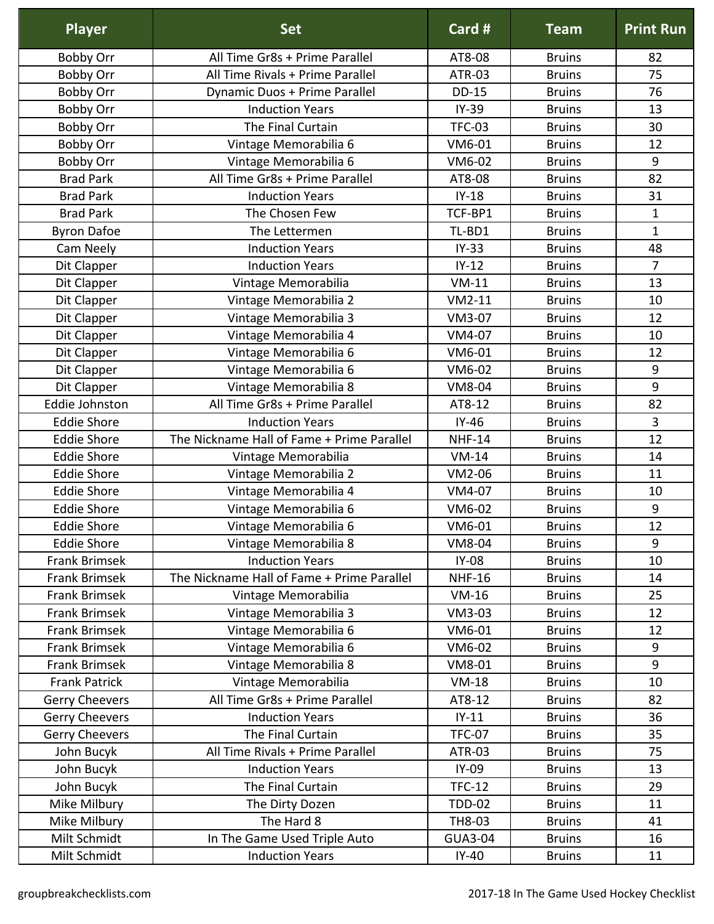| <b>Player</b>         | <b>Set</b>                                 | Card #         | <b>Team</b>   | <b>Print Run</b> |
|-----------------------|--------------------------------------------|----------------|---------------|------------------|
| <b>Bobby Orr</b>      | All Time Gr8s + Prime Parallel             | AT8-08         | <b>Bruins</b> | 82               |
| <b>Bobby Orr</b>      | All Time Rivals + Prime Parallel           | <b>ATR-03</b>  | <b>Bruins</b> | 75               |
| <b>Bobby Orr</b>      | Dynamic Duos + Prime Parallel              | <b>DD-15</b>   | <b>Bruins</b> | 76               |
| Bobby Orr             | <b>Induction Years</b>                     | $IY-39$        | <b>Bruins</b> | 13               |
| <b>Bobby Orr</b>      | The Final Curtain                          | <b>TFC-03</b>  | <b>Bruins</b> | 30               |
| <b>Bobby Orr</b>      | Vintage Memorabilia 6                      | VM6-01         | <b>Bruins</b> | 12               |
| <b>Bobby Orr</b>      | Vintage Memorabilia 6                      | VM6-02         | <b>Bruins</b> | 9                |
| <b>Brad Park</b>      | All Time Gr8s + Prime Parallel             | AT8-08         | <b>Bruins</b> | 82               |
| <b>Brad Park</b>      | <b>Induction Years</b>                     | $IY-18$        | <b>Bruins</b> | 31               |
| <b>Brad Park</b>      | The Chosen Few                             | TCF-BP1        | <b>Bruins</b> | $\mathbf{1}$     |
| <b>Byron Dafoe</b>    | The Lettermen                              | TL-BD1         | <b>Bruins</b> | $\mathbf{1}$     |
| Cam Neely             | <b>Induction Years</b>                     | $IY-33$        | <b>Bruins</b> | 48               |
| Dit Clapper           | <b>Induction Years</b>                     | $IY-12$        | <b>Bruins</b> | $\overline{7}$   |
| Dit Clapper           | Vintage Memorabilia                        | $VM-11$        | <b>Bruins</b> | 13               |
| Dit Clapper           | Vintage Memorabilia 2                      | $VM2-11$       | <b>Bruins</b> | 10               |
| Dit Clapper           | Vintage Memorabilia 3                      | VM3-07         | <b>Bruins</b> | 12               |
| Dit Clapper           | Vintage Memorabilia 4                      | VM4-07         | <b>Bruins</b> | 10               |
| Dit Clapper           | Vintage Memorabilia 6                      | VM6-01         | <b>Bruins</b> | 12               |
| Dit Clapper           | Vintage Memorabilia 6                      | VM6-02         | <b>Bruins</b> | $\boldsymbol{9}$ |
| Dit Clapper           | Vintage Memorabilia 8                      | <b>VM8-04</b>  | <b>Bruins</b> | 9                |
| <b>Eddie Johnston</b> | All Time Gr8s + Prime Parallel             | AT8-12         | <b>Bruins</b> | 82               |
| <b>Eddie Shore</b>    | <b>Induction Years</b>                     | $IY-46$        | <b>Bruins</b> | 3                |
| <b>Eddie Shore</b>    | The Nickname Hall of Fame + Prime Parallel | <b>NHF-14</b>  | <b>Bruins</b> | 12               |
| <b>Eddie Shore</b>    | Vintage Memorabilia                        | $VM-14$        | <b>Bruins</b> | 14               |
| <b>Eddie Shore</b>    | Vintage Memorabilia 2                      | VM2-06         | <b>Bruins</b> | 11               |
| <b>Eddie Shore</b>    | Vintage Memorabilia 4                      | VM4-07         | <b>Bruins</b> | 10               |
| <b>Eddie Shore</b>    | Vintage Memorabilia 6                      | VM6-02         | <b>Bruins</b> | 9                |
| <b>Eddie Shore</b>    | Vintage Memorabilia 6                      | VM6-01         | <b>Bruins</b> | 12               |
| <b>Eddie Shore</b>    | Vintage Memorabilia 8                      | <b>VM8-04</b>  | <b>Bruins</b> | 9                |
| <b>Frank Brimsek</b>  | <b>Induction Years</b>                     | <b>IY-08</b>   | <b>Bruins</b> | 10               |
| <b>Frank Brimsek</b>  | The Nickname Hall of Fame + Prime Parallel | <b>NHF-16</b>  | <b>Bruins</b> | 14               |
| <b>Frank Brimsek</b>  | Vintage Memorabilia                        | $VM-16$        | <b>Bruins</b> | 25               |
| <b>Frank Brimsek</b>  | Vintage Memorabilia 3                      | VM3-03         | <b>Bruins</b> | 12               |
| <b>Frank Brimsek</b>  | Vintage Memorabilia 6                      | VM6-01         | <b>Bruins</b> | 12               |
| <b>Frank Brimsek</b>  | Vintage Memorabilia 6                      | VM6-02         | <b>Bruins</b> | $9\,$            |
| <b>Frank Brimsek</b>  | Vintage Memorabilia 8                      | VM8-01         | <b>Bruins</b> | 9                |
| <b>Frank Patrick</b>  | Vintage Memorabilia                        | $VM-18$        | <b>Bruins</b> | 10               |
| <b>Gerry Cheevers</b> | All Time Gr8s + Prime Parallel             | AT8-12         | <b>Bruins</b> | 82               |
| <b>Gerry Cheevers</b> | <b>Induction Years</b>                     | $IY-11$        | <b>Bruins</b> | 36               |
| <b>Gerry Cheevers</b> | The Final Curtain                          | <b>TFC-07</b>  | <b>Bruins</b> | 35               |
| John Bucyk            | All Time Rivals + Prime Parallel           | ATR-03         | <b>Bruins</b> | 75               |
| John Bucyk            | <b>Induction Years</b>                     | IY-09          | <b>Bruins</b> | 13               |
| John Bucyk            | The Final Curtain                          | <b>TFC-12</b>  | <b>Bruins</b> | 29               |
| Mike Milbury          | The Dirty Dozen                            | <b>TDD-02</b>  | <b>Bruins</b> | 11               |
| Mike Milbury          | The Hard 8                                 | TH8-03         | <b>Bruins</b> | 41               |
| Milt Schmidt          | In The Game Used Triple Auto               | <b>GUA3-04</b> | <b>Bruins</b> | 16               |
| Milt Schmidt          | <b>Induction Years</b>                     | $IY-40$        | <b>Bruins</b> | 11               |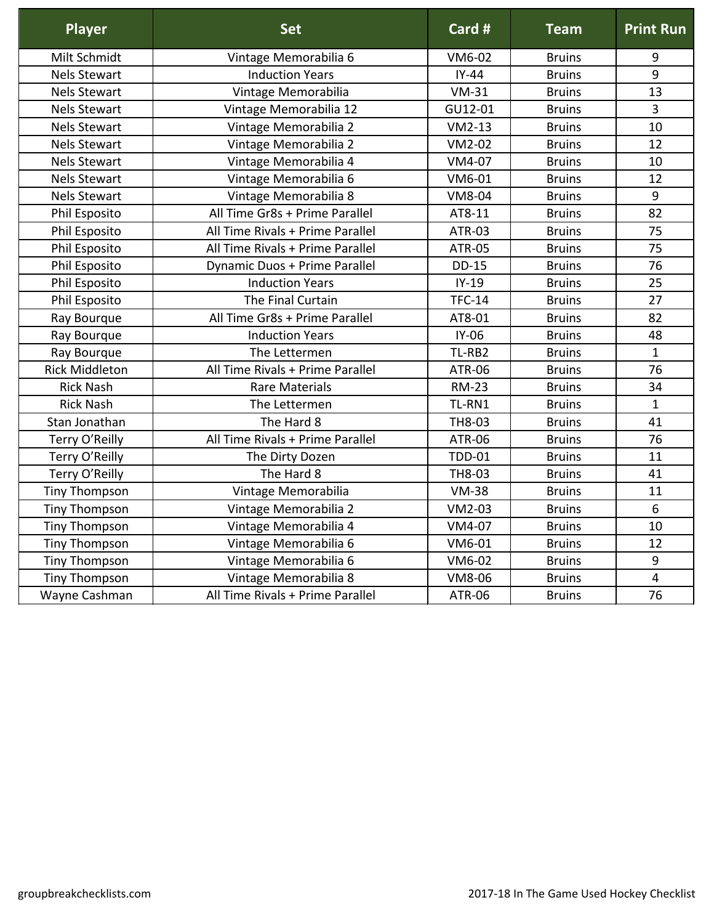| <b>Player</b>         | <b>Set</b>                       | Card #        | <b>Team</b>   | <b>Print Run</b> |
|-----------------------|----------------------------------|---------------|---------------|------------------|
| Milt Schmidt          | Vintage Memorabilia 6            | VM6-02        | <b>Bruins</b> | 9                |
| <b>Nels Stewart</b>   | <b>Induction Years</b>           | $IY-44$       | <b>Bruins</b> | 9                |
| <b>Nels Stewart</b>   | Vintage Memorabilia              | $VM-31$       | <b>Bruins</b> | 13               |
| <b>Nels Stewart</b>   | Vintage Memorabilia 12           | GU12-01       | <b>Bruins</b> | 3                |
| <b>Nels Stewart</b>   | Vintage Memorabilia 2            | $VM2-13$      | <b>Bruins</b> | 10               |
| <b>Nels Stewart</b>   | Vintage Memorabilia 2            | VM2-02        | <b>Bruins</b> | 12               |
| <b>Nels Stewart</b>   | Vintage Memorabilia 4            | VM4-07        | <b>Bruins</b> | 10               |
| <b>Nels Stewart</b>   | Vintage Memorabilia 6            | VM6-01        | <b>Bruins</b> | 12               |
| <b>Nels Stewart</b>   | Vintage Memorabilia 8            | <b>VM8-04</b> | <b>Bruins</b> | 9                |
| Phil Esposito         | All Time Gr8s + Prime Parallel   | AT8-11        | <b>Bruins</b> | 82               |
| Phil Esposito         | All Time Rivals + Prime Parallel | <b>ATR-03</b> | <b>Bruins</b> | 75               |
| Phil Esposito         | All Time Rivals + Prime Parallel | <b>ATR-05</b> | <b>Bruins</b> | 75               |
| Phil Esposito         | Dynamic Duos + Prime Parallel    | <b>DD-15</b>  | <b>Bruins</b> | 76               |
| Phil Esposito         | <b>Induction Years</b>           | $IY-19$       | <b>Bruins</b> | 25               |
| Phil Esposito         | The Final Curtain                | <b>TFC-14</b> | <b>Bruins</b> | 27               |
| Ray Bourque           | All Time Gr8s + Prime Parallel   | AT8-01        | <b>Bruins</b> | 82               |
| Ray Bourque           | <b>Induction Years</b>           | IY-06         | <b>Bruins</b> | 48               |
| Ray Bourque           | The Lettermen                    | TL-RB2        | <b>Bruins</b> | $\mathbf{1}$     |
| <b>Rick Middleton</b> | All Time Rivals + Prime Parallel | <b>ATR-06</b> | <b>Bruins</b> | 76               |
| <b>Rick Nash</b>      | <b>Rare Materials</b>            | <b>RM-23</b>  | <b>Bruins</b> | 34               |
| <b>Rick Nash</b>      | The Lettermen                    | TL-RN1        | <b>Bruins</b> | $\mathbf{1}$     |
| Stan Jonathan         | The Hard 8                       | TH8-03        | <b>Bruins</b> | 41               |
| Terry O'Reilly        | All Time Rivals + Prime Parallel | <b>ATR-06</b> | <b>Bruins</b> | 76               |
| Terry O'Reilly        | The Dirty Dozen                  | <b>TDD-01</b> | <b>Bruins</b> | 11               |
| Terry O'Reilly        | The Hard 8                       | TH8-03        | <b>Bruins</b> | 41               |
| <b>Tiny Thompson</b>  | Vintage Memorabilia              | <b>VM-38</b>  | <b>Bruins</b> | 11               |
| <b>Tiny Thompson</b>  | Vintage Memorabilia 2            | VM2-03        | <b>Bruins</b> | $6\phantom{1}6$  |
| <b>Tiny Thompson</b>  | Vintage Memorabilia 4            | VM4-07        | <b>Bruins</b> | 10               |
| <b>Tiny Thompson</b>  | Vintage Memorabilia 6            | VM6-01        | <b>Bruins</b> | 12               |
| <b>Tiny Thompson</b>  | Vintage Memorabilia 6            | VM6-02        | <b>Bruins</b> | 9                |
| <b>Tiny Thompson</b>  | Vintage Memorabilia 8            | VM8-06        | <b>Bruins</b> | $\overline{4}$   |
| Wayne Cashman         | All Time Rivals + Prime Parallel | <b>ATR-06</b> | <b>Bruins</b> | 76               |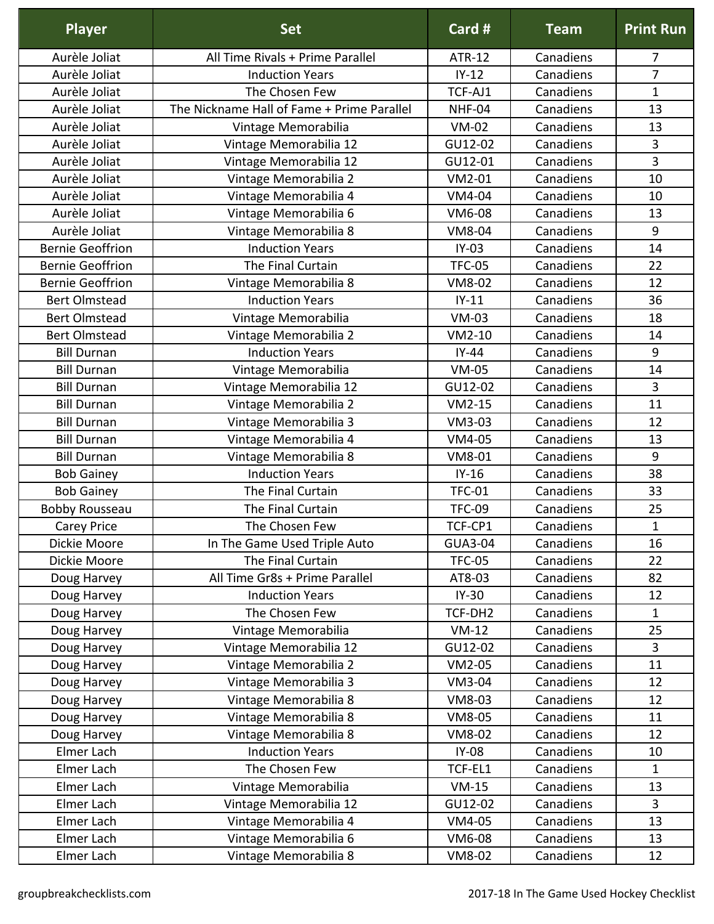| <b>Player</b>           | <b>Set</b>                                 | Card #        | <b>Team</b> | <b>Print Run</b> |
|-------------------------|--------------------------------------------|---------------|-------------|------------------|
| Aurèle Joliat           | All Time Rivals + Prime Parallel           | ATR-12        | Canadiens   | 7                |
| Aurèle Joliat           | <b>Induction Years</b>                     | $IY-12$       | Canadiens   | 7                |
| Aurèle Joliat           | The Chosen Few                             | TCF-AJ1       | Canadiens   | $\mathbf{1}$     |
| Aurèle Joliat           | The Nickname Hall of Fame + Prime Parallel | NHF-04        | Canadiens   | 13               |
| Aurèle Joliat           | Vintage Memorabilia                        | <b>VM-02</b>  | Canadiens   | 13               |
| Aurèle Joliat           | Vintage Memorabilia 12                     | GU12-02       | Canadiens   | 3                |
| Aurèle Joliat           | Vintage Memorabilia 12                     | GU12-01       | Canadiens   | 3                |
| Aurèle Joliat           | Vintage Memorabilia 2                      | $VM2-01$      | Canadiens   | 10               |
| Aurèle Joliat           | Vintage Memorabilia 4                      | VM4-04        | Canadiens   | 10               |
| Aurèle Joliat           | Vintage Memorabilia 6                      | VM6-08        | Canadiens   | 13               |
| Aurèle Joliat           | Vintage Memorabilia 8                      | VM8-04        | Canadiens   | 9                |
| <b>Bernie Geoffrion</b> | <b>Induction Years</b>                     | $IY-03$       | Canadiens   | 14               |
| <b>Bernie Geoffrion</b> | The Final Curtain                          | <b>TFC-05</b> | Canadiens   | 22               |
| <b>Bernie Geoffrion</b> | Vintage Memorabilia 8                      | VM8-02        | Canadiens   | 12               |
| <b>Bert Olmstead</b>    | <b>Induction Years</b>                     | $IY-11$       | Canadiens   | 36               |
| <b>Bert Olmstead</b>    | Vintage Memorabilia                        | $VM-03$       | Canadiens   | 18               |
| <b>Bert Olmstead</b>    | Vintage Memorabilia 2                      | $VM2-10$      | Canadiens   | 14               |
| <b>Bill Durnan</b>      | <b>Induction Years</b>                     | $IY-44$       | Canadiens   | 9                |
| <b>Bill Durnan</b>      | Vintage Memorabilia                        | <b>VM-05</b>  | Canadiens   | 14               |
| <b>Bill Durnan</b>      | Vintage Memorabilia 12                     | GU12-02       | Canadiens   | 3                |
| <b>Bill Durnan</b>      | Vintage Memorabilia 2                      | $VM2-15$      | Canadiens   | 11               |
| <b>Bill Durnan</b>      | Vintage Memorabilia 3                      | VM3-03        | Canadiens   | 12               |
| <b>Bill Durnan</b>      | Vintage Memorabilia 4                      | VM4-05        | Canadiens   | 13               |
| <b>Bill Durnan</b>      | Vintage Memorabilia 8                      | VM8-01        | Canadiens   | 9                |
| <b>Bob Gainey</b>       | <b>Induction Years</b>                     | $IY-16$       | Canadiens   | 38               |
| <b>Bob Gainey</b>       | The Final Curtain                          | <b>TFC-01</b> | Canadiens   | 33               |
| <b>Bobby Rousseau</b>   | The Final Curtain                          | <b>TFC-09</b> | Canadiens   | 25               |
| Carey Price             | The Chosen Few                             | TCF-CP1       | Canadiens   | $\mathbf{1}$     |
| Dickie Moore            | In The Game Used Triple Auto               | GUA3-04       | Canadiens   | 16               |
| Dickie Moore            | The Final Curtain                          | <b>TFC-05</b> | Canadiens   | 22               |
| Doug Harvey             | All Time Gr8s + Prime Parallel             | AT8-03        | Canadiens   | 82               |
| Doug Harvey             | <b>Induction Years</b>                     | $IY-30$       | Canadiens   | 12               |
| Doug Harvey             | The Chosen Few                             | TCF-DH2       | Canadiens   | $\mathbf{1}$     |
| Doug Harvey             | Vintage Memorabilia                        | $VM-12$       | Canadiens   | 25               |
| Doug Harvey             | Vintage Memorabilia 12                     | GU12-02       | Canadiens   | $\overline{3}$   |
| Doug Harvey             | Vintage Memorabilia 2                      | VM2-05        | Canadiens   | 11               |
| Doug Harvey             | Vintage Memorabilia 3                      | VM3-04        | Canadiens   | 12               |
| Doug Harvey             | Vintage Memorabilia 8                      | VM8-03        | Canadiens   | 12               |
| Doug Harvey             | Vintage Memorabilia 8                      | VM8-05        | Canadiens   | 11               |
| Doug Harvey             | Vintage Memorabilia 8                      | VM8-02        | Canadiens   | 12               |
| Elmer Lach              | <b>Induction Years</b>                     | $IY-08$       | Canadiens   | 10               |
| Elmer Lach              | The Chosen Few                             | TCF-EL1       | Canadiens   | $\mathbf{1}$     |
| Elmer Lach              | Vintage Memorabilia                        | $VM-15$       | Canadiens   | 13               |
| Elmer Lach              | Vintage Memorabilia 12                     | GU12-02       | Canadiens   | $\overline{3}$   |
| Elmer Lach              | Vintage Memorabilia 4                      | VM4-05        | Canadiens   | 13               |
| Elmer Lach              | Vintage Memorabilia 6                      | VM6-08        | Canadiens   | 13               |
| Elmer Lach              | Vintage Memorabilia 8                      | VM8-02        | Canadiens   | 12               |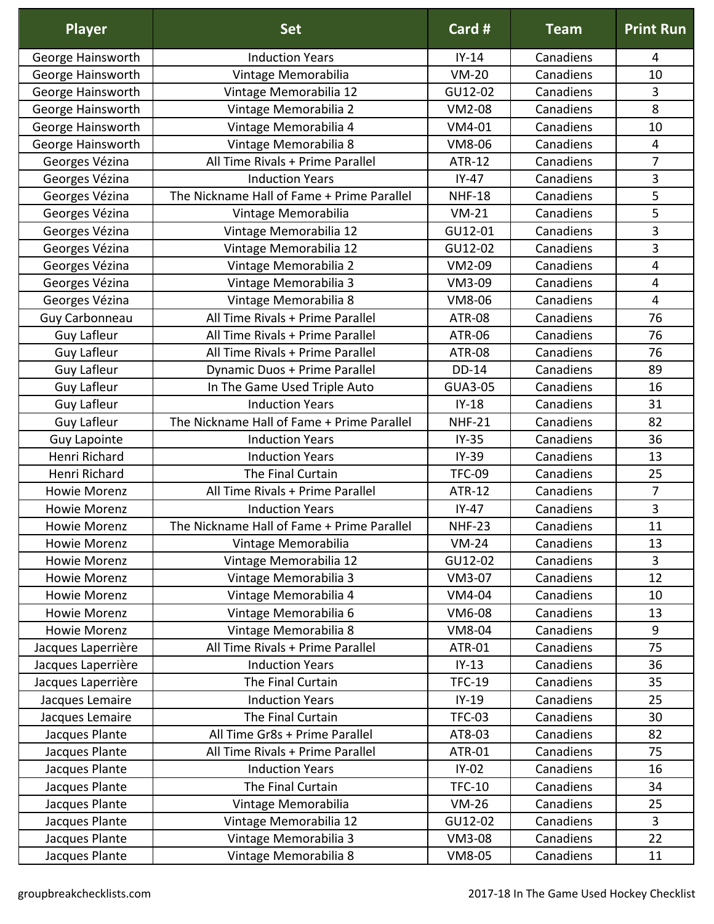| <b>Player</b>       | <b>Set</b>                                 | Card #         | <b>Team</b> | <b>Print Run</b> |
|---------------------|--------------------------------------------|----------------|-------------|------------------|
| George Hainsworth   | <b>Induction Years</b>                     | $IY-14$        | Canadiens   | 4                |
| George Hainsworth   | Vintage Memorabilia                        | $VM-20$        | Canadiens   | 10               |
| George Hainsworth   | Vintage Memorabilia 12                     | GU12-02        | Canadiens   | 3                |
| George Hainsworth   | Vintage Memorabilia 2                      | VM2-08         | Canadiens   | 8                |
| George Hainsworth   | Vintage Memorabilia 4                      | VM4-01         | Canadiens   | 10               |
| George Hainsworth   | Vintage Memorabilia 8                      | VM8-06         | Canadiens   | $\overline{4}$   |
| Georges Vézina      | All Time Rivals + Prime Parallel           | <b>ATR-12</b>  | Canadiens   | 7                |
| Georges Vézina      | <b>Induction Years</b>                     | $IY-47$        | Canadiens   | 3                |
| Georges Vézina      | The Nickname Hall of Fame + Prime Parallel | <b>NHF-18</b>  | Canadiens   | 5                |
| Georges Vézina      | Vintage Memorabilia                        | $VM-21$        | Canadiens   | 5                |
| Georges Vézina      | Vintage Memorabilia 12                     | GU12-01        | Canadiens   | 3                |
| Georges Vézina      | Vintage Memorabilia 12                     | GU12-02        | Canadiens   | 3                |
| Georges Vézina      | Vintage Memorabilia 2                      | VM2-09         | Canadiens   | 4                |
| Georges Vézina      | Vintage Memorabilia 3                      | VM3-09         | Canadiens   | $\overline{4}$   |
| Georges Vézina      | Vintage Memorabilia 8                      | VM8-06         | Canadiens   | $\overline{4}$   |
| Guy Carbonneau      | All Time Rivals + Prime Parallel           | <b>ATR-08</b>  | Canadiens   | 76               |
| <b>Guy Lafleur</b>  | All Time Rivals + Prime Parallel           | ATR-06         | Canadiens   | 76               |
| <b>Guy Lafleur</b>  | All Time Rivals + Prime Parallel           | <b>ATR-08</b>  | Canadiens   | 76               |
| <b>Guy Lafleur</b>  | Dynamic Duos + Prime Parallel              | <b>DD-14</b>   | Canadiens   | 89               |
| <b>Guy Lafleur</b>  | In The Game Used Triple Auto               | <b>GUA3-05</b> | Canadiens   | 16               |
| <b>Guy Lafleur</b>  | <b>Induction Years</b>                     | $IY-18$        | Canadiens   | 31               |
| <b>Guy Lafleur</b>  | The Nickname Hall of Fame + Prime Parallel | <b>NHF-21</b>  | Canadiens   | 82               |
| <b>Guy Lapointe</b> | <b>Induction Years</b>                     | $IY-35$        | Canadiens   | 36               |
| Henri Richard       | <b>Induction Years</b>                     | $IY-39$        | Canadiens   | 13               |
| Henri Richard       | The Final Curtain                          | <b>TFC-09</b>  | Canadiens   | 25               |
| <b>Howie Morenz</b> | All Time Rivals + Prime Parallel           | <b>ATR-12</b>  | Canadiens   | 7                |
| <b>Howie Morenz</b> | <b>Induction Years</b>                     | $IY-47$        | Canadiens   | 3                |
| Howie Morenz        | The Nickname Hall of Fame + Prime Parallel | <b>NHF-23</b>  | Canadiens   | 11               |
| <b>Howie Morenz</b> | Vintage Memorabilia                        | $VM-24$        | Canadiens   | 13               |
| <b>Howie Morenz</b> | Vintage Memorabilia 12                     | GU12-02        | Canadiens   | $\overline{3}$   |
| <b>Howie Morenz</b> | Vintage Memorabilia 3                      | <b>VM3-07</b>  | Canadiens   | 12               |
| <b>Howie Morenz</b> | Vintage Memorabilia 4                      | VM4-04         | Canadiens   | 10               |
| <b>Howie Morenz</b> | Vintage Memorabilia 6                      | VM6-08         | Canadiens   | 13               |
| <b>Howie Morenz</b> | Vintage Memorabilia 8                      | VM8-04         | Canadiens   | 9                |
| Jacques Laperrière  | All Time Rivals + Prime Parallel           | ATR-01         | Canadiens   | 75               |
| Jacques Laperrière  | <b>Induction Years</b>                     | $IY-13$        | Canadiens   | 36               |
| Jacques Laperrière  | The Final Curtain                          | <b>TFC-19</b>  | Canadiens   | 35               |
| Jacques Lemaire     | <b>Induction Years</b>                     | $IY-19$        | Canadiens   | 25               |
| Jacques Lemaire     | The Final Curtain                          | <b>TFC-03</b>  | Canadiens   | 30               |
| Jacques Plante      | All Time Gr8s + Prime Parallel             | AT8-03         | Canadiens   | 82               |
| Jacques Plante      | All Time Rivals + Prime Parallel           | ATR-01         | Canadiens   | 75               |
| Jacques Plante      | <b>Induction Years</b>                     | $IY-02$        | Canadiens   | 16               |
| Jacques Plante      | The Final Curtain                          | <b>TFC-10</b>  | Canadiens   | 34               |
| Jacques Plante      | Vintage Memorabilia                        | $VM-26$        | Canadiens   | 25               |
| Jacques Plante      | Vintage Memorabilia 12                     | GU12-02        | Canadiens   | $\overline{3}$   |
| Jacques Plante      | Vintage Memorabilia 3                      | <b>VM3-08</b>  | Canadiens   | 22               |
| Jacques Plante      | Vintage Memorabilia 8                      | VM8-05         | Canadiens   | 11               |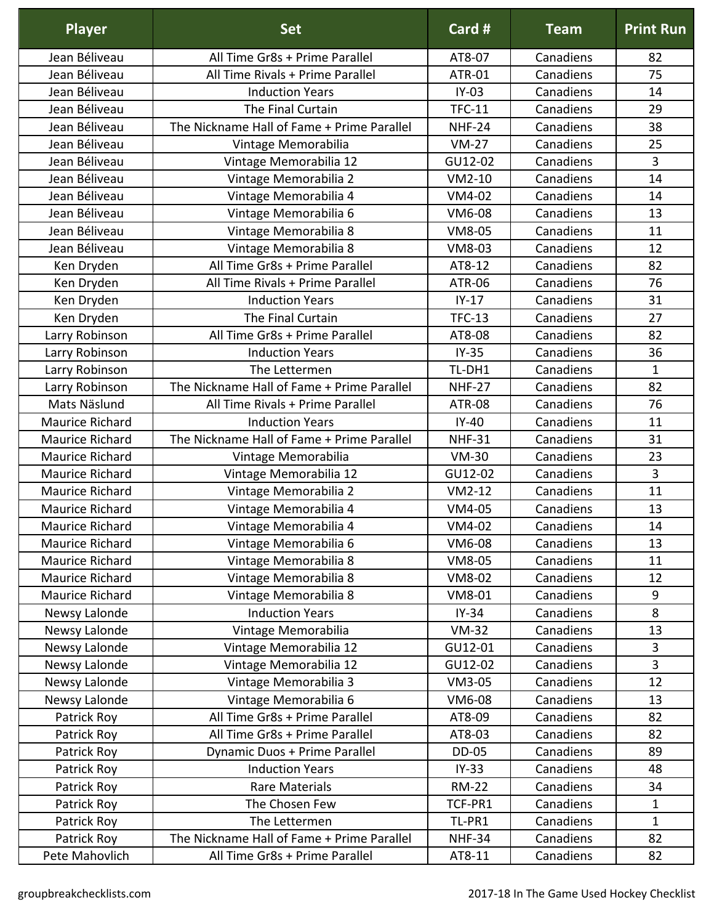| <b>Player</b>          | <b>Set</b>                                 | Card #        | <b>Team</b> | <b>Print Run</b> |
|------------------------|--------------------------------------------|---------------|-------------|------------------|
| Jean Béliveau          | All Time Gr8s + Prime Parallel             | AT8-07        | Canadiens   | 82               |
| Jean Béliveau          | All Time Rivals + Prime Parallel           | <b>ATR-01</b> | Canadiens   | 75               |
| Jean Béliveau          | <b>Induction Years</b>                     | $IY-03$       | Canadiens   | 14               |
| Jean Béliveau          | The Final Curtain                          | <b>TFC-11</b> | Canadiens   | 29               |
| Jean Béliveau          | The Nickname Hall of Fame + Prime Parallel | <b>NHF-24</b> | Canadiens   | 38               |
| Jean Béliveau          | Vintage Memorabilia                        | $VM-27$       | Canadiens   | 25               |
| Jean Béliveau          | Vintage Memorabilia 12                     | GU12-02       | Canadiens   | 3                |
| Jean Béliveau          | Vintage Memorabilia 2                      | $VM2-10$      | Canadiens   | 14               |
| Jean Béliveau          | Vintage Memorabilia 4                      | VM4-02        | Canadiens   | 14               |
| Jean Béliveau          | Vintage Memorabilia 6                      | VM6-08        | Canadiens   | 13               |
| Jean Béliveau          | Vintage Memorabilia 8                      | VM8-05        | Canadiens   | 11               |
| Jean Béliveau          | Vintage Memorabilia 8                      | VM8-03        | Canadiens   | 12               |
| Ken Dryden             | All Time Gr8s + Prime Parallel             | AT8-12        | Canadiens   | 82               |
| Ken Dryden             | All Time Rivals + Prime Parallel           | <b>ATR-06</b> | Canadiens   | 76               |
| Ken Dryden             | <b>Induction Years</b>                     | $IY-17$       | Canadiens   | 31               |
| Ken Dryden             | The Final Curtain                          | <b>TFC-13</b> | Canadiens   | 27               |
| Larry Robinson         | All Time Gr8s + Prime Parallel             | AT8-08        | Canadiens   | 82               |
| Larry Robinson         | <b>Induction Years</b>                     | $IY-35$       | Canadiens   | 36               |
| Larry Robinson         | The Lettermen                              | TL-DH1        | Canadiens   | $\mathbf 1$      |
| Larry Robinson         | The Nickname Hall of Fame + Prime Parallel | <b>NHF-27</b> | Canadiens   | 82               |
| Mats Näslund           | All Time Rivals + Prime Parallel           | <b>ATR-08</b> | Canadiens   | 76               |
| Maurice Richard        | <b>Induction Years</b>                     | $IY-40$       | Canadiens   | 11               |
| Maurice Richard        | The Nickname Hall of Fame + Prime Parallel | <b>NHF-31</b> | Canadiens   | 31               |
| <b>Maurice Richard</b> | Vintage Memorabilia                        | <b>VM-30</b>  | Canadiens   | 23               |
| Maurice Richard        | Vintage Memorabilia 12                     | GU12-02       | Canadiens   | 3                |
| Maurice Richard        | Vintage Memorabilia 2                      | $VM2-12$      | Canadiens   | 11               |
| Maurice Richard        | Vintage Memorabilia 4                      | VM4-05        | Canadiens   | 13               |
| Maurice Richard        | Vintage Memorabilia 4                      | VM4-02        | Canadiens   | 14               |
| Maurice Richard        | Vintage Memorabilia 6                      | VM6-08        | Canadiens   | 13               |
| Maurice Richard        | Vintage Memorabilia 8                      | VM8-05        | Canadiens   | 11               |
| Maurice Richard        | Vintage Memorabilia 8                      | <b>VM8-02</b> | Canadiens   | 12               |
| <b>Maurice Richard</b> | Vintage Memorabilia 8                      | VM8-01        | Canadiens   | $\boldsymbol{9}$ |
| Newsy Lalonde          | <b>Induction Years</b>                     | $IY-34$       | Canadiens   | 8                |
| Newsy Lalonde          | Vintage Memorabilia                        | $VM-32$       | Canadiens   | 13               |
| Newsy Lalonde          | Vintage Memorabilia 12                     | GU12-01       | Canadiens   | 3                |
| Newsy Lalonde          | Vintage Memorabilia 12                     | GU12-02       | Canadiens   | 3                |
| Newsy Lalonde          | Vintage Memorabilia 3                      | VM3-05        | Canadiens   | 12               |
| Newsy Lalonde          | Vintage Memorabilia 6                      | VM6-08        | Canadiens   | 13               |
| Patrick Roy            | All Time Gr8s + Prime Parallel             | AT8-09        | Canadiens   | 82               |
| Patrick Roy            | All Time Gr8s + Prime Parallel             | AT8-03        | Canadiens   | 82               |
| Patrick Roy            | Dynamic Duos + Prime Parallel              | <b>DD-05</b>  | Canadiens   | 89               |
| Patrick Roy            | <b>Induction Years</b>                     | $IY-33$       | Canadiens   | 48               |
| Patrick Roy            | Rare Materials                             | <b>RM-22</b>  | Canadiens   | 34               |
| Patrick Roy            | The Chosen Few                             | TCF-PR1       | Canadiens   | $\mathbf{1}$     |
| Patrick Roy            | The Lettermen                              | TL-PR1        | Canadiens   | $\mathbf{1}$     |
| Patrick Roy            | The Nickname Hall of Fame + Prime Parallel | <b>NHF-34</b> | Canadiens   | 82               |
| Pete Mahovlich         | All Time Gr8s + Prime Parallel             | AT8-11        | Canadiens   | 82               |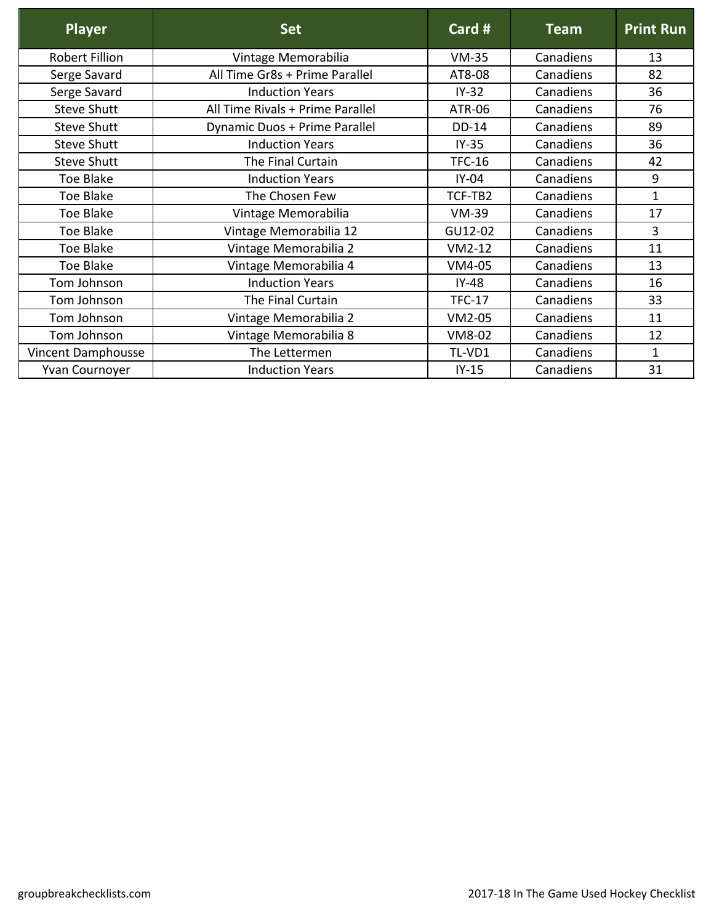| <b>Player</b>         | <b>Set</b>                       | Card #        | <b>Team</b> | <b>Print Run</b> |
|-----------------------|----------------------------------|---------------|-------------|------------------|
| <b>Robert Fillion</b> | Vintage Memorabilia              | $VM-35$       | Canadiens   | 13               |
| Serge Savard          | All Time Gr8s + Prime Parallel   | AT8-08        | Canadiens   | 82               |
| Serge Savard          | <b>Induction Years</b>           | $IY-32$       | Canadiens   | 36               |
| <b>Steve Shutt</b>    | All Time Rivals + Prime Parallel | ATR-06        | Canadiens   | 76               |
| <b>Steve Shutt</b>    | Dynamic Duos + Prime Parallel    | DD-14         | Canadiens   | 89               |
| <b>Steve Shutt</b>    | <b>Induction Years</b>           | $IY-35$       | Canadiens   | 36               |
| <b>Steve Shutt</b>    | The Final Curtain                | <b>TFC-16</b> | Canadiens   | 42               |
| Toe Blake             | <b>Induction Years</b>           | $IY-04$       | Canadiens   | 9                |
| <b>Toe Blake</b>      | The Chosen Few                   | TCF-TB2       | Canadiens   | $\mathbf{1}$     |
| <b>Toe Blake</b>      | Vintage Memorabilia              | <b>VM-39</b>  | Canadiens   | 17               |
| <b>Toe Blake</b>      | Vintage Memorabilia 12           | GU12-02       | Canadiens   | 3                |
| <b>Toe Blake</b>      | Vintage Memorabilia 2            | $VM2-12$      | Canadiens   | 11               |
| Toe Blake             | Vintage Memorabilia 4            | VM4-05        | Canadiens   | 13               |
| Tom Johnson           | <b>Induction Years</b>           | $IY-48$       | Canadiens   | 16               |
| Tom Johnson           | The Final Curtain                | <b>TFC-17</b> | Canadiens   | 33               |
| Tom Johnson           | Vintage Memorabilia 2            | VM2-05        | Canadiens   | 11               |
| Tom Johnson           | Vintage Memorabilia 8            | VM8-02        | Canadiens   | 12               |
| Vincent Damphousse    | The Lettermen                    | TL-VD1        | Canadiens   | 1                |
| Yvan Cournoyer        | <b>Induction Years</b>           | $IY-15$       | Canadiens   | 31               |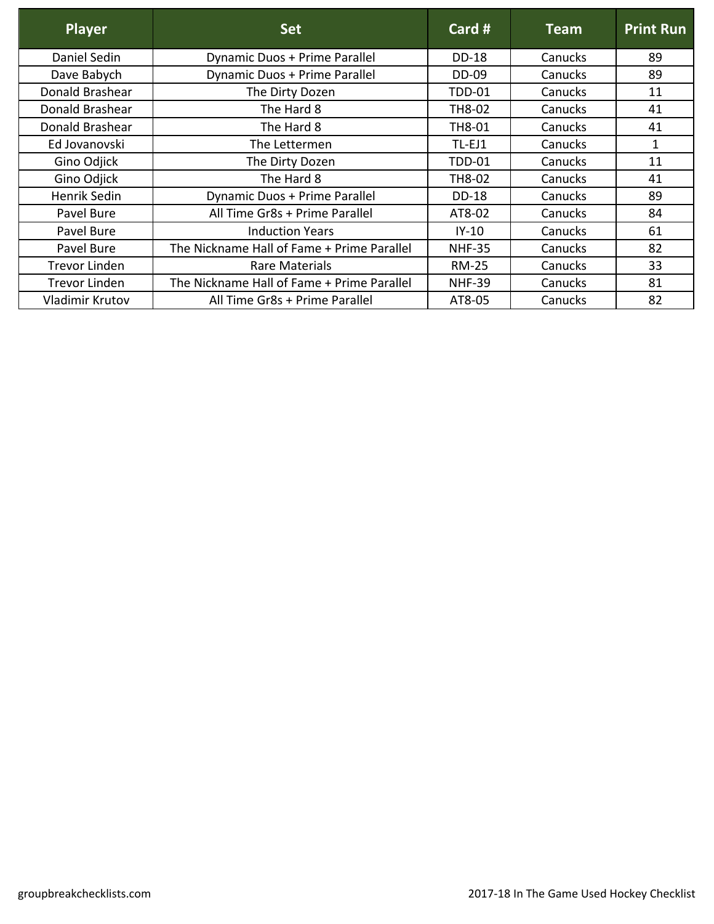| Player               | <b>Set</b>                                 | Card #        | <b>Team</b> | <b>Print Run</b> |
|----------------------|--------------------------------------------|---------------|-------------|------------------|
| Daniel Sedin         | Dynamic Duos + Prime Parallel              | <b>DD-18</b>  | Canucks     | 89               |
| Dave Babych          | Dynamic Duos + Prime Parallel              | <b>DD-09</b>  | Canucks     | 89               |
| Donald Brashear      | The Dirty Dozen                            | <b>TDD-01</b> | Canucks     | 11               |
| Donald Brashear      | The Hard 8                                 | TH8-02        | Canucks     | 41               |
| Donald Brashear      | The Hard 8                                 | TH8-01        | Canucks     | 41               |
| Ed Jovanovski        | The Lettermen                              | TL-EJ1        | Canucks     | 1                |
| Gino Odjick          | The Dirty Dozen                            | <b>TDD-01</b> | Canucks     | 11               |
| Gino Odjick          | The Hard 8                                 | TH8-02        | Canucks     | 41               |
| Henrik Sedin         | Dynamic Duos + Prime Parallel              | <b>DD-18</b>  | Canucks     | 89               |
| Pavel Bure           | All Time Gr8s + Prime Parallel             | AT8-02        | Canucks     | 84               |
| Pavel Bure           | <b>Induction Years</b>                     | $IY-10$       | Canucks     | 61               |
| Pavel Bure           | The Nickname Hall of Fame + Prime Parallel | <b>NHF-35</b> | Canucks     | 82               |
| <b>Trevor Linden</b> | Rare Materials                             | <b>RM-25</b>  | Canucks     | 33               |
| <b>Trevor Linden</b> | The Nickname Hall of Fame + Prime Parallel | <b>NHF-39</b> | Canucks     | 81               |
| Vladimir Krutov      | All Time Gr8s + Prime Parallel             | AT8-05        | Canucks     | 82               |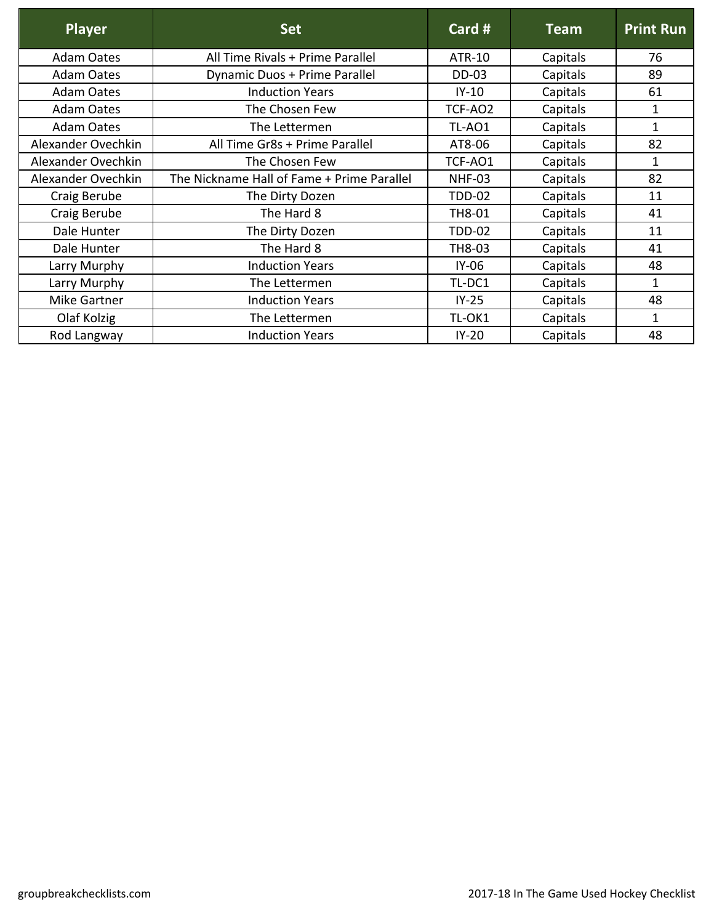| <b>Player</b>      | <b>Set</b>                                 | Card #        | <b>Team</b> | <b>Print Run</b> |
|--------------------|--------------------------------------------|---------------|-------------|------------------|
| <b>Adam Oates</b>  | All Time Rivals + Prime Parallel           | ATR-10        | Capitals    | 76               |
| <b>Adam Oates</b>  | Dynamic Duos + Prime Parallel              | <b>DD-03</b>  | Capitals    | 89               |
| <b>Adam Oates</b>  | <b>Induction Years</b>                     | $IY-10$       | Capitals    | 61               |
| <b>Adam Oates</b>  | The Chosen Few                             | TCF-AO2       | Capitals    | 1                |
| <b>Adam Oates</b>  | The Lettermen                              | TL-AO1        | Capitals    | 1                |
| Alexander Ovechkin | All Time Gr8s + Prime Parallel             | AT8-06        | Capitals    | 82               |
| Alexander Ovechkin | The Chosen Few                             | TCF-AO1       | Capitals    | 1                |
| Alexander Ovechkin | The Nickname Hall of Fame + Prime Parallel | <b>NHF-03</b> | Capitals    | 82               |
| Craig Berube       | The Dirty Dozen                            | <b>TDD-02</b> | Capitals    | 11               |
| Craig Berube       | The Hard 8                                 | TH8-01        | Capitals    | 41               |
| Dale Hunter        | The Dirty Dozen                            | <b>TDD-02</b> | Capitals    | 11               |
| Dale Hunter        | The Hard 8                                 | TH8-03        | Capitals    | 41               |
| Larry Murphy       | <b>Induction Years</b>                     | $IY-06$       | Capitals    | 48               |
| Larry Murphy       | The Lettermen                              | TL-DC1        | Capitals    | 1                |
| Mike Gartner       | <b>Induction Years</b>                     | $IY-25$       | Capitals    | 48               |
| Olaf Kolzig        | The Lettermen                              | TL-OK1        | Capitals    | $\mathbf{1}$     |
| Rod Langway        | <b>Induction Years</b>                     | $IY-20$       | Capitals    | 48               |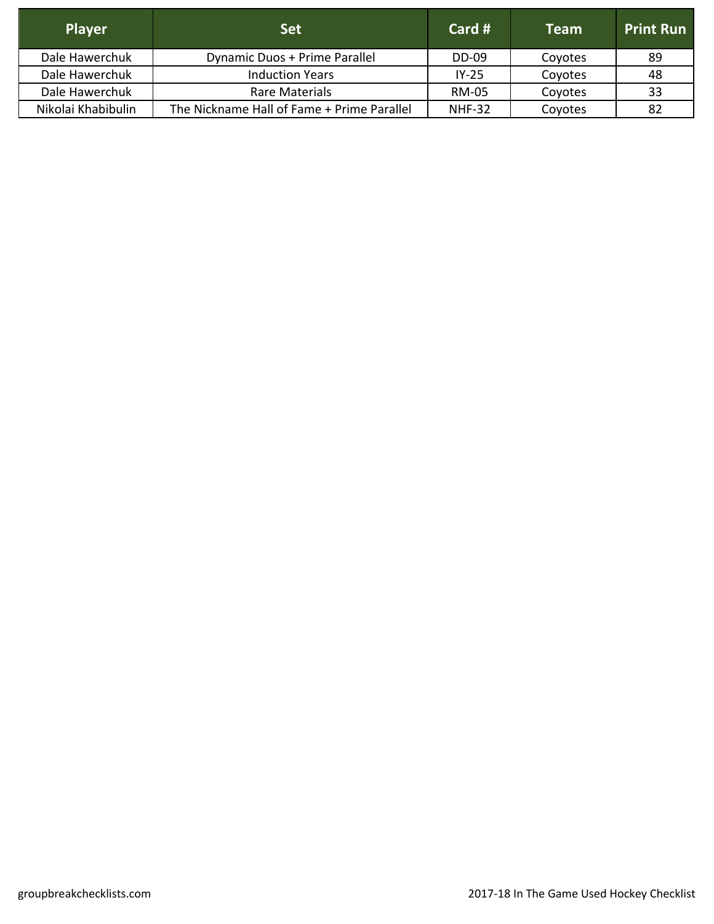| <b>Player</b>      | <b>Set</b>                                 | Card #        | <b>Team</b> | <b>Print Run</b> |
|--------------------|--------------------------------------------|---------------|-------------|------------------|
| Dale Hawerchuk     | Dynamic Duos + Prime Parallel              | <b>DD-09</b>  | Coyotes     | -89              |
| Dale Hawerchuk     | <b>Induction Years</b>                     | $IY-25$       | Coyotes     | 48               |
| Dale Hawerchuk     | Rare Materials                             | <b>RM-05</b>  | Coyotes     | 33               |
| Nikolai Khabibulin | The Nickname Hall of Fame + Prime Parallel | <b>NHF-32</b> | Coyotes     | 82               |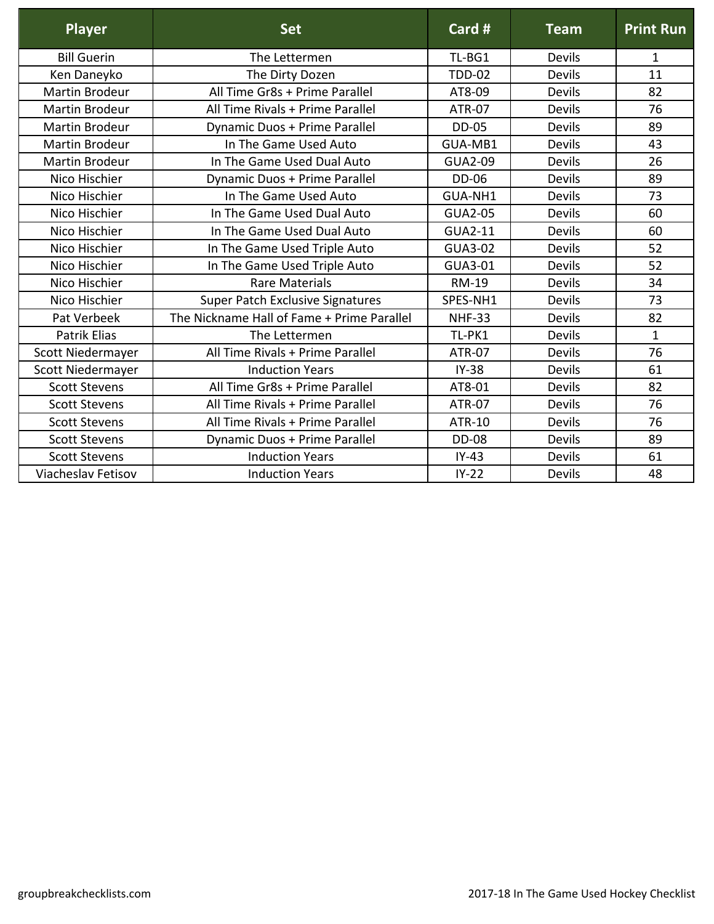| <b>Player</b>            | <b>Set</b>                                 | Card #         | <b>Team</b>   | <b>Print Run</b> |
|--------------------------|--------------------------------------------|----------------|---------------|------------------|
| <b>Bill Guerin</b>       | The Lettermen                              | TL-BG1         | Devils        | 1                |
| Ken Daneyko              | The Dirty Dozen                            | <b>TDD-02</b>  | Devils        | 11               |
| <b>Martin Brodeur</b>    | All Time Gr8s + Prime Parallel             | AT8-09         | <b>Devils</b> | 82               |
| <b>Martin Brodeur</b>    | All Time Rivals + Prime Parallel           | <b>ATR-07</b>  | <b>Devils</b> | 76               |
| <b>Martin Brodeur</b>    | Dynamic Duos + Prime Parallel              | <b>DD-05</b>   | <b>Devils</b> | 89               |
| <b>Martin Brodeur</b>    | In The Game Used Auto                      | GUA-MB1        | <b>Devils</b> | 43               |
| <b>Martin Brodeur</b>    | In The Game Used Dual Auto                 | <b>GUA2-09</b> | <b>Devils</b> | 26               |
| Nico Hischier            | Dynamic Duos + Prime Parallel              | <b>DD-06</b>   | <b>Devils</b> | 89               |
| Nico Hischier            | In The Game Used Auto                      | GUA-NH1        | <b>Devils</b> | 73               |
| Nico Hischier            | In The Game Used Dual Auto                 | <b>GUA2-05</b> | <b>Devils</b> | 60               |
| Nico Hischier            | In The Game Used Dual Auto                 | <b>GUA2-11</b> | Devils        | 60               |
| Nico Hischier            | In The Game Used Triple Auto               | <b>GUA3-02</b> | Devils        | 52               |
| Nico Hischier            | In The Game Used Triple Auto               | <b>GUA3-01</b> | <b>Devils</b> | 52               |
| Nico Hischier            | <b>Rare Materials</b>                      | <b>RM-19</b>   | <b>Devils</b> | 34               |
| Nico Hischier            | Super Patch Exclusive Signatures           | SPES-NH1       | Devils        | 73               |
| Pat Verbeek              | The Nickname Hall of Fame + Prime Parallel | <b>NHF-33</b>  | Devils        | 82               |
| <b>Patrik Elias</b>      | The Lettermen                              | TL-PK1         | <b>Devils</b> | $\mathbf{1}$     |
| Scott Niedermayer        | All Time Rivals + Prime Parallel           | <b>ATR-07</b>  | <b>Devils</b> | 76               |
| <b>Scott Niedermayer</b> | <b>Induction Years</b>                     | $IY-38$        | Devils        | 61               |
| <b>Scott Stevens</b>     | All Time Gr8s + Prime Parallel             | AT8-01         | <b>Devils</b> | 82               |
| <b>Scott Stevens</b>     | All Time Rivals + Prime Parallel           | <b>ATR-07</b>  | <b>Devils</b> | 76               |
| <b>Scott Stevens</b>     | All Time Rivals + Prime Parallel           | <b>ATR-10</b>  | <b>Devils</b> | 76               |
| <b>Scott Stevens</b>     | Dynamic Duos + Prime Parallel              | <b>DD-08</b>   | <b>Devils</b> | 89               |
| <b>Scott Stevens</b>     | <b>Induction Years</b>                     | $IY-43$        | Devils        | 61               |
| Viacheslav Fetisov       | <b>Induction Years</b>                     | $IY-22$        | <b>Devils</b> | 48               |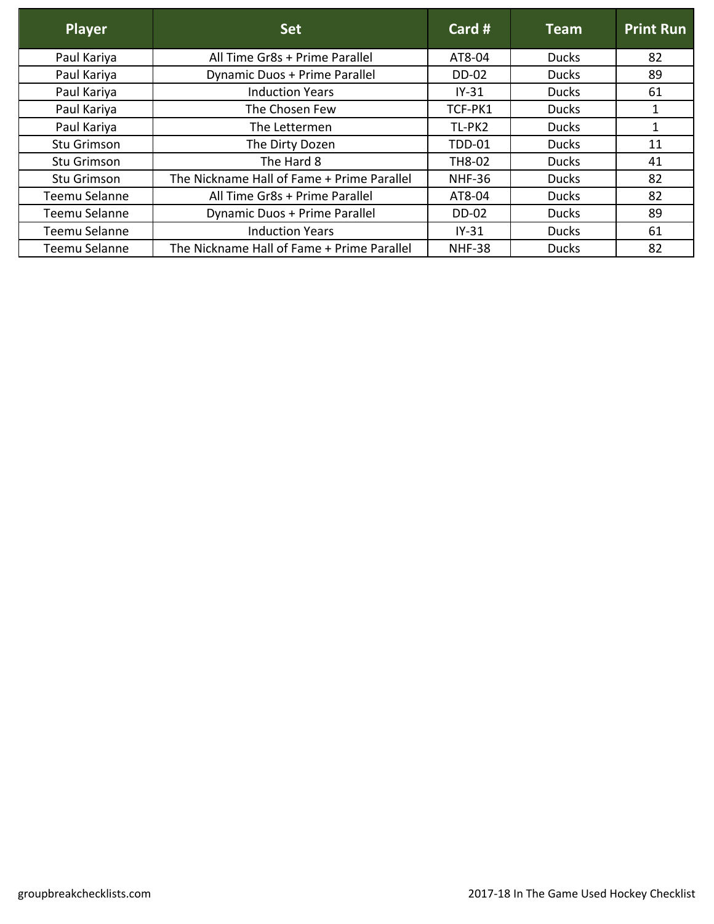| <b>Player</b> | <b>Set</b>                                 | Card $#$      | <b>Team</b>  | <b>Print Run</b> |
|---------------|--------------------------------------------|---------------|--------------|------------------|
| Paul Kariya   | All Time Gr8s + Prime Parallel             | AT8-04        | <b>Ducks</b> | 82               |
| Paul Kariya   | Dynamic Duos + Prime Parallel              | <b>DD-02</b>  | <b>Ducks</b> | 89               |
| Paul Kariya   | <b>Induction Years</b>                     | $IY-31$       | <b>Ducks</b> | 61               |
| Paul Kariya   | The Chosen Few                             | TCF-PK1       | <b>Ducks</b> | 1                |
| Paul Kariya   | The Lettermen                              | TL-PK2        | <b>Ducks</b> | 1                |
| Stu Grimson   | The Dirty Dozen                            | <b>TDD-01</b> | <b>Ducks</b> | 11               |
| Stu Grimson   | The Hard 8                                 | TH8-02        | <b>Ducks</b> | 41               |
| Stu Grimson   | The Nickname Hall of Fame + Prime Parallel | <b>NHF-36</b> | <b>Ducks</b> | 82               |
| Teemu Selanne | All Time Gr8s + Prime Parallel             | AT8-04        | <b>Ducks</b> | 82               |
| Teemu Selanne | Dynamic Duos + Prime Parallel              | <b>DD-02</b>  | <b>Ducks</b> | 89               |
| Teemu Selanne | <b>Induction Years</b>                     | $IY-31$       | <b>Ducks</b> | 61               |
| Teemu Selanne | The Nickname Hall of Fame + Prime Parallel | <b>NHF-38</b> | <b>Ducks</b> | 82               |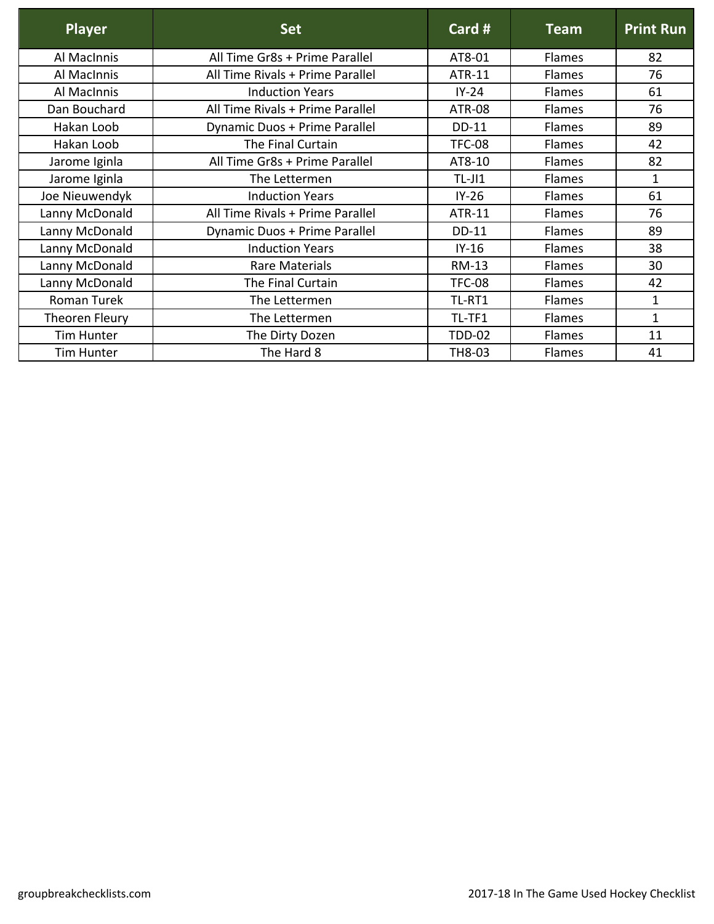| <b>Player</b>  | <b>Set</b>                       | Card #        | <b>Team</b>   | <b>Print Run</b> |
|----------------|----------------------------------|---------------|---------------|------------------|
| Al MacInnis    | All Time Gr8s + Prime Parallel   | AT8-01        | <b>Flames</b> | 82               |
| Al MacInnis    | All Time Rivals + Prime Parallel | ATR-11        | <b>Flames</b> | 76               |
| Al MacInnis    | <b>Induction Years</b>           | $IY-24$       | Flames        | 61               |
| Dan Bouchard   | All Time Rivals + Prime Parallel | <b>ATR-08</b> | <b>Flames</b> | 76               |
| Hakan Loob     | Dynamic Duos + Prime Parallel    | <b>DD-11</b>  | <b>Flames</b> | 89               |
| Hakan Loob     | The Final Curtain                | <b>TFC-08</b> | Flames        | 42               |
| Jarome Iginla  | All Time Gr8s + Prime Parallel   | AT8-10        | <b>Flames</b> | 82               |
| Jarome Iginla  | The Lettermen                    | $TL-J11$      | Flames        | 1                |
| Joe Nieuwendyk | <b>Induction Years</b>           | $IY-26$       | Flames        | 61               |
| Lanny McDonald | All Time Rivals + Prime Parallel | ATR-11        | <b>Flames</b> | 76               |
| Lanny McDonald | Dynamic Duos + Prime Parallel    | DD-11         | Flames        | 89               |
| Lanny McDonald | <b>Induction Years</b>           | $IY-16$       | <b>Flames</b> | 38               |
| Lanny McDonald | Rare Materials                   | RM-13         | Flames        | 30               |
| Lanny McDonald | The Final Curtain                | <b>TFC-08</b> | Flames        | 42               |
| Roman Turek    | The Lettermen                    | TL-RT1        | Flames        | $\mathbf{1}$     |
| Theoren Fleury | The Lettermen                    | TL-TF1        | <b>Flames</b> | $\mathbf{1}$     |
| Tim Hunter     | The Dirty Dozen                  | <b>TDD-02</b> | <b>Flames</b> | 11               |
| Tim Hunter     | The Hard 8                       | TH8-03        | Flames        | 41               |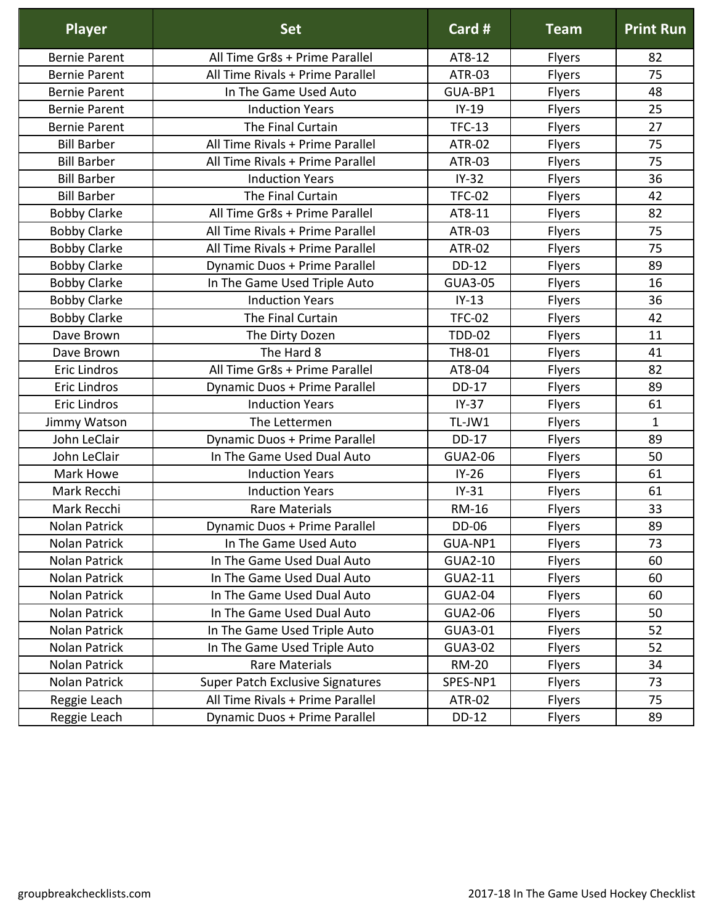| <b>Player</b>        | <b>Set</b>                       | Card #         | <b>Team</b>   | <b>Print Run</b> |
|----------------------|----------------------------------|----------------|---------------|------------------|
| <b>Bernie Parent</b> | All Time Gr8s + Prime Parallel   | AT8-12         | <b>Flyers</b> | 82               |
| <b>Bernie Parent</b> | All Time Rivals + Prime Parallel | <b>ATR-03</b>  | Flyers        | 75               |
| <b>Bernie Parent</b> | In The Game Used Auto            | GUA-BP1        | Flyers        | 48               |
| <b>Bernie Parent</b> | <b>Induction Years</b>           | $IY-19$        | Flyers        | 25               |
| <b>Bernie Parent</b> | The Final Curtain                | <b>TFC-13</b>  | Flyers        | 27               |
| <b>Bill Barber</b>   | All Time Rivals + Prime Parallel | <b>ATR-02</b>  | Flyers        | 75               |
| <b>Bill Barber</b>   | All Time Rivals + Prime Parallel | <b>ATR-03</b>  | Flyers        | 75               |
| <b>Bill Barber</b>   | <b>Induction Years</b>           | $IY-32$        | Flyers        | 36               |
| <b>Bill Barber</b>   | The Final Curtain                | <b>TFC-02</b>  | Flyers        | 42               |
| <b>Bobby Clarke</b>  | All Time Gr8s + Prime Parallel   | AT8-11         | Flyers        | 82               |
| <b>Bobby Clarke</b>  | All Time Rivals + Prime Parallel | <b>ATR-03</b>  | Flyers        | 75               |
| <b>Bobby Clarke</b>  | All Time Rivals + Prime Parallel | <b>ATR-02</b>  | Flyers        | 75               |
| <b>Bobby Clarke</b>  | Dynamic Duos + Prime Parallel    | DD-12          | Flyers        | 89               |
| <b>Bobby Clarke</b>  | In The Game Used Triple Auto     | <b>GUA3-05</b> | Flyers        | 16               |
| <b>Bobby Clarke</b>  | <b>Induction Years</b>           | $IY-13$        | Flyers        | 36               |
| <b>Bobby Clarke</b>  | The Final Curtain                | <b>TFC-02</b>  | Flyers        | 42               |
| Dave Brown           | The Dirty Dozen                  | <b>TDD-02</b>  | Flyers        | 11               |
| Dave Brown           | The Hard 8                       | TH8-01         | Flyers        | 41               |
| <b>Eric Lindros</b>  | All Time Gr8s + Prime Parallel   | AT8-04         | Flyers        | 82               |
| <b>Eric Lindros</b>  | Dynamic Duos + Prime Parallel    | <b>DD-17</b>   | Flyers        | 89               |
| <b>Eric Lindros</b>  | <b>Induction Years</b>           | $IY-37$        | <b>Flyers</b> | 61               |
| Jimmy Watson         | The Lettermen                    | TL-JW1         | Flyers        | $\mathbf{1}$     |
| John LeClair         | Dynamic Duos + Prime Parallel    | <b>DD-17</b>   | Flyers        | 89               |
| John LeClair         | In The Game Used Dual Auto       | <b>GUA2-06</b> | Flyers        | 50               |
| Mark Howe            | <b>Induction Years</b>           | $IY-26$        | Flyers        | 61               |
| Mark Recchi          | <b>Induction Years</b>           | $IY-31$        | Flyers        | 61               |
| Mark Recchi          | <b>Rare Materials</b>            | <b>RM-16</b>   | Flyers        | 33               |
| Nolan Patrick        | Dynamic Duos + Prime Parallel    | DD-06          | <b>Flyers</b> | 89               |
| Nolan Patrick        | In The Game Used Auto            | GUA-NP1        | <b>Flyers</b> | 73               |
| Nolan Patrick        | In The Game Used Dual Auto       | GUA2-10        | <b>Flyers</b> | 60               |
| Nolan Patrick        | In The Game Used Dual Auto       | GUA2-11        | <b>Flyers</b> | 60               |
| Nolan Patrick        | In The Game Used Dual Auto       | <b>GUA2-04</b> | <b>Flyers</b> | 60               |
| Nolan Patrick        | In The Game Used Dual Auto       | GUA2-06        | <b>Flyers</b> | 50               |
| Nolan Patrick        | In The Game Used Triple Auto     | GUA3-01        | Flyers        | 52               |
| Nolan Patrick        | In The Game Used Triple Auto     | GUA3-02        | <b>Flyers</b> | 52               |
| Nolan Patrick        | <b>Rare Materials</b>            | <b>RM-20</b>   | Flyers        | 34               |
| Nolan Patrick        | Super Patch Exclusive Signatures | SPES-NP1       | <b>Flyers</b> | 73               |
| Reggie Leach         | All Time Rivals + Prime Parallel | <b>ATR-02</b>  | Flyers        | 75               |
| Reggie Leach         | Dynamic Duos + Prime Parallel    | DD-12          | <b>Flyers</b> | 89               |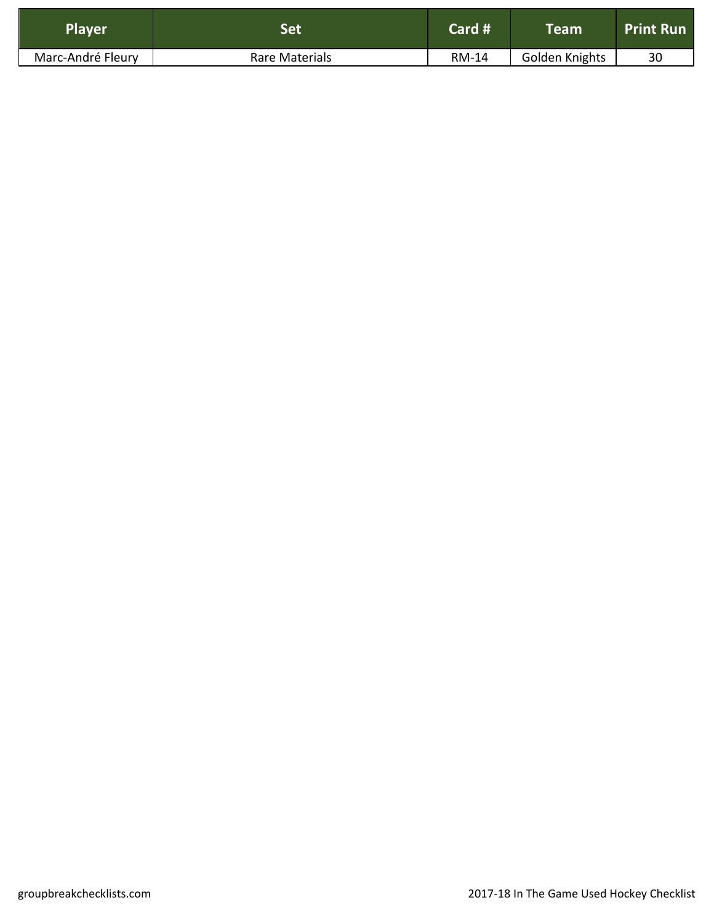| Player            | Set            | Card # | $\mathsf{T}$ eam' | <b>Print Run</b> |
|-------------------|----------------|--------|-------------------|------------------|
| Marc-André Fleury | Rare Materials | RM-14  | Golden Knights    | 30               |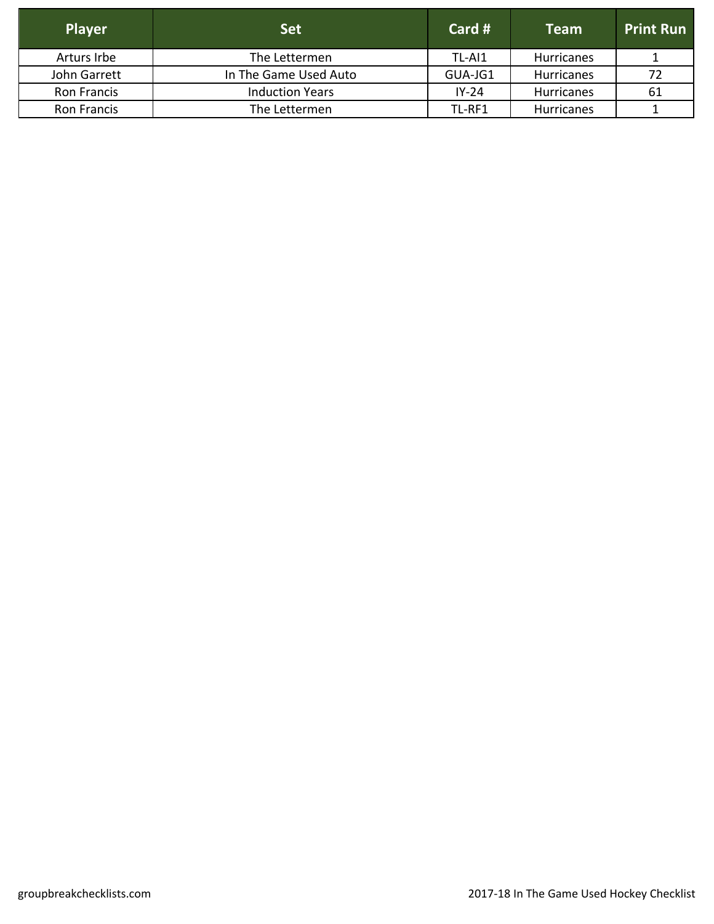| <b>Player</b> | <b>Set</b>             | Card #  | <b>Team</b>       | <b>Print Run</b> |
|---------------|------------------------|---------|-------------------|------------------|
| Arturs Irbe   | The Lettermen          | TL-AI1  | <b>Hurricanes</b> |                  |
| John Garrett  | In The Game Used Auto  | GUA-JG1 | <b>Hurricanes</b> | -72              |
| Ron Francis   | <b>Induction Years</b> | $IY-24$ | <b>Hurricanes</b> | 61               |
| Ron Francis   | The Lettermen          | TL-RF1  | <b>Hurricanes</b> |                  |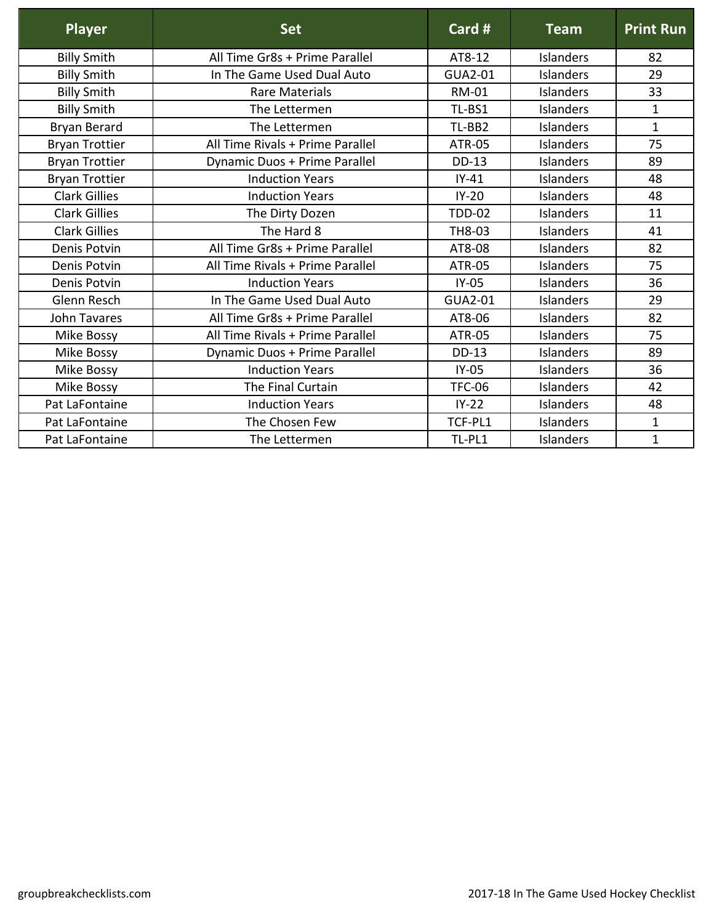| Player                | <b>Set</b>                       | Card #         | <b>Team</b>      | <b>Print Run</b> |
|-----------------------|----------------------------------|----------------|------------------|------------------|
| <b>Billy Smith</b>    | All Time Gr8s + Prime Parallel   | AT8-12         | <b>Islanders</b> | 82               |
| <b>Billy Smith</b>    | In The Game Used Dual Auto       | <b>GUA2-01</b> | <b>Islanders</b> | 29               |
| <b>Billy Smith</b>    | Rare Materials                   | <b>RM-01</b>   | <b>Islanders</b> | 33               |
| <b>Billy Smith</b>    | The Lettermen                    | TL-BS1         | <b>Islanders</b> | $\mathbf{1}$     |
| <b>Bryan Berard</b>   | The Lettermen                    | TL-BB2         | Islanders        | $\mathbf{1}$     |
| <b>Bryan Trottier</b> | All Time Rivals + Prime Parallel | <b>ATR-05</b>  | <b>Islanders</b> | 75               |
| <b>Bryan Trottier</b> | Dynamic Duos + Prime Parallel    | <b>DD-13</b>   | Islanders        | 89               |
| <b>Bryan Trottier</b> | <b>Induction Years</b>           | $IY-41$        | <b>Islanders</b> | 48               |
| <b>Clark Gillies</b>  | <b>Induction Years</b>           | $IY-20$        | <b>Islanders</b> | 48               |
| <b>Clark Gillies</b>  | The Dirty Dozen                  | <b>TDD-02</b>  | <b>Islanders</b> | 11               |
| <b>Clark Gillies</b>  | The Hard 8                       | TH8-03         | Islanders        | 41               |
| Denis Potvin          | All Time Gr8s + Prime Parallel   | AT8-08         | <b>Islanders</b> | 82               |
| Denis Potvin          | All Time Rivals + Prime Parallel | <b>ATR-05</b>  | Islanders        | 75               |
| Denis Potvin          | <b>Induction Years</b>           | $IY-05$        | <b>Islanders</b> | 36               |
| Glenn Resch           | In The Game Used Dual Auto       | <b>GUA2-01</b> | <b>Islanders</b> | 29               |
| <b>John Tavares</b>   | All Time Gr8s + Prime Parallel   | AT8-06         | Islanders        | 82               |
| Mike Bossy            | All Time Rivals + Prime Parallel | <b>ATR-05</b>  | <b>Islanders</b> | 75               |
| Mike Bossy            | Dynamic Duos + Prime Parallel    | <b>DD-13</b>   | <b>Islanders</b> | 89               |
| Mike Bossy            | <b>Induction Years</b>           | $IY-05$        | <b>Islanders</b> | 36               |
| Mike Bossy            | The Final Curtain                | <b>TFC-06</b>  | <b>Islanders</b> | 42               |
| Pat LaFontaine        | <b>Induction Years</b>           | $IY-22$        | Islanders        | 48               |
| Pat LaFontaine        | The Chosen Few                   | TCF-PL1        | Islanders        | $\mathbf{1}$     |
| Pat LaFontaine        | The Lettermen                    | TL-PL1         | <b>Islanders</b> | $\mathbf 1$      |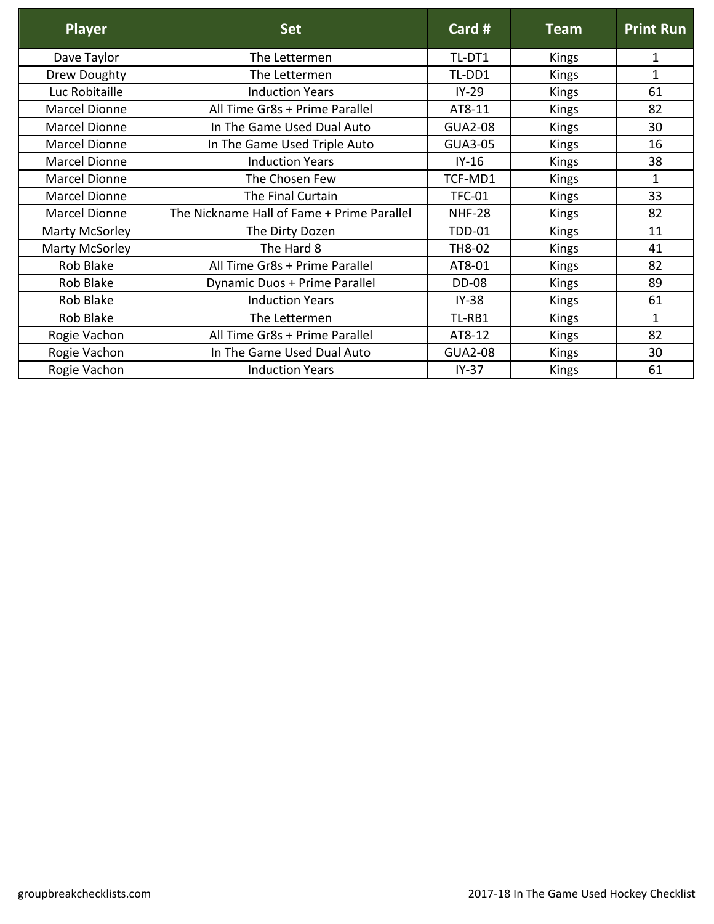| <b>Player</b>        | <b>Set</b>                                 | Card #         | <b>Team</b>  | <b>Print Run</b> |
|----------------------|--------------------------------------------|----------------|--------------|------------------|
| Dave Taylor          | The Lettermen                              | TL-DT1         | <b>Kings</b> | 1                |
| Drew Doughty         | The Lettermen                              | TL-DD1         | <b>Kings</b> | $\mathbf{1}$     |
| Luc Robitaille       | <b>Induction Years</b>                     | $IY-29$        | Kings        | 61               |
| Marcel Dionne        | All Time Gr8s + Prime Parallel             | AT8-11         | <b>Kings</b> | 82               |
| Marcel Dionne        | In The Game Used Dual Auto                 | <b>GUA2-08</b> | <b>Kings</b> | 30               |
| <b>Marcel Dionne</b> | In The Game Used Triple Auto               | <b>GUA3-05</b> | Kings        | 16               |
| Marcel Dionne        | <b>Induction Years</b>                     | $IY-16$        | Kings        | 38               |
| Marcel Dionne        | The Chosen Few                             | TCF-MD1        | Kings        | $\mathbf{1}$     |
| Marcel Dionne        | The Final Curtain                          | <b>TFC-01</b>  | <b>Kings</b> | 33               |
| Marcel Dionne        | The Nickname Hall of Fame + Prime Parallel | <b>NHF-28</b>  | Kings        | 82               |
| Marty McSorley       | The Dirty Dozen                            | <b>TDD-01</b>  | <b>Kings</b> | 11               |
| Marty McSorley       | The Hard 8                                 | TH8-02         | <b>Kings</b> | 41               |
| Rob Blake            | All Time Gr8s + Prime Parallel             | AT8-01         | <b>Kings</b> | 82               |
| Rob Blake            | Dynamic Duos + Prime Parallel              | <b>DD-08</b>   | <b>Kings</b> | 89               |
| Rob Blake            | <b>Induction Years</b>                     | $IY-38$        | <b>Kings</b> | 61               |
| Rob Blake            | The Lettermen                              | TL-RB1         | Kings        | 1                |
| Rogie Vachon         | All Time Gr8s + Prime Parallel             | AT8-12         | <b>Kings</b> | 82               |
| Rogie Vachon         | In The Game Used Dual Auto                 | <b>GUA2-08</b> | <b>Kings</b> | 30               |
| Rogie Vachon         | <b>Induction Years</b>                     | $IY-37$        | <b>Kings</b> | 61               |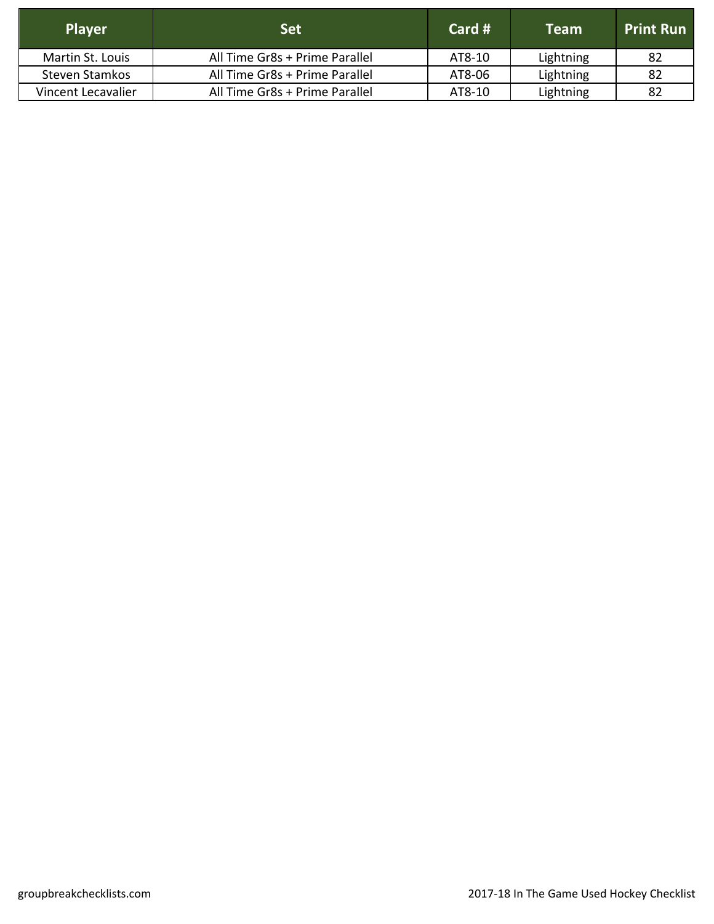| <b>Player</b>      | Set                            | Card $#$ | <b>Team</b> | <b>Print Run</b> |
|--------------------|--------------------------------|----------|-------------|------------------|
| Martin St. Louis   | All Time Gr8s + Prime Parallel | AT8-10   | Lightning   | -82              |
| Steven Stamkos     | All Time Gr8s + Prime Parallel | AT8-06   | Lightning   | -82              |
| Vincent Lecavalier | All Time Gr8s + Prime Parallel | AT8-10   | Lightning   | 82               |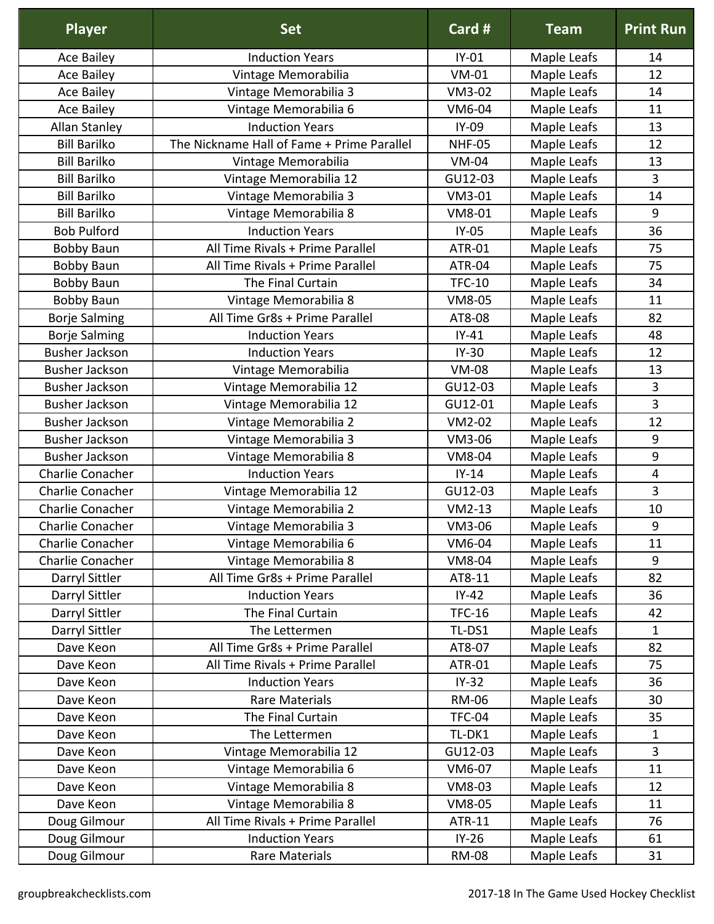| <b>Player</b>                | <b>Set</b>                                                | Card #            | <b>Team</b> | <b>Print Run</b> |
|------------------------------|-----------------------------------------------------------|-------------------|-------------|------------------|
| Ace Bailey                   | <b>Induction Years</b>                                    | $IY-01$           | Maple Leafs | 14               |
| <b>Ace Bailey</b>            | Vintage Memorabilia                                       | $VM-01$           | Maple Leafs | 12               |
| Ace Bailey                   | Vintage Memorabilia 3                                     | VM3-02            | Maple Leafs | 14               |
| <b>Ace Bailey</b>            | Vintage Memorabilia 6                                     | VM6-04            | Maple Leafs | 11               |
| <b>Allan Stanley</b>         | <b>Induction Years</b>                                    | IY-09             | Maple Leafs | 13               |
| <b>Bill Barilko</b>          | The Nickname Hall of Fame + Prime Parallel                | <b>NHF-05</b>     | Maple Leafs | 12               |
| <b>Bill Barilko</b>          | Vintage Memorabilia                                       | <b>VM-04</b>      | Maple Leafs | 13               |
| <b>Bill Barilko</b>          | Vintage Memorabilia 12                                    | GU12-03           | Maple Leafs | 3                |
| <b>Bill Barilko</b>          | Vintage Memorabilia 3                                     | VM3-01            | Maple Leafs | 14               |
| <b>Bill Barilko</b>          | Vintage Memorabilia 8                                     | VM8-01            | Maple Leafs | 9                |
| <b>Bob Pulford</b>           | <b>Induction Years</b>                                    | $IY-05$           | Maple Leafs | 36               |
| <b>Bobby Baun</b>            | All Time Rivals + Prime Parallel                          | <b>ATR-01</b>     | Maple Leafs | 75               |
| <b>Bobby Baun</b>            | All Time Rivals + Prime Parallel                          | <b>ATR-04</b>     | Maple Leafs | 75               |
| <b>Bobby Baun</b>            | The Final Curtain                                         | <b>TFC-10</b>     | Maple Leafs | 34               |
| <b>Bobby Baun</b>            | Vintage Memorabilia 8                                     | VM8-05            | Maple Leafs | 11               |
| <b>Borje Salming</b>         | All Time Gr8s + Prime Parallel                            | AT8-08            | Maple Leafs | 82               |
| <b>Borje Salming</b>         | <b>Induction Years</b>                                    | $IY-41$           | Maple Leafs | 48               |
| <b>Busher Jackson</b>        | <b>Induction Years</b>                                    | $IY-30$           | Maple Leafs | 12               |
| <b>Busher Jackson</b>        | Vintage Memorabilia                                       | <b>VM-08</b>      | Maple Leafs | 13               |
| <b>Busher Jackson</b>        | Vintage Memorabilia 12                                    | GU12-03           | Maple Leafs | 3                |
| <b>Busher Jackson</b>        | Vintage Memorabilia 12                                    | GU12-01           | Maple Leafs | 3                |
| <b>Busher Jackson</b>        | Vintage Memorabilia 2                                     | VM2-02            | Maple Leafs | 12               |
| <b>Busher Jackson</b>        | Vintage Memorabilia 3                                     | VM3-06            | Maple Leafs | 9                |
| <b>Busher Jackson</b>        | Vintage Memorabilia 8                                     | VM8-04            | Maple Leafs | 9                |
| Charlie Conacher             | <b>Induction Years</b>                                    | $IY-14$           | Maple Leafs | 4                |
| Charlie Conacher             | Vintage Memorabilia 12                                    | GU12-03           | Maple Leafs | 3                |
| Charlie Conacher             | Vintage Memorabilia 2                                     | $VM2-13$          | Maple Leafs | 10               |
| Charlie Conacher             | Vintage Memorabilia 3                                     | VM3-06            | Maple Leafs | 9                |
| Charlie Conacher             | Vintage Memorabilia 6                                     | VM6-04            | Maple Leafs | 11               |
| Charlie Conacher             | Vintage Memorabilia 8                                     | <b>VM8-04</b>     | Maple Leafs | 9                |
| Darryl Sittler               | All Time Gr8s + Prime Parallel                            | AT8-11            | Maple Leafs | 82               |
| Darryl Sittler               | <b>Induction Years</b>                                    | $IY-42$           | Maple Leafs | 36               |
| Darryl Sittler               | The Final Curtain                                         | <b>TFC-16</b>     | Maple Leafs | 42               |
| Darryl Sittler               | The Lettermen                                             | TL-DS1            | Maple Leafs | $\mathbf 1$      |
| Dave Keon                    | All Time Gr8s + Prime Parallel                            | AT8-07            | Maple Leafs | 82               |
| Dave Keon                    | All Time Rivals + Prime Parallel                          | ATR-01            | Maple Leafs | 75               |
| Dave Keon                    | <b>Induction Years</b>                                    | $IY-32$           | Maple Leafs | 36               |
| Dave Keon                    | Rare Materials                                            | <b>RM-06</b>      | Maple Leafs | 30               |
| Dave Keon                    | The Final Curtain                                         | <b>TFC-04</b>     | Maple Leafs | 35               |
| Dave Keon                    | The Lettermen                                             | TL-DK1            | Maple Leafs | $\mathbf 1$<br>3 |
| Dave Keon                    | Vintage Memorabilia 12                                    | GU12-03           | Maple Leafs |                  |
| Dave Keon                    | Vintage Memorabilia 6                                     | VM6-07            | Maple Leafs | 11               |
| Dave Keon                    | Vintage Memorabilia 8                                     | VM8-03            | Maple Leafs | 12               |
| Dave Keon                    | Vintage Memorabilia 8<br>All Time Rivals + Prime Parallel | VM8-05            | Maple Leafs | 11<br>76         |
| Doug Gilmour<br>Doug Gilmour | <b>Induction Years</b>                                    | ATR-11<br>$IY-26$ | Maple Leafs | 61               |
|                              |                                                           |                   | Maple Leafs |                  |
| Doug Gilmour                 | Rare Materials                                            | <b>RM-08</b>      | Maple Leafs | 31               |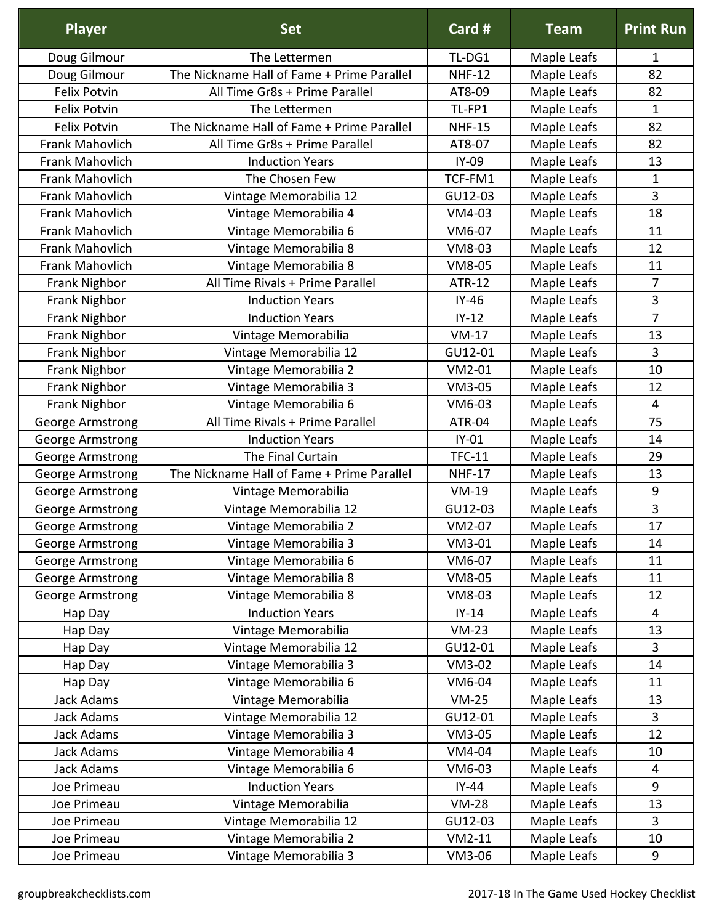| <b>Player</b>           | <b>Set</b>                                 | Card #        | <b>Team</b> | <b>Print Run</b> |
|-------------------------|--------------------------------------------|---------------|-------------|------------------|
| Doug Gilmour            | The Lettermen                              | TL-DG1        | Maple Leafs | 1                |
| Doug Gilmour            | The Nickname Hall of Fame + Prime Parallel | <b>NHF-12</b> | Maple Leafs | 82               |
| <b>Felix Potvin</b>     | All Time Gr8s + Prime Parallel             | AT8-09        | Maple Leafs | 82               |
| <b>Felix Potvin</b>     | The Lettermen                              | TL-FP1        | Maple Leafs | $\mathbf 1$      |
| <b>Felix Potvin</b>     | The Nickname Hall of Fame + Prime Parallel | <b>NHF-15</b> | Maple Leafs | 82               |
| Frank Mahovlich         | All Time Gr8s + Prime Parallel             | AT8-07        | Maple Leafs | 82               |
| Frank Mahovlich         | <b>Induction Years</b>                     | IY-09         | Maple Leafs | 13               |
| Frank Mahovlich         | The Chosen Few                             | TCF-FM1       | Maple Leafs | $\mathbf 1$      |
| Frank Mahovlich         | Vintage Memorabilia 12                     | GU12-03       | Maple Leafs | 3                |
| Frank Mahovlich         | Vintage Memorabilia 4                      | VM4-03        | Maple Leafs | 18               |
| Frank Mahovlich         | Vintage Memorabilia 6                      | VM6-07        | Maple Leafs | 11               |
| <b>Frank Mahovlich</b>  | Vintage Memorabilia 8                      | VM8-03        | Maple Leafs | 12               |
| <b>Frank Mahovlich</b>  | Vintage Memorabilia 8                      | VM8-05        | Maple Leafs | 11               |
| Frank Nighbor           | All Time Rivals + Prime Parallel           | <b>ATR-12</b> | Maple Leafs | $\overline{7}$   |
| Frank Nighbor           | <b>Induction Years</b>                     | $IY-46$       | Maple Leafs | 3                |
| Frank Nighbor           | <b>Induction Years</b>                     | $IY-12$       | Maple Leafs | $\overline{7}$   |
| Frank Nighbor           | Vintage Memorabilia                        | $VM-17$       | Maple Leafs | 13               |
| Frank Nighbor           | Vintage Memorabilia 12                     | GU12-01       | Maple Leafs | $\overline{3}$   |
| Frank Nighbor           | Vintage Memorabilia 2                      | VM2-01        | Maple Leafs | 10               |
| Frank Nighbor           | Vintage Memorabilia 3                      | VM3-05        | Maple Leafs | 12               |
| Frank Nighbor           | Vintage Memorabilia 6                      | VM6-03        | Maple Leafs | 4                |
| George Armstrong        | All Time Rivals + Prime Parallel           | ATR-04        | Maple Leafs | 75               |
| George Armstrong        | <b>Induction Years</b>                     | $IY-01$       | Maple Leafs | 14               |
| George Armstrong        | The Final Curtain                          | <b>TFC-11</b> | Maple Leafs | 29               |
| George Armstrong        | The Nickname Hall of Fame + Prime Parallel | <b>NHF-17</b> | Maple Leafs | 13               |
| George Armstrong        | Vintage Memorabilia                        | $VM-19$       | Maple Leafs | 9                |
| George Armstrong        | Vintage Memorabilia 12                     | GU12-03       | Maple Leafs | 3                |
| George Armstrong        | Vintage Memorabilia 2                      | VM2-07        | Maple Leafs | 17               |
| George Armstrong        | Vintage Memorabilia 3                      | VM3-01        | Maple Leafs | 14               |
| George Armstrong        | Vintage Memorabilia 6                      | VM6-07        | Maple Leafs | 11               |
| <b>George Armstrong</b> | Vintage Memorabilia 8                      | VM8-05        | Maple Leafs | 11               |
| George Armstrong        | Vintage Memorabilia 8                      | VM8-03        | Maple Leafs | 12               |
| Hap Day                 | <b>Induction Years</b>                     | $IY-14$       | Maple Leafs | $\overline{4}$   |
| Hap Day                 | Vintage Memorabilia                        | $VM-23$       | Maple Leafs | 13               |
| Hap Day                 | Vintage Memorabilia 12                     | GU12-01       | Maple Leafs | $\overline{3}$   |
| Hap Day                 | Vintage Memorabilia 3                      | VM3-02        | Maple Leafs | 14               |
| Hap Day                 | Vintage Memorabilia 6                      | VM6-04        | Maple Leafs | 11               |
| Jack Adams              | Vintage Memorabilia                        | $VM-25$       | Maple Leafs | 13               |
| <b>Jack Adams</b>       | Vintage Memorabilia 12                     | GU12-01       | Maple Leafs | 3                |
| <b>Jack Adams</b>       | Vintage Memorabilia 3                      | VM3-05        | Maple Leafs | 12               |
| <b>Jack Adams</b>       | Vintage Memorabilia 4                      | VM4-04        | Maple Leafs | 10               |
| Jack Adams              | Vintage Memorabilia 6                      | VM6-03        | Maple Leafs | 4                |
| Joe Primeau             | <b>Induction Years</b>                     | $IY-44$       | Maple Leafs | 9                |
| Joe Primeau             | Vintage Memorabilia                        | <b>VM-28</b>  | Maple Leafs | 13               |
| Joe Primeau             | Vintage Memorabilia 12                     | GU12-03       | Maple Leafs | 3                |
| Joe Primeau             | Vintage Memorabilia 2                      | $VM2-11$      | Maple Leafs | 10               |
| Joe Primeau             | Vintage Memorabilia 3                      | VM3-06        | Maple Leafs | 9                |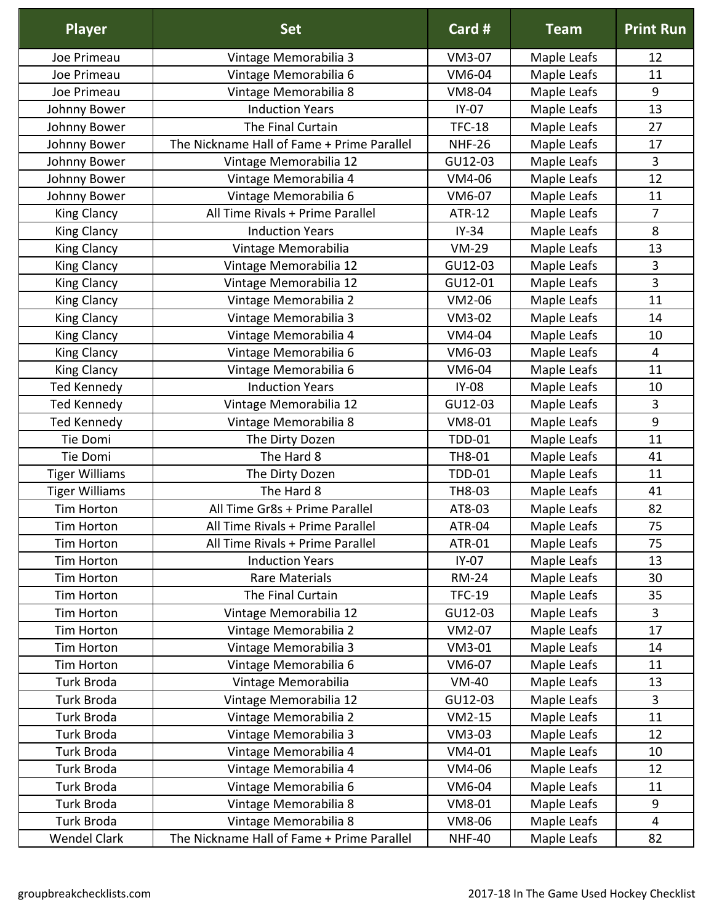| <b>Player</b>         | <b>Set</b>                                 | Card #        | <b>Team</b> | <b>Print Run</b>        |
|-----------------------|--------------------------------------------|---------------|-------------|-------------------------|
| Joe Primeau           | Vintage Memorabilia 3                      | VM3-07        | Maple Leafs | 12                      |
| Joe Primeau           | Vintage Memorabilia 6                      | VM6-04        | Maple Leafs | 11                      |
| Joe Primeau           | Vintage Memorabilia 8                      | <b>VM8-04</b> | Maple Leafs | 9                       |
| Johnny Bower          | <b>Induction Years</b>                     | $IY-07$       | Maple Leafs | 13                      |
| Johnny Bower          | The Final Curtain                          | <b>TFC-18</b> | Maple Leafs | 27                      |
| Johnny Bower          | The Nickname Hall of Fame + Prime Parallel | <b>NHF-26</b> | Maple Leafs | 17                      |
| Johnny Bower          | Vintage Memorabilia 12                     | GU12-03       | Maple Leafs | $\overline{3}$          |
| Johnny Bower          | Vintage Memorabilia 4                      | VM4-06        | Maple Leafs | 12                      |
| Johnny Bower          | Vintage Memorabilia 6                      | VM6-07        | Maple Leafs | 11                      |
| King Clancy           | All Time Rivals + Prime Parallel           | <b>ATR-12</b> | Maple Leafs | 7                       |
| King Clancy           | <b>Induction Years</b>                     | $IY-34$       | Maple Leafs | 8                       |
| King Clancy           | Vintage Memorabilia                        | <b>VM-29</b>  | Maple Leafs | 13                      |
| <b>King Clancy</b>    | Vintage Memorabilia 12                     | GU12-03       | Maple Leafs | 3                       |
| <b>King Clancy</b>    | Vintage Memorabilia 12                     | GU12-01       | Maple Leafs | 3                       |
| <b>King Clancy</b>    | Vintage Memorabilia 2                      | VM2-06        | Maple Leafs | 11                      |
| King Clancy           | Vintage Memorabilia 3                      | VM3-02        | Maple Leafs | 14                      |
| <b>King Clancy</b>    | Vintage Memorabilia 4                      | VM4-04        | Maple Leafs | 10                      |
| <b>King Clancy</b>    | Vintage Memorabilia 6                      | VM6-03        | Maple Leafs | $\overline{4}$          |
| King Clancy           | Vintage Memorabilia 6                      | VM6-04        | Maple Leafs | 11                      |
| <b>Ted Kennedy</b>    | <b>Induction Years</b>                     | <b>IY-08</b>  | Maple Leafs | 10                      |
| <b>Ted Kennedy</b>    | Vintage Memorabilia 12                     | GU12-03       | Maple Leafs | 3                       |
| <b>Ted Kennedy</b>    | Vintage Memorabilia 8                      | VM8-01        | Maple Leafs | 9                       |
| Tie Domi              | The Dirty Dozen                            | <b>TDD-01</b> | Maple Leafs | 11                      |
| Tie Domi              | The Hard 8                                 | TH8-01        | Maple Leafs | 41                      |
| <b>Tiger Williams</b> | The Dirty Dozen                            | <b>TDD-01</b> | Maple Leafs | 11                      |
| <b>Tiger Williams</b> | The Hard 8                                 | TH8-03        | Maple Leafs | 41                      |
| Tim Horton            | All Time Gr8s + Prime Parallel             | AT8-03        | Maple Leafs | 82                      |
| Tim Horton            | All Time Rivals + Prime Parallel           | ATR-04        | Maple Leafs | 75                      |
| Tim Horton            | All Time Rivals + Prime Parallel           | ATR-01        | Maple Leafs | 75                      |
| Tim Horton            | <b>Induction Years</b>                     | $IY-07$       | Maple Leafs | 13                      |
| Tim Horton            | <b>Rare Materials</b>                      | <b>RM-24</b>  | Maple Leafs | 30                      |
| <b>Tim Horton</b>     | The Final Curtain                          | <b>TFC-19</b> | Maple Leafs | 35                      |
| <b>Tim Horton</b>     | Vintage Memorabilia 12                     | GU12-03       | Maple Leafs | 3                       |
| Tim Horton            | Vintage Memorabilia 2                      | VM2-07        | Maple Leafs | 17                      |
| <b>Tim Horton</b>     | Vintage Memorabilia 3                      | VM3-01        | Maple Leafs | 14                      |
| <b>Tim Horton</b>     | Vintage Memorabilia 6                      | VM6-07        | Maple Leafs | 11                      |
| <b>Turk Broda</b>     | Vintage Memorabilia                        | <b>VM-40</b>  | Maple Leafs | 13                      |
| Turk Broda            | Vintage Memorabilia 12                     | GU12-03       | Maple Leafs | 3                       |
| <b>Turk Broda</b>     | Vintage Memorabilia 2                      | $VM2-15$      | Maple Leafs | 11                      |
| Turk Broda            | Vintage Memorabilia 3                      | VM3-03        | Maple Leafs | 12                      |
| Turk Broda            | Vintage Memorabilia 4                      | VM4-01        | Maple Leafs | 10                      |
| Turk Broda            | Vintage Memorabilia 4                      | VM4-06        | Maple Leafs | 12                      |
| <b>Turk Broda</b>     | Vintage Memorabilia 6                      | VM6-04        | Maple Leafs | 11                      |
| Turk Broda            | Vintage Memorabilia 8                      | VM8-01        | Maple Leafs | 9                       |
| Turk Broda            | Vintage Memorabilia 8                      | VM8-06        | Maple Leafs | $\overline{\mathbf{4}}$ |
| <b>Wendel Clark</b>   | The Nickname Hall of Fame + Prime Parallel | <b>NHF-40</b> | Maple Leafs | 82                      |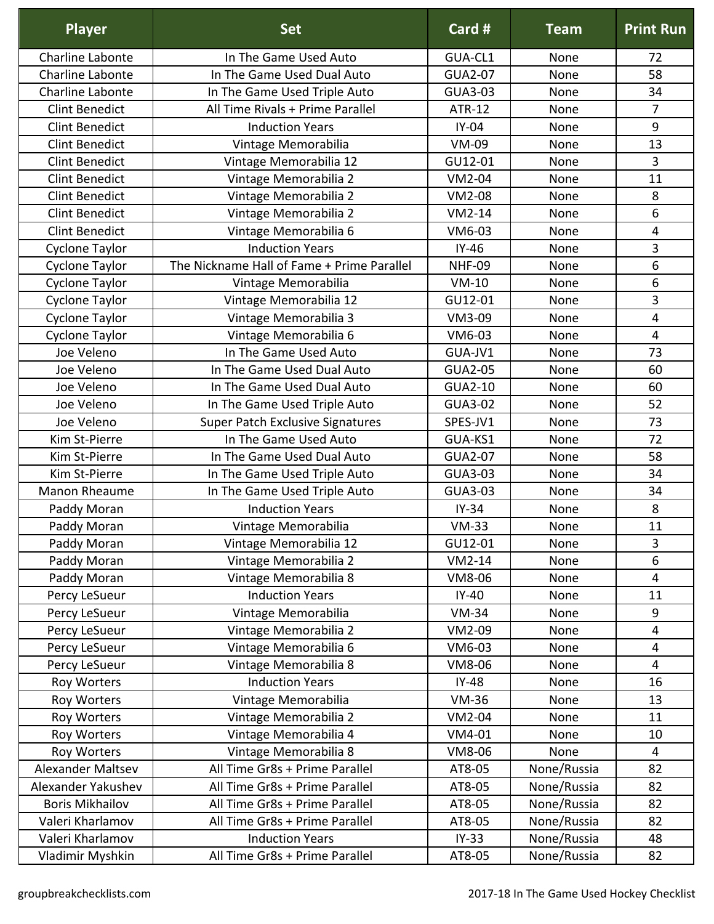| <b>Charline Labonte</b><br>In The Game Used Auto<br>GUA-CL1<br>None<br>72<br><b>Charline Labonte</b><br><b>GUA2-07</b><br>58<br>In The Game Used Dual Auto<br>None<br>Charline Labonte<br>GUA3-03<br>34<br>In The Game Used Triple Auto<br>None<br>7<br><b>Clint Benedict</b><br>All Time Rivals + Prime Parallel<br><b>ATR-12</b><br>None<br>IY-04<br><b>Clint Benedict</b><br>9<br><b>Induction Years</b><br>None<br><b>Clint Benedict</b><br>VM-09<br>13<br>Vintage Memorabilia<br>None<br>GU12-01<br>3<br><b>Clint Benedict</b><br>Vintage Memorabilia 12<br>None<br><b>Clint Benedict</b><br>Vintage Memorabilia 2<br><b>VM2-04</b><br>11<br>None<br><b>Clint Benedict</b><br>8<br>Vintage Memorabilia 2<br><b>VM2-08</b><br>None<br><b>Clint Benedict</b><br>Vintage Memorabilia 2<br>$VM2-14$<br>6<br>None<br><b>Clint Benedict</b><br>Vintage Memorabilia 6<br>VM6-03<br>$\overline{4}$<br>None<br><b>Induction Years</b><br>$IY-46$<br>3<br>Cyclone Taylor<br>None<br>6<br>The Nickname Hall of Fame + Prime Parallel<br><b>NHF-09</b><br>Cyclone Taylor<br>None<br>6<br>Cyclone Taylor<br>Vintage Memorabilia<br>$VM-10$<br>None<br>3<br>Cyclone Taylor<br>Vintage Memorabilia 12<br>GU12-01<br>None<br>Vintage Memorabilia 3<br>VM3-09<br>Cyclone Taylor<br>None<br>4<br>Cyclone Taylor<br>Vintage Memorabilia 6<br>4<br>VM6-03<br>None<br>Joe Veleno<br>In The Game Used Auto<br>GUA-JV1<br>73<br>None<br>Joe Veleno<br>In The Game Used Dual Auto<br><b>GUA2-05</b><br>60<br>None<br>GUA2-10<br>In The Game Used Dual Auto<br>60<br>Joe Veleno<br>None<br>Joe Veleno<br>In The Game Used Triple Auto<br>GUA3-02<br>52<br>None<br>SPES-JV1<br>Super Patch Exclusive Signatures<br>73<br>Joe Veleno<br>None<br>In The Game Used Auto<br>72<br>Kim St-Pierre<br>GUA-KS1<br>None<br><b>GUA2-07</b><br>Kim St-Pierre<br>In The Game Used Dual Auto<br>58<br>None<br>Kim St-Pierre<br>In The Game Used Triple Auto<br>GUA3-03<br>34<br>None<br>Manon Rheaume<br>In The Game Used Triple Auto<br>GUA3-03<br>None<br>34<br>$IY-34$<br>8<br>Paddy Moran<br><b>Induction Years</b><br>None<br>Paddy Moran<br>$VM-33$<br>Vintage Memorabilia<br>None<br>11<br>3<br>Vintage Memorabilia 12<br>GU12-01<br>Paddy Moran<br>None<br>6<br>$VM2-14$<br>Paddy Moran<br>Vintage Memorabilia 2<br>None<br>Paddy Moran<br>Vintage Memorabilia 8<br>VM8-06<br>None<br>4<br><b>Induction Years</b><br>Percy LeSueur<br>$IY-40$<br>None<br>11<br>Vintage Memorabilia<br>$VM-34$<br>9<br>Percy LeSueur<br>None<br>VM2-09<br>Percy LeSueur<br>Vintage Memorabilia 2<br>4<br>None<br>Vintage Memorabilia 6<br>VM6-03<br>Percy LeSueur<br>None<br>4<br>Vintage Memorabilia 8<br>VM8-06<br>Percy LeSueur<br>None<br>4<br><b>Induction Years</b><br>$IY-48$<br>Roy Worters<br>None<br>16<br><b>VM-36</b><br>Vintage Memorabilia<br>13<br>Roy Worters<br>None<br>Vintage Memorabilia 2<br>VM2-04<br>Roy Worters<br>None<br>11<br>Vintage Memorabilia 4<br>Roy Worters<br>VM4-01<br>10<br>None<br>VM8-06<br>Vintage Memorabilia 8<br>$\overline{4}$<br>Roy Worters<br>None<br>All Time Gr8s + Prime Parallel<br>None/Russia<br><b>Alexander Maltsev</b><br>82<br>AT8-05<br>Alexander Yakushev<br>All Time Gr8s + Prime Parallel<br>None/Russia<br>82<br>AT8-05<br><b>Boris Mikhailov</b><br>All Time Gr8s + Prime Parallel<br>AT8-05<br>None/Russia<br>82<br>None/Russia<br>Valeri Kharlamov<br>All Time Gr8s + Prime Parallel<br>AT8-05<br>82<br>None/Russia<br>Valeri Kharlamov<br><b>Induction Years</b><br>$IY-33$<br>48 | <b>Player</b>    | <b>Set</b>                     | Card # | <b>Team</b> | <b>Print Run</b> |
|----------------------------------------------------------------------------------------------------------------------------------------------------------------------------------------------------------------------------------------------------------------------------------------------------------------------------------------------------------------------------------------------------------------------------------------------------------------------------------------------------------------------------------------------------------------------------------------------------------------------------------------------------------------------------------------------------------------------------------------------------------------------------------------------------------------------------------------------------------------------------------------------------------------------------------------------------------------------------------------------------------------------------------------------------------------------------------------------------------------------------------------------------------------------------------------------------------------------------------------------------------------------------------------------------------------------------------------------------------------------------------------------------------------------------------------------------------------------------------------------------------------------------------------------------------------------------------------------------------------------------------------------------------------------------------------------------------------------------------------------------------------------------------------------------------------------------------------------------------------------------------------------------------------------------------------------------------------------------------------------------------------------------------------------------------------------------------------------------------------------------------------------------------------------------------------------------------------------------------------------------------------------------------------------------------------------------------------------------------------------------------------------------------------------------------------------------------------------------------------------------------------------------------------------------------------------------------------------------------------------------------------------------------------------------------------------------------------------------------------------------------------------------------------------------------------------------------------------------------------------------------------------------------------------------------------------------------------------------------------------------------------------------------------------------------------------------------------------------------------------------------------------------------------------------------------------------------------------------------------------------------------------------------------------------------------------------------------------------------------------------------------------------------------------------------------------------------------------------------------------------------|------------------|--------------------------------|--------|-------------|------------------|
|                                                                                                                                                                                                                                                                                                                                                                                                                                                                                                                                                                                                                                                                                                                                                                                                                                                                                                                                                                                                                                                                                                                                                                                                                                                                                                                                                                                                                                                                                                                                                                                                                                                                                                                                                                                                                                                                                                                                                                                                                                                                                                                                                                                                                                                                                                                                                                                                                                                                                                                                                                                                                                                                                                                                                                                                                                                                                                                                                                                                                                                                                                                                                                                                                                                                                                                                                                                                                                                                                                          |                  |                                |        |             |                  |
|                                                                                                                                                                                                                                                                                                                                                                                                                                                                                                                                                                                                                                                                                                                                                                                                                                                                                                                                                                                                                                                                                                                                                                                                                                                                                                                                                                                                                                                                                                                                                                                                                                                                                                                                                                                                                                                                                                                                                                                                                                                                                                                                                                                                                                                                                                                                                                                                                                                                                                                                                                                                                                                                                                                                                                                                                                                                                                                                                                                                                                                                                                                                                                                                                                                                                                                                                                                                                                                                                                          |                  |                                |        |             |                  |
|                                                                                                                                                                                                                                                                                                                                                                                                                                                                                                                                                                                                                                                                                                                                                                                                                                                                                                                                                                                                                                                                                                                                                                                                                                                                                                                                                                                                                                                                                                                                                                                                                                                                                                                                                                                                                                                                                                                                                                                                                                                                                                                                                                                                                                                                                                                                                                                                                                                                                                                                                                                                                                                                                                                                                                                                                                                                                                                                                                                                                                                                                                                                                                                                                                                                                                                                                                                                                                                                                                          |                  |                                |        |             |                  |
|                                                                                                                                                                                                                                                                                                                                                                                                                                                                                                                                                                                                                                                                                                                                                                                                                                                                                                                                                                                                                                                                                                                                                                                                                                                                                                                                                                                                                                                                                                                                                                                                                                                                                                                                                                                                                                                                                                                                                                                                                                                                                                                                                                                                                                                                                                                                                                                                                                                                                                                                                                                                                                                                                                                                                                                                                                                                                                                                                                                                                                                                                                                                                                                                                                                                                                                                                                                                                                                                                                          |                  |                                |        |             |                  |
|                                                                                                                                                                                                                                                                                                                                                                                                                                                                                                                                                                                                                                                                                                                                                                                                                                                                                                                                                                                                                                                                                                                                                                                                                                                                                                                                                                                                                                                                                                                                                                                                                                                                                                                                                                                                                                                                                                                                                                                                                                                                                                                                                                                                                                                                                                                                                                                                                                                                                                                                                                                                                                                                                                                                                                                                                                                                                                                                                                                                                                                                                                                                                                                                                                                                                                                                                                                                                                                                                                          |                  |                                |        |             |                  |
|                                                                                                                                                                                                                                                                                                                                                                                                                                                                                                                                                                                                                                                                                                                                                                                                                                                                                                                                                                                                                                                                                                                                                                                                                                                                                                                                                                                                                                                                                                                                                                                                                                                                                                                                                                                                                                                                                                                                                                                                                                                                                                                                                                                                                                                                                                                                                                                                                                                                                                                                                                                                                                                                                                                                                                                                                                                                                                                                                                                                                                                                                                                                                                                                                                                                                                                                                                                                                                                                                                          |                  |                                |        |             |                  |
|                                                                                                                                                                                                                                                                                                                                                                                                                                                                                                                                                                                                                                                                                                                                                                                                                                                                                                                                                                                                                                                                                                                                                                                                                                                                                                                                                                                                                                                                                                                                                                                                                                                                                                                                                                                                                                                                                                                                                                                                                                                                                                                                                                                                                                                                                                                                                                                                                                                                                                                                                                                                                                                                                                                                                                                                                                                                                                                                                                                                                                                                                                                                                                                                                                                                                                                                                                                                                                                                                                          |                  |                                |        |             |                  |
|                                                                                                                                                                                                                                                                                                                                                                                                                                                                                                                                                                                                                                                                                                                                                                                                                                                                                                                                                                                                                                                                                                                                                                                                                                                                                                                                                                                                                                                                                                                                                                                                                                                                                                                                                                                                                                                                                                                                                                                                                                                                                                                                                                                                                                                                                                                                                                                                                                                                                                                                                                                                                                                                                                                                                                                                                                                                                                                                                                                                                                                                                                                                                                                                                                                                                                                                                                                                                                                                                                          |                  |                                |        |             |                  |
|                                                                                                                                                                                                                                                                                                                                                                                                                                                                                                                                                                                                                                                                                                                                                                                                                                                                                                                                                                                                                                                                                                                                                                                                                                                                                                                                                                                                                                                                                                                                                                                                                                                                                                                                                                                                                                                                                                                                                                                                                                                                                                                                                                                                                                                                                                                                                                                                                                                                                                                                                                                                                                                                                                                                                                                                                                                                                                                                                                                                                                                                                                                                                                                                                                                                                                                                                                                                                                                                                                          |                  |                                |        |             |                  |
|                                                                                                                                                                                                                                                                                                                                                                                                                                                                                                                                                                                                                                                                                                                                                                                                                                                                                                                                                                                                                                                                                                                                                                                                                                                                                                                                                                                                                                                                                                                                                                                                                                                                                                                                                                                                                                                                                                                                                                                                                                                                                                                                                                                                                                                                                                                                                                                                                                                                                                                                                                                                                                                                                                                                                                                                                                                                                                                                                                                                                                                                                                                                                                                                                                                                                                                                                                                                                                                                                                          |                  |                                |        |             |                  |
|                                                                                                                                                                                                                                                                                                                                                                                                                                                                                                                                                                                                                                                                                                                                                                                                                                                                                                                                                                                                                                                                                                                                                                                                                                                                                                                                                                                                                                                                                                                                                                                                                                                                                                                                                                                                                                                                                                                                                                                                                                                                                                                                                                                                                                                                                                                                                                                                                                                                                                                                                                                                                                                                                                                                                                                                                                                                                                                                                                                                                                                                                                                                                                                                                                                                                                                                                                                                                                                                                                          |                  |                                |        |             |                  |
|                                                                                                                                                                                                                                                                                                                                                                                                                                                                                                                                                                                                                                                                                                                                                                                                                                                                                                                                                                                                                                                                                                                                                                                                                                                                                                                                                                                                                                                                                                                                                                                                                                                                                                                                                                                                                                                                                                                                                                                                                                                                                                                                                                                                                                                                                                                                                                                                                                                                                                                                                                                                                                                                                                                                                                                                                                                                                                                                                                                                                                                                                                                                                                                                                                                                                                                                                                                                                                                                                                          |                  |                                |        |             |                  |
|                                                                                                                                                                                                                                                                                                                                                                                                                                                                                                                                                                                                                                                                                                                                                                                                                                                                                                                                                                                                                                                                                                                                                                                                                                                                                                                                                                                                                                                                                                                                                                                                                                                                                                                                                                                                                                                                                                                                                                                                                                                                                                                                                                                                                                                                                                                                                                                                                                                                                                                                                                                                                                                                                                                                                                                                                                                                                                                                                                                                                                                                                                                                                                                                                                                                                                                                                                                                                                                                                                          |                  |                                |        |             |                  |
|                                                                                                                                                                                                                                                                                                                                                                                                                                                                                                                                                                                                                                                                                                                                                                                                                                                                                                                                                                                                                                                                                                                                                                                                                                                                                                                                                                                                                                                                                                                                                                                                                                                                                                                                                                                                                                                                                                                                                                                                                                                                                                                                                                                                                                                                                                                                                                                                                                                                                                                                                                                                                                                                                                                                                                                                                                                                                                                                                                                                                                                                                                                                                                                                                                                                                                                                                                                                                                                                                                          |                  |                                |        |             |                  |
|                                                                                                                                                                                                                                                                                                                                                                                                                                                                                                                                                                                                                                                                                                                                                                                                                                                                                                                                                                                                                                                                                                                                                                                                                                                                                                                                                                                                                                                                                                                                                                                                                                                                                                                                                                                                                                                                                                                                                                                                                                                                                                                                                                                                                                                                                                                                                                                                                                                                                                                                                                                                                                                                                                                                                                                                                                                                                                                                                                                                                                                                                                                                                                                                                                                                                                                                                                                                                                                                                                          |                  |                                |        |             |                  |
|                                                                                                                                                                                                                                                                                                                                                                                                                                                                                                                                                                                                                                                                                                                                                                                                                                                                                                                                                                                                                                                                                                                                                                                                                                                                                                                                                                                                                                                                                                                                                                                                                                                                                                                                                                                                                                                                                                                                                                                                                                                                                                                                                                                                                                                                                                                                                                                                                                                                                                                                                                                                                                                                                                                                                                                                                                                                                                                                                                                                                                                                                                                                                                                                                                                                                                                                                                                                                                                                                                          |                  |                                |        |             |                  |
|                                                                                                                                                                                                                                                                                                                                                                                                                                                                                                                                                                                                                                                                                                                                                                                                                                                                                                                                                                                                                                                                                                                                                                                                                                                                                                                                                                                                                                                                                                                                                                                                                                                                                                                                                                                                                                                                                                                                                                                                                                                                                                                                                                                                                                                                                                                                                                                                                                                                                                                                                                                                                                                                                                                                                                                                                                                                                                                                                                                                                                                                                                                                                                                                                                                                                                                                                                                                                                                                                                          |                  |                                |        |             |                  |
|                                                                                                                                                                                                                                                                                                                                                                                                                                                                                                                                                                                                                                                                                                                                                                                                                                                                                                                                                                                                                                                                                                                                                                                                                                                                                                                                                                                                                                                                                                                                                                                                                                                                                                                                                                                                                                                                                                                                                                                                                                                                                                                                                                                                                                                                                                                                                                                                                                                                                                                                                                                                                                                                                                                                                                                                                                                                                                                                                                                                                                                                                                                                                                                                                                                                                                                                                                                                                                                                                                          |                  |                                |        |             |                  |
|                                                                                                                                                                                                                                                                                                                                                                                                                                                                                                                                                                                                                                                                                                                                                                                                                                                                                                                                                                                                                                                                                                                                                                                                                                                                                                                                                                                                                                                                                                                                                                                                                                                                                                                                                                                                                                                                                                                                                                                                                                                                                                                                                                                                                                                                                                                                                                                                                                                                                                                                                                                                                                                                                                                                                                                                                                                                                                                                                                                                                                                                                                                                                                                                                                                                                                                                                                                                                                                                                                          |                  |                                |        |             |                  |
|                                                                                                                                                                                                                                                                                                                                                                                                                                                                                                                                                                                                                                                                                                                                                                                                                                                                                                                                                                                                                                                                                                                                                                                                                                                                                                                                                                                                                                                                                                                                                                                                                                                                                                                                                                                                                                                                                                                                                                                                                                                                                                                                                                                                                                                                                                                                                                                                                                                                                                                                                                                                                                                                                                                                                                                                                                                                                                                                                                                                                                                                                                                                                                                                                                                                                                                                                                                                                                                                                                          |                  |                                |        |             |                  |
|                                                                                                                                                                                                                                                                                                                                                                                                                                                                                                                                                                                                                                                                                                                                                                                                                                                                                                                                                                                                                                                                                                                                                                                                                                                                                                                                                                                                                                                                                                                                                                                                                                                                                                                                                                                                                                                                                                                                                                                                                                                                                                                                                                                                                                                                                                                                                                                                                                                                                                                                                                                                                                                                                                                                                                                                                                                                                                                                                                                                                                                                                                                                                                                                                                                                                                                                                                                                                                                                                                          |                  |                                |        |             |                  |
|                                                                                                                                                                                                                                                                                                                                                                                                                                                                                                                                                                                                                                                                                                                                                                                                                                                                                                                                                                                                                                                                                                                                                                                                                                                                                                                                                                                                                                                                                                                                                                                                                                                                                                                                                                                                                                                                                                                                                                                                                                                                                                                                                                                                                                                                                                                                                                                                                                                                                                                                                                                                                                                                                                                                                                                                                                                                                                                                                                                                                                                                                                                                                                                                                                                                                                                                                                                                                                                                                                          |                  |                                |        |             |                  |
|                                                                                                                                                                                                                                                                                                                                                                                                                                                                                                                                                                                                                                                                                                                                                                                                                                                                                                                                                                                                                                                                                                                                                                                                                                                                                                                                                                                                                                                                                                                                                                                                                                                                                                                                                                                                                                                                                                                                                                                                                                                                                                                                                                                                                                                                                                                                                                                                                                                                                                                                                                                                                                                                                                                                                                                                                                                                                                                                                                                                                                                                                                                                                                                                                                                                                                                                                                                                                                                                                                          |                  |                                |        |             |                  |
|                                                                                                                                                                                                                                                                                                                                                                                                                                                                                                                                                                                                                                                                                                                                                                                                                                                                                                                                                                                                                                                                                                                                                                                                                                                                                                                                                                                                                                                                                                                                                                                                                                                                                                                                                                                                                                                                                                                                                                                                                                                                                                                                                                                                                                                                                                                                                                                                                                                                                                                                                                                                                                                                                                                                                                                                                                                                                                                                                                                                                                                                                                                                                                                                                                                                                                                                                                                                                                                                                                          |                  |                                |        |             |                  |
|                                                                                                                                                                                                                                                                                                                                                                                                                                                                                                                                                                                                                                                                                                                                                                                                                                                                                                                                                                                                                                                                                                                                                                                                                                                                                                                                                                                                                                                                                                                                                                                                                                                                                                                                                                                                                                                                                                                                                                                                                                                                                                                                                                                                                                                                                                                                                                                                                                                                                                                                                                                                                                                                                                                                                                                                                                                                                                                                                                                                                                                                                                                                                                                                                                                                                                                                                                                                                                                                                                          |                  |                                |        |             |                  |
|                                                                                                                                                                                                                                                                                                                                                                                                                                                                                                                                                                                                                                                                                                                                                                                                                                                                                                                                                                                                                                                                                                                                                                                                                                                                                                                                                                                                                                                                                                                                                                                                                                                                                                                                                                                                                                                                                                                                                                                                                                                                                                                                                                                                                                                                                                                                                                                                                                                                                                                                                                                                                                                                                                                                                                                                                                                                                                                                                                                                                                                                                                                                                                                                                                                                                                                                                                                                                                                                                                          |                  |                                |        |             |                  |
|                                                                                                                                                                                                                                                                                                                                                                                                                                                                                                                                                                                                                                                                                                                                                                                                                                                                                                                                                                                                                                                                                                                                                                                                                                                                                                                                                                                                                                                                                                                                                                                                                                                                                                                                                                                                                                                                                                                                                                                                                                                                                                                                                                                                                                                                                                                                                                                                                                                                                                                                                                                                                                                                                                                                                                                                                                                                                                                                                                                                                                                                                                                                                                                                                                                                                                                                                                                                                                                                                                          |                  |                                |        |             |                  |
|                                                                                                                                                                                                                                                                                                                                                                                                                                                                                                                                                                                                                                                                                                                                                                                                                                                                                                                                                                                                                                                                                                                                                                                                                                                                                                                                                                                                                                                                                                                                                                                                                                                                                                                                                                                                                                                                                                                                                                                                                                                                                                                                                                                                                                                                                                                                                                                                                                                                                                                                                                                                                                                                                                                                                                                                                                                                                                                                                                                                                                                                                                                                                                                                                                                                                                                                                                                                                                                                                                          |                  |                                |        |             |                  |
|                                                                                                                                                                                                                                                                                                                                                                                                                                                                                                                                                                                                                                                                                                                                                                                                                                                                                                                                                                                                                                                                                                                                                                                                                                                                                                                                                                                                                                                                                                                                                                                                                                                                                                                                                                                                                                                                                                                                                                                                                                                                                                                                                                                                                                                                                                                                                                                                                                                                                                                                                                                                                                                                                                                                                                                                                                                                                                                                                                                                                                                                                                                                                                                                                                                                                                                                                                                                                                                                                                          |                  |                                |        |             |                  |
|                                                                                                                                                                                                                                                                                                                                                                                                                                                                                                                                                                                                                                                                                                                                                                                                                                                                                                                                                                                                                                                                                                                                                                                                                                                                                                                                                                                                                                                                                                                                                                                                                                                                                                                                                                                                                                                                                                                                                                                                                                                                                                                                                                                                                                                                                                                                                                                                                                                                                                                                                                                                                                                                                                                                                                                                                                                                                                                                                                                                                                                                                                                                                                                                                                                                                                                                                                                                                                                                                                          |                  |                                |        |             |                  |
|                                                                                                                                                                                                                                                                                                                                                                                                                                                                                                                                                                                                                                                                                                                                                                                                                                                                                                                                                                                                                                                                                                                                                                                                                                                                                                                                                                                                                                                                                                                                                                                                                                                                                                                                                                                                                                                                                                                                                                                                                                                                                                                                                                                                                                                                                                                                                                                                                                                                                                                                                                                                                                                                                                                                                                                                                                                                                                                                                                                                                                                                                                                                                                                                                                                                                                                                                                                                                                                                                                          |                  |                                |        |             |                  |
|                                                                                                                                                                                                                                                                                                                                                                                                                                                                                                                                                                                                                                                                                                                                                                                                                                                                                                                                                                                                                                                                                                                                                                                                                                                                                                                                                                                                                                                                                                                                                                                                                                                                                                                                                                                                                                                                                                                                                                                                                                                                                                                                                                                                                                                                                                                                                                                                                                                                                                                                                                                                                                                                                                                                                                                                                                                                                                                                                                                                                                                                                                                                                                                                                                                                                                                                                                                                                                                                                                          |                  |                                |        |             |                  |
|                                                                                                                                                                                                                                                                                                                                                                                                                                                                                                                                                                                                                                                                                                                                                                                                                                                                                                                                                                                                                                                                                                                                                                                                                                                                                                                                                                                                                                                                                                                                                                                                                                                                                                                                                                                                                                                                                                                                                                                                                                                                                                                                                                                                                                                                                                                                                                                                                                                                                                                                                                                                                                                                                                                                                                                                                                                                                                                                                                                                                                                                                                                                                                                                                                                                                                                                                                                                                                                                                                          |                  |                                |        |             |                  |
|                                                                                                                                                                                                                                                                                                                                                                                                                                                                                                                                                                                                                                                                                                                                                                                                                                                                                                                                                                                                                                                                                                                                                                                                                                                                                                                                                                                                                                                                                                                                                                                                                                                                                                                                                                                                                                                                                                                                                                                                                                                                                                                                                                                                                                                                                                                                                                                                                                                                                                                                                                                                                                                                                                                                                                                                                                                                                                                                                                                                                                                                                                                                                                                                                                                                                                                                                                                                                                                                                                          |                  |                                |        |             |                  |
|                                                                                                                                                                                                                                                                                                                                                                                                                                                                                                                                                                                                                                                                                                                                                                                                                                                                                                                                                                                                                                                                                                                                                                                                                                                                                                                                                                                                                                                                                                                                                                                                                                                                                                                                                                                                                                                                                                                                                                                                                                                                                                                                                                                                                                                                                                                                                                                                                                                                                                                                                                                                                                                                                                                                                                                                                                                                                                                                                                                                                                                                                                                                                                                                                                                                                                                                                                                                                                                                                                          |                  |                                |        |             |                  |
|                                                                                                                                                                                                                                                                                                                                                                                                                                                                                                                                                                                                                                                                                                                                                                                                                                                                                                                                                                                                                                                                                                                                                                                                                                                                                                                                                                                                                                                                                                                                                                                                                                                                                                                                                                                                                                                                                                                                                                                                                                                                                                                                                                                                                                                                                                                                                                                                                                                                                                                                                                                                                                                                                                                                                                                                                                                                                                                                                                                                                                                                                                                                                                                                                                                                                                                                                                                                                                                                                                          |                  |                                |        |             |                  |
|                                                                                                                                                                                                                                                                                                                                                                                                                                                                                                                                                                                                                                                                                                                                                                                                                                                                                                                                                                                                                                                                                                                                                                                                                                                                                                                                                                                                                                                                                                                                                                                                                                                                                                                                                                                                                                                                                                                                                                                                                                                                                                                                                                                                                                                                                                                                                                                                                                                                                                                                                                                                                                                                                                                                                                                                                                                                                                                                                                                                                                                                                                                                                                                                                                                                                                                                                                                                                                                                                                          |                  |                                |        |             |                  |
|                                                                                                                                                                                                                                                                                                                                                                                                                                                                                                                                                                                                                                                                                                                                                                                                                                                                                                                                                                                                                                                                                                                                                                                                                                                                                                                                                                                                                                                                                                                                                                                                                                                                                                                                                                                                                                                                                                                                                                                                                                                                                                                                                                                                                                                                                                                                                                                                                                                                                                                                                                                                                                                                                                                                                                                                                                                                                                                                                                                                                                                                                                                                                                                                                                                                                                                                                                                                                                                                                                          |                  |                                |        |             |                  |
|                                                                                                                                                                                                                                                                                                                                                                                                                                                                                                                                                                                                                                                                                                                                                                                                                                                                                                                                                                                                                                                                                                                                                                                                                                                                                                                                                                                                                                                                                                                                                                                                                                                                                                                                                                                                                                                                                                                                                                                                                                                                                                                                                                                                                                                                                                                                                                                                                                                                                                                                                                                                                                                                                                                                                                                                                                                                                                                                                                                                                                                                                                                                                                                                                                                                                                                                                                                                                                                                                                          |                  |                                |        |             |                  |
|                                                                                                                                                                                                                                                                                                                                                                                                                                                                                                                                                                                                                                                                                                                                                                                                                                                                                                                                                                                                                                                                                                                                                                                                                                                                                                                                                                                                                                                                                                                                                                                                                                                                                                                                                                                                                                                                                                                                                                                                                                                                                                                                                                                                                                                                                                                                                                                                                                                                                                                                                                                                                                                                                                                                                                                                                                                                                                                                                                                                                                                                                                                                                                                                                                                                                                                                                                                                                                                                                                          |                  |                                |        |             |                  |
|                                                                                                                                                                                                                                                                                                                                                                                                                                                                                                                                                                                                                                                                                                                                                                                                                                                                                                                                                                                                                                                                                                                                                                                                                                                                                                                                                                                                                                                                                                                                                                                                                                                                                                                                                                                                                                                                                                                                                                                                                                                                                                                                                                                                                                                                                                                                                                                                                                                                                                                                                                                                                                                                                                                                                                                                                                                                                                                                                                                                                                                                                                                                                                                                                                                                                                                                                                                                                                                                                                          |                  |                                |        |             |                  |
|                                                                                                                                                                                                                                                                                                                                                                                                                                                                                                                                                                                                                                                                                                                                                                                                                                                                                                                                                                                                                                                                                                                                                                                                                                                                                                                                                                                                                                                                                                                                                                                                                                                                                                                                                                                                                                                                                                                                                                                                                                                                                                                                                                                                                                                                                                                                                                                                                                                                                                                                                                                                                                                                                                                                                                                                                                                                                                                                                                                                                                                                                                                                                                                                                                                                                                                                                                                                                                                                                                          |                  |                                |        |             |                  |
|                                                                                                                                                                                                                                                                                                                                                                                                                                                                                                                                                                                                                                                                                                                                                                                                                                                                                                                                                                                                                                                                                                                                                                                                                                                                                                                                                                                                                                                                                                                                                                                                                                                                                                                                                                                                                                                                                                                                                                                                                                                                                                                                                                                                                                                                                                                                                                                                                                                                                                                                                                                                                                                                                                                                                                                                                                                                                                                                                                                                                                                                                                                                                                                                                                                                                                                                                                                                                                                                                                          |                  |                                |        |             |                  |
|                                                                                                                                                                                                                                                                                                                                                                                                                                                                                                                                                                                                                                                                                                                                                                                                                                                                                                                                                                                                                                                                                                                                                                                                                                                                                                                                                                                                                                                                                                                                                                                                                                                                                                                                                                                                                                                                                                                                                                                                                                                                                                                                                                                                                                                                                                                                                                                                                                                                                                                                                                                                                                                                                                                                                                                                                                                                                                                                                                                                                                                                                                                                                                                                                                                                                                                                                                                                                                                                                                          |                  |                                |        |             |                  |
|                                                                                                                                                                                                                                                                                                                                                                                                                                                                                                                                                                                                                                                                                                                                                                                                                                                                                                                                                                                                                                                                                                                                                                                                                                                                                                                                                                                                                                                                                                                                                                                                                                                                                                                                                                                                                                                                                                                                                                                                                                                                                                                                                                                                                                                                                                                                                                                                                                                                                                                                                                                                                                                                                                                                                                                                                                                                                                                                                                                                                                                                                                                                                                                                                                                                                                                                                                                                                                                                                                          |                  |                                |        |             |                  |
|                                                                                                                                                                                                                                                                                                                                                                                                                                                                                                                                                                                                                                                                                                                                                                                                                                                                                                                                                                                                                                                                                                                                                                                                                                                                                                                                                                                                                                                                                                                                                                                                                                                                                                                                                                                                                                                                                                                                                                                                                                                                                                                                                                                                                                                                                                                                                                                                                                                                                                                                                                                                                                                                                                                                                                                                                                                                                                                                                                                                                                                                                                                                                                                                                                                                                                                                                                                                                                                                                                          | Vladimir Myshkin | All Time Gr8s + Prime Parallel | AT8-05 | None/Russia | 82               |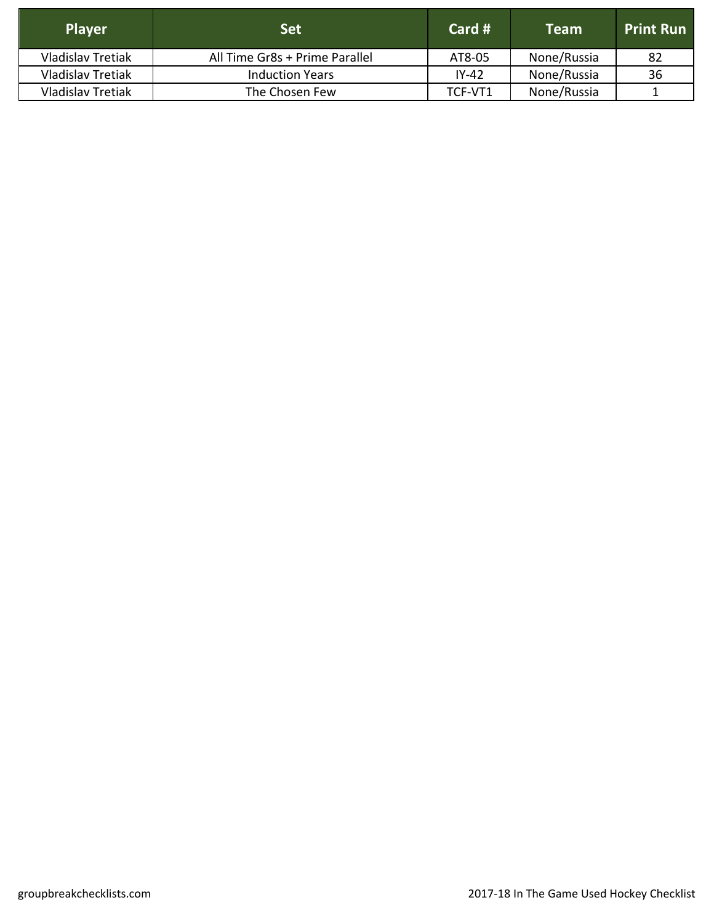| <b>Player</b>            | <b>Set</b>                     | Card $#$ | <b>Team</b> | <b>Print Run</b> |
|--------------------------|--------------------------------|----------|-------------|------------------|
| <b>Vladislav Tretiak</b> | All Time Gr8s + Prime Parallel | AT8-05   | None/Russia | -82              |
| <b>Vladislav Tretiak</b> | <b>Induction Years</b>         | IY-42    | None/Russia | 36               |
| <b>Vladislav Tretiak</b> | The Chosen Few                 | TCF-VT1  | None/Russia |                  |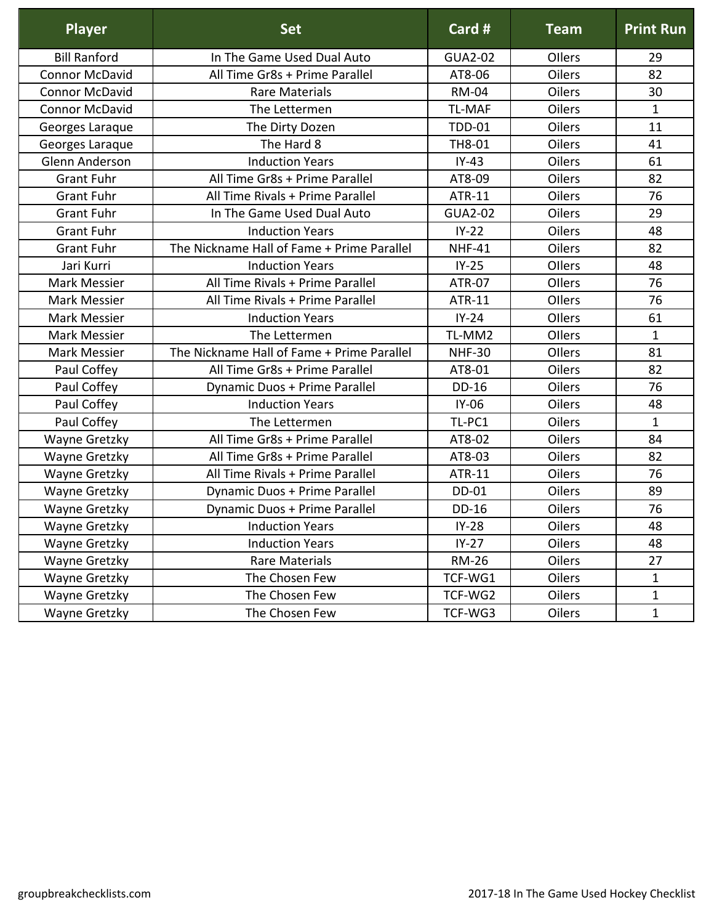| <b>Player</b>         | <b>Set</b>                                 | Card #         | <b>Team</b>   | <b>Print Run</b> |
|-----------------------|--------------------------------------------|----------------|---------------|------------------|
| <b>Bill Ranford</b>   | In The Game Used Dual Auto                 | <b>GUA2-02</b> | Ollers        | 29               |
| <b>Connor McDavid</b> | All Time Gr8s + Prime Parallel             | AT8-06         | Oilers        | 82               |
| <b>Connor McDavid</b> | <b>Rare Materials</b>                      | <b>RM-04</b>   | Oilers        | 30               |
| <b>Connor McDavid</b> | The Lettermen                              | <b>TL-MAF</b>  | Oilers        | $\mathbf{1}$     |
| Georges Laraque       | The Dirty Dozen                            | <b>TDD-01</b>  | Oilers        | 11               |
| Georges Laraque       | The Hard 8                                 | TH8-01         | Oilers        | 41               |
| Glenn Anderson        | <b>Induction Years</b>                     | $IY-43$        | <b>Oilers</b> | 61               |
| <b>Grant Fuhr</b>     | All Time Gr8s + Prime Parallel             | AT8-09         | Oilers        | 82               |
| <b>Grant Fuhr</b>     | All Time Rivals + Prime Parallel           | ATR-11         | Oilers        | 76               |
| <b>Grant Fuhr</b>     | In The Game Used Dual Auto                 | <b>GUA2-02</b> | Oilers        | 29               |
| <b>Grant Fuhr</b>     | <b>Induction Years</b>                     | $IY-22$        | Oilers        | 48               |
| <b>Grant Fuhr</b>     | The Nickname Hall of Fame + Prime Parallel | <b>NHF-41</b>  | Oilers        | 82               |
| Jari Kurri            | <b>Induction Years</b>                     | $IY-25$        | Ollers        | 48               |
| <b>Mark Messier</b>   | All Time Rivals + Prime Parallel           | <b>ATR-07</b>  | Ollers        | 76               |
| <b>Mark Messier</b>   | All Time Rivals + Prime Parallel           | ATR-11         | Ollers        | 76               |
| <b>Mark Messier</b>   | <b>Induction Years</b>                     | $IY-24$        | Ollers        | 61               |
| Mark Messier          | The Lettermen                              | TL-MM2         | Ollers        | $\mathbf{1}$     |
| <b>Mark Messier</b>   | The Nickname Hall of Fame + Prime Parallel | <b>NHF-30</b>  | Ollers        | 81               |
| Paul Coffey           | All Time Gr8s + Prime Parallel             | AT8-01         | Oilers        | 82               |
| Paul Coffey           | Dynamic Duos + Prime Parallel              | DD-16          | Oilers        | 76               |
| Paul Coffey           | <b>Induction Years</b>                     | $IY-06$        | Oilers        | 48               |
| Paul Coffey           | The Lettermen                              | TL-PC1         | Oilers        | $\mathbf{1}$     |
| Wayne Gretzky         | All Time Gr8s + Prime Parallel             | AT8-02         | Oilers        | 84               |
| Wayne Gretzky         | All Time Gr8s + Prime Parallel             | AT8-03         | Oilers        | 82               |
| Wayne Gretzky         | All Time Rivals + Prime Parallel           | ATR-11         | Oilers        | 76               |
| Wayne Gretzky         | Dynamic Duos + Prime Parallel              | DD-01          | Oilers        | 89               |
| Wayne Gretzky         | Dynamic Duos + Prime Parallel              | DD-16          | Oilers        | 76               |
| Wayne Gretzky         | <b>Induction Years</b>                     | $IY-28$        | <b>Oilers</b> | 48               |
| Wayne Gretzky         | <b>Induction Years</b>                     | $IY-27$        | <b>Oilers</b> | 48               |
| Wayne Gretzky         | <b>Rare Materials</b>                      | <b>RM-26</b>   | <b>Oilers</b> | 27               |
| Wayne Gretzky         | The Chosen Few                             | TCF-WG1        | Oilers        | $\mathbf{1}$     |
| Wayne Gretzky         | The Chosen Few                             | TCF-WG2        | Oilers        | $\mathbf{1}$     |
| Wayne Gretzky         | The Chosen Few                             | TCF-WG3        | Oilers        | $\mathbf{1}$     |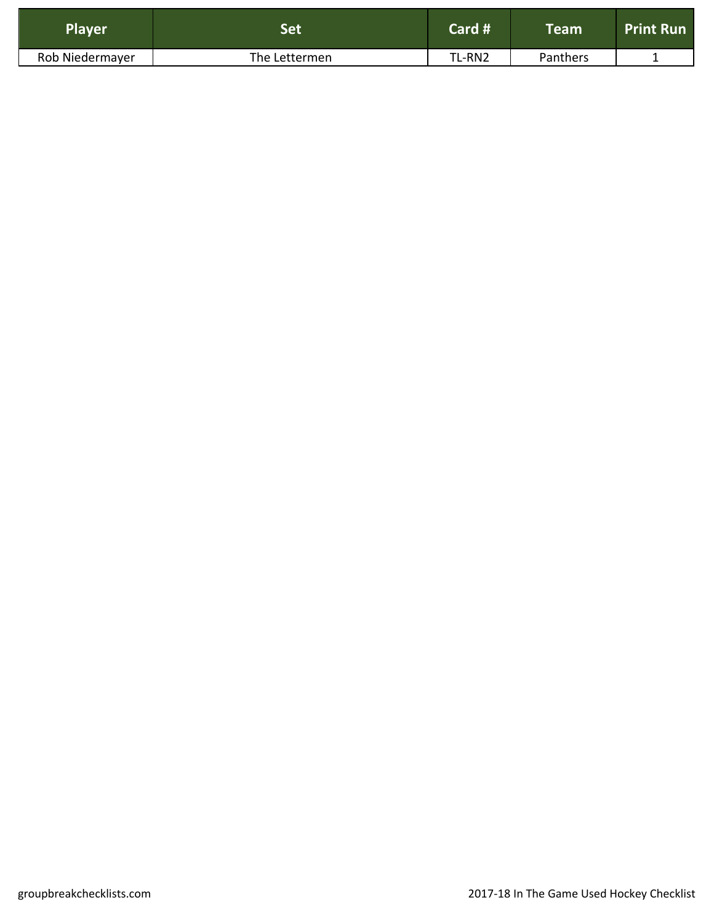| <b>Player</b>   |               | Card # | $\mathsf{T}$ eam $^{\mathsf{l}}$ | <b>Print Run</b> |
|-----------------|---------------|--------|----------------------------------|------------------|
| Rob Niedermayer | The Lettermen | TL-RN2 | Panthers                         |                  |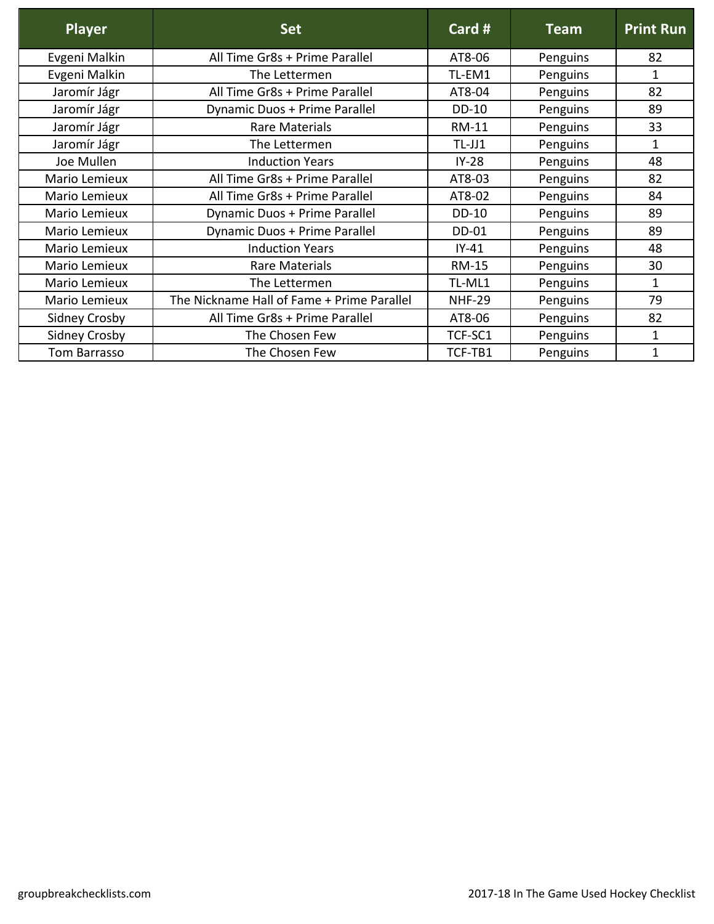| <b>Player</b>        | <b>Set</b>                                 | Card #        | <b>Team</b> | <b>Print Run</b> |
|----------------------|--------------------------------------------|---------------|-------------|------------------|
| Evgeni Malkin        | All Time Gr8s + Prime Parallel             | AT8-06        | Penguins    | 82               |
| Evgeni Malkin        | The Lettermen                              | TL-EM1        | Penguins    | $\mathbf 1$      |
| Jaromír Jágr         | All Time Gr8s + Prime Parallel             | AT8-04        | Penguins    | 82               |
| Jaromír Jágr         | Dynamic Duos + Prime Parallel              | <b>DD-10</b>  | Penguins    | 89               |
| Jaromír Jágr         | <b>Rare Materials</b>                      | <b>RM-11</b>  | Penguins    | 33               |
| Jaromír Jágr         | The Lettermen                              | $TL-JJ1$      | Penguins    | 1                |
| Joe Mullen           | <b>Induction Years</b>                     | $IY-28$       | Penguins    | 48               |
| Mario Lemieux        | All Time Gr8s + Prime Parallel             | AT8-03        | Penguins    | 82               |
| Mario Lemieux        | All Time Gr8s + Prime Parallel             | AT8-02        | Penguins    | 84               |
| Mario Lemieux        | Dynamic Duos + Prime Parallel              | <b>DD-10</b>  | Penguins    | 89               |
| Mario Lemieux        | Dynamic Duos + Prime Parallel              | DD-01         | Penguins    | 89               |
| Mario Lemieux        | <b>Induction Years</b>                     | $IY-41$       | Penguins    | 48               |
| Mario Lemieux        | Rare Materials                             | <b>RM-15</b>  | Penguins    | 30               |
| Mario Lemieux        | The Lettermen                              | TL-ML1        | Penguins    | 1                |
| Mario Lemieux        | The Nickname Hall of Fame + Prime Parallel | <b>NHF-29</b> | Penguins    | 79               |
| <b>Sidney Crosby</b> | All Time Gr8s + Prime Parallel             | AT8-06        | Penguins    | 82               |
| <b>Sidney Crosby</b> | The Chosen Few                             | TCF-SC1       | Penguins    | $\mathbf{1}$     |
| Tom Barrasso         | The Chosen Few                             | TCF-TB1       | Penguins    | 1                |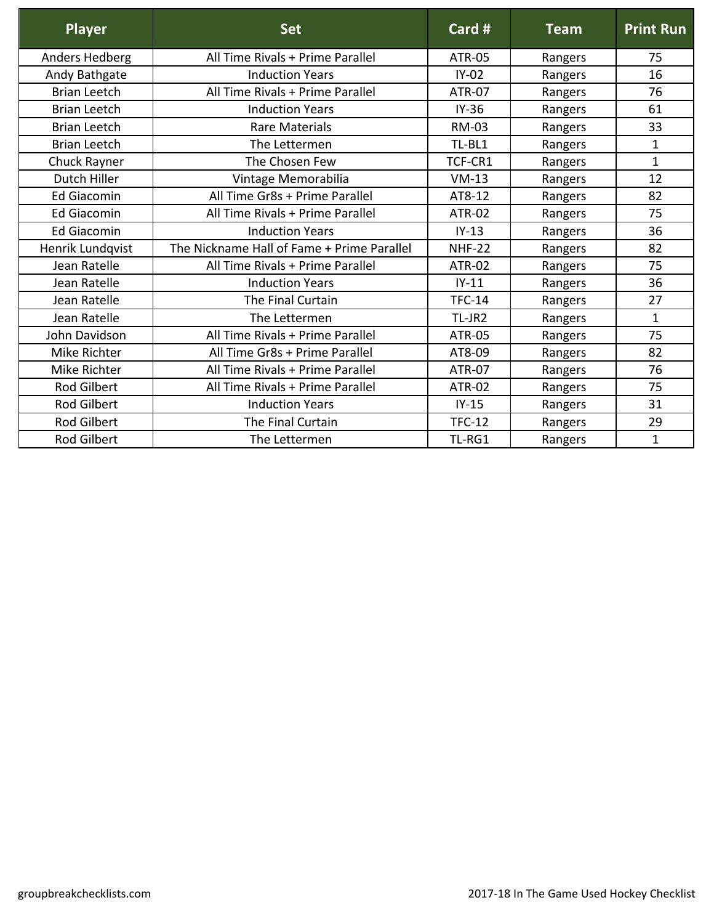| <b>Player</b>       | <b>Set</b>                                 | Card #        | <b>Team</b> | <b>Print Run</b> |
|---------------------|--------------------------------------------|---------------|-------------|------------------|
| Anders Hedberg      | All Time Rivals + Prime Parallel           | ATR-05        | Rangers     | 75               |
| Andy Bathgate       | <b>Induction Years</b>                     | $IY-02$       | Rangers     | 16               |
| <b>Brian Leetch</b> | All Time Rivals + Prime Parallel           | <b>ATR-07</b> | Rangers     | 76               |
| <b>Brian Leetch</b> | <b>Induction Years</b>                     | $IY-36$       | Rangers     | 61               |
| <b>Brian Leetch</b> | <b>Rare Materials</b>                      | <b>RM-03</b>  | Rangers     | 33               |
| <b>Brian Leetch</b> | The Lettermen                              | TL-BL1        | Rangers     | $\mathbf{1}$     |
| Chuck Rayner        | The Chosen Few                             | TCF-CR1       | Rangers     | $\mathbf{1}$     |
| Dutch Hiller        | Vintage Memorabilia                        | $VM-13$       | Rangers     | 12               |
| <b>Ed Giacomin</b>  | All Time Gr8s + Prime Parallel             | AT8-12        | Rangers     | 82               |
| <b>Ed Giacomin</b>  | All Time Rivals + Prime Parallel           | <b>ATR-02</b> | Rangers     | 75               |
| <b>Ed Giacomin</b>  | <b>Induction Years</b>                     | $IY-13$       | Rangers     | 36               |
| Henrik Lundqvist    | The Nickname Hall of Fame + Prime Parallel | <b>NHF-22</b> | Rangers     | 82               |
| Jean Ratelle        | All Time Rivals + Prime Parallel           | <b>ATR-02</b> | Rangers     | 75               |
| Jean Ratelle        | <b>Induction Years</b>                     | $IY-11$       | Rangers     | 36               |
| Jean Ratelle        | The Final Curtain                          | <b>TFC-14</b> | Rangers     | 27               |
| Jean Ratelle        | The Lettermen                              | TL-JR2        | Rangers     | $\mathbf{1}$     |
| John Davidson       | All Time Rivals + Prime Parallel           | <b>ATR-05</b> | Rangers     | 75               |
| Mike Richter        | All Time Gr8s + Prime Parallel             | AT8-09        | Rangers     | 82               |
| Mike Richter        | All Time Rivals + Prime Parallel           | <b>ATR-07</b> | Rangers     | 76               |
| <b>Rod Gilbert</b>  | All Time Rivals + Prime Parallel           | <b>ATR-02</b> | Rangers     | 75               |
| <b>Rod Gilbert</b>  | <b>Induction Years</b>                     | $IY-15$       | Rangers     | 31               |
| <b>Rod Gilbert</b>  | The Final Curtain                          | <b>TFC-12</b> | Rangers     | 29               |
| <b>Rod Gilbert</b>  | The Lettermen                              | TL-RG1        | Rangers     | 1                |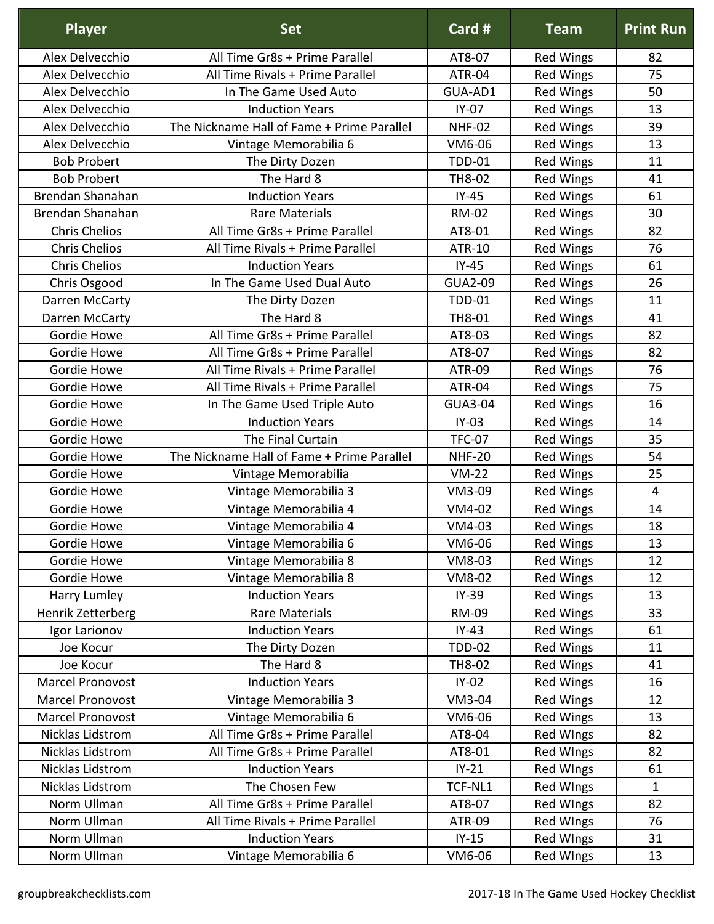| <b>Player</b>           | <b>Set</b>                                 | Card #         | <b>Team</b>      | <b>Print Run</b> |
|-------------------------|--------------------------------------------|----------------|------------------|------------------|
| Alex Delvecchio         | All Time Gr8s + Prime Parallel             | AT8-07         | <b>Red Wings</b> | 82               |
| Alex Delvecchio         | All Time Rivals + Prime Parallel           | <b>ATR-04</b>  | <b>Red Wings</b> | 75               |
| Alex Delvecchio         | In The Game Used Auto                      | GUA-AD1        | <b>Red Wings</b> | 50               |
| Alex Delvecchio         | <b>Induction Years</b>                     | $IY-07$        | <b>Red Wings</b> | 13               |
| Alex Delvecchio         | The Nickname Hall of Fame + Prime Parallel | <b>NHF-02</b>  | <b>Red Wings</b> | 39               |
| Alex Delvecchio         | Vintage Memorabilia 6                      | VM6-06         | <b>Red Wings</b> | 13               |
| <b>Bob Probert</b>      | The Dirty Dozen                            | <b>TDD-01</b>  | <b>Red Wings</b> | 11               |
| <b>Bob Probert</b>      | The Hard 8                                 | TH8-02         | <b>Red Wings</b> | 41               |
| Brendan Shanahan        | <b>Induction Years</b>                     | $IY-45$        | <b>Red Wings</b> | 61               |
| Brendan Shanahan        | <b>Rare Materials</b>                      | <b>RM-02</b>   | <b>Red Wings</b> | 30               |
| <b>Chris Chelios</b>    | All Time Gr8s + Prime Parallel             | AT8-01         | <b>Red Wings</b> | 82               |
| <b>Chris Chelios</b>    | All Time Rivals + Prime Parallel           | <b>ATR-10</b>  | <b>Red Wings</b> | 76               |
| <b>Chris Chelios</b>    | <b>Induction Years</b>                     | $IY-45$        | <b>Red Wings</b> | 61               |
| Chris Osgood            | In The Game Used Dual Auto                 | <b>GUA2-09</b> | <b>Red Wings</b> | 26               |
| Darren McCarty          | The Dirty Dozen                            | <b>TDD-01</b>  | <b>Red Wings</b> | 11               |
| Darren McCarty          | The Hard 8                                 | TH8-01         | <b>Red Wings</b> | 41               |
| Gordie Howe             | All Time Gr8s + Prime Parallel             | AT8-03         | <b>Red Wings</b> | 82               |
| Gordie Howe             | All Time Gr8s + Prime Parallel             | AT8-07         | <b>Red Wings</b> | 82               |
| Gordie Howe             | All Time Rivals + Prime Parallel           | ATR-09         | <b>Red Wings</b> | 76               |
| Gordie Howe             | All Time Rivals + Prime Parallel           | ATR-04         | <b>Red Wings</b> | 75               |
| Gordie Howe             | In The Game Used Triple Auto               | <b>GUA3-04</b> | <b>Red Wings</b> | 16               |
| Gordie Howe             | <b>Induction Years</b>                     | $IY-03$        | <b>Red Wings</b> | 14               |
| Gordie Howe             | The Final Curtain                          | <b>TFC-07</b>  | <b>Red Wings</b> | 35               |
| Gordie Howe             | The Nickname Hall of Fame + Prime Parallel | <b>NHF-20</b>  | <b>Red Wings</b> | 54               |
| Gordie Howe             | Vintage Memorabilia                        | $VM-22$        | <b>Red Wings</b> | 25               |
| Gordie Howe             | Vintage Memorabilia 3                      | VM3-09         | <b>Red Wings</b> | $\overline{4}$   |
| Gordie Howe             | Vintage Memorabilia 4                      | VM4-02         | <b>Red Wings</b> | 14               |
| Gordie Howe             | Vintage Memorabilia 4                      | VM4-03         | <b>Red Wings</b> | 18               |
| Gordie Howe             | Vintage Memorabilia 6                      | VM6-06         | <b>Red Wings</b> | 13               |
| Gordie Howe             | Vintage Memorabilia 8                      | VM8-03         | <b>Red Wings</b> | 12               |
| Gordie Howe             | Vintage Memorabilia 8                      | <b>VM8-02</b>  | <b>Red Wings</b> | 12               |
| Harry Lumley            | <b>Induction Years</b>                     | $IY-39$        | <b>Red Wings</b> | 13               |
| Henrik Zetterberg       | <b>Rare Materials</b>                      | <b>RM-09</b>   | <b>Red Wings</b> | 33               |
| Igor Larionov           | <b>Induction Years</b>                     | $IY-43$        | <b>Red Wings</b> | 61               |
| Joe Kocur               | The Dirty Dozen                            | <b>TDD-02</b>  | <b>Red Wings</b> | 11               |
| Joe Kocur               | The Hard 8                                 | TH8-02         | <b>Red Wings</b> | 41               |
| Marcel Pronovost        | <b>Induction Years</b>                     | $IY-02$        | <b>Red Wings</b> | 16               |
| <b>Marcel Pronovost</b> | Vintage Memorabilia 3                      | <b>VM3-04</b>  | <b>Red Wings</b> | 12               |
| Marcel Pronovost        | Vintage Memorabilia 6                      | VM6-06         | <b>Red Wings</b> | 13               |
| Nicklas Lidstrom        | All Time Gr8s + Prime Parallel             | AT8-04         | Red WIngs        | 82               |
| Nicklas Lidstrom        | All Time Gr8s + Prime Parallel             | AT8-01         | Red WIngs        | 82               |
| Nicklas Lidstrom        | <b>Induction Years</b>                     | $IY-21$        | Red WIngs        | 61               |
| Nicklas Lidstrom        | The Chosen Few                             | TCF-NL1        | Red WIngs        | $\mathbf 1$      |
| Norm Ullman             | All Time Gr8s + Prime Parallel             | AT8-07         | Red WIngs        | 82               |
| Norm Ullman             | All Time Rivals + Prime Parallel           | ATR-09         | Red WIngs        | 76               |
| Norm Ullman             | <b>Induction Years</b>                     | $IY-15$        | Red WIngs        | 31               |
| Norm Ullman             | Vintage Memorabilia 6                      | VM6-06         | <b>Red WIngs</b> | 13               |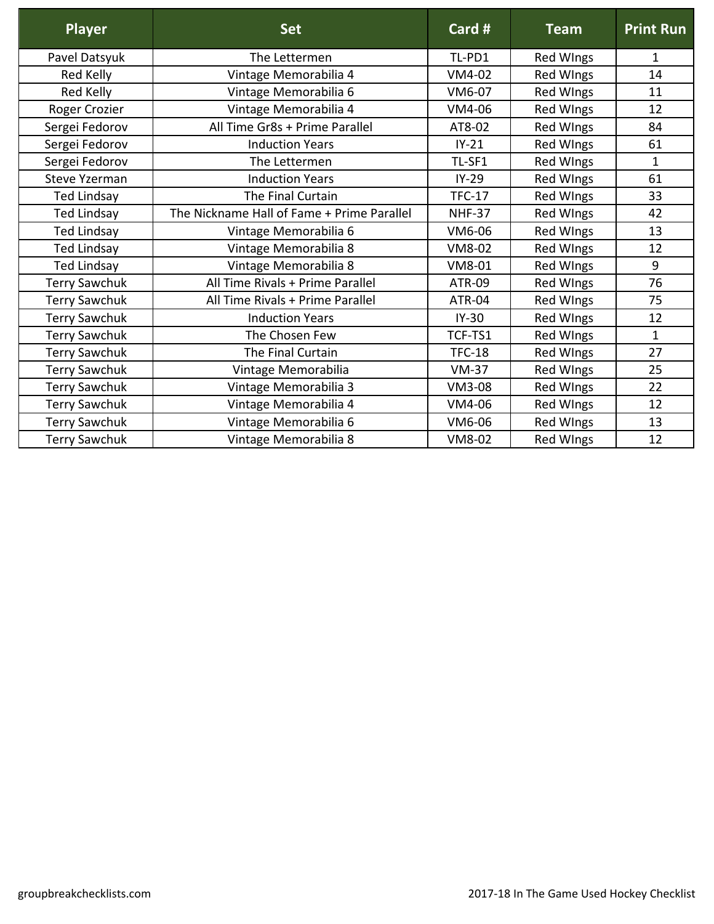| <b>Player</b>        | <b>Set</b>                                 | Card #        | <b>Team</b>      | <b>Print Run</b> |
|----------------------|--------------------------------------------|---------------|------------------|------------------|
| Pavel Datsyuk        | The Lettermen                              | TL-PD1        | <b>Red WIngs</b> | 1                |
| Red Kelly            | Vintage Memorabilia 4                      | VM4-02        | <b>Red WIngs</b> | 14               |
| Red Kelly            | Vintage Memorabilia 6                      | VM6-07        | <b>Red WIngs</b> | 11               |
| Roger Crozier        | Vintage Memorabilia 4                      | VM4-06        | <b>Red WIngs</b> | 12               |
| Sergei Fedorov       | All Time Gr8s + Prime Parallel             | AT8-02        | <b>Red WIngs</b> | 84               |
| Sergei Fedorov       | <b>Induction Years</b>                     | $IY-21$       | Red WIngs        | 61               |
| Sergei Fedorov       | The Lettermen                              | TL-SF1        | <b>Red WIngs</b> | $\mathbf{1}$     |
| <b>Steve Yzerman</b> | <b>Induction Years</b>                     | $IY-29$       | <b>Red WIngs</b> | 61               |
| <b>Ted Lindsay</b>   | The Final Curtain                          | <b>TFC-17</b> | <b>Red WIngs</b> | 33               |
| <b>Ted Lindsay</b>   | The Nickname Hall of Fame + Prime Parallel | <b>NHF-37</b> | <b>Red WIngs</b> | 42               |
| <b>Ted Lindsay</b>   | Vintage Memorabilia 6                      | VM6-06        | <b>Red WIngs</b> | 13               |
| <b>Ted Lindsay</b>   | Vintage Memorabilia 8                      | VM8-02        | <b>Red WIngs</b> | 12               |
| <b>Ted Lindsay</b>   | Vintage Memorabilia 8                      | VM8-01        | <b>Red WIngs</b> | 9                |
| Terry Sawchuk        | All Time Rivals + Prime Parallel           | <b>ATR-09</b> | <b>Red WIngs</b> | 76               |
| <b>Terry Sawchuk</b> | All Time Rivals + Prime Parallel           | ATR-04        | <b>Red WIngs</b> | 75               |
| <b>Terry Sawchuk</b> | <b>Induction Years</b>                     | $IY-30$       | Red WIngs        | 12               |
| <b>Terry Sawchuk</b> | The Chosen Few                             | TCF-TS1       | <b>Red WIngs</b> | $\mathbf{1}$     |
| <b>Terry Sawchuk</b> | The Final Curtain                          | <b>TFC-18</b> | Red WIngs        | 27               |
| <b>Terry Sawchuk</b> | Vintage Memorabilia                        | $VM-37$       | <b>Red WIngs</b> | 25               |
| <b>Terry Sawchuk</b> | Vintage Memorabilia 3                      | <b>VM3-08</b> | Red WIngs        | 22               |
| <b>Terry Sawchuk</b> | Vintage Memorabilia 4                      | VM4-06        | <b>Red WIngs</b> | 12               |
| <b>Terry Sawchuk</b> | Vintage Memorabilia 6                      | VM6-06        | <b>Red WIngs</b> | 13               |
| <b>Terry Sawchuk</b> | Vintage Memorabilia 8                      | <b>VM8-02</b> | <b>Red WIngs</b> | 12               |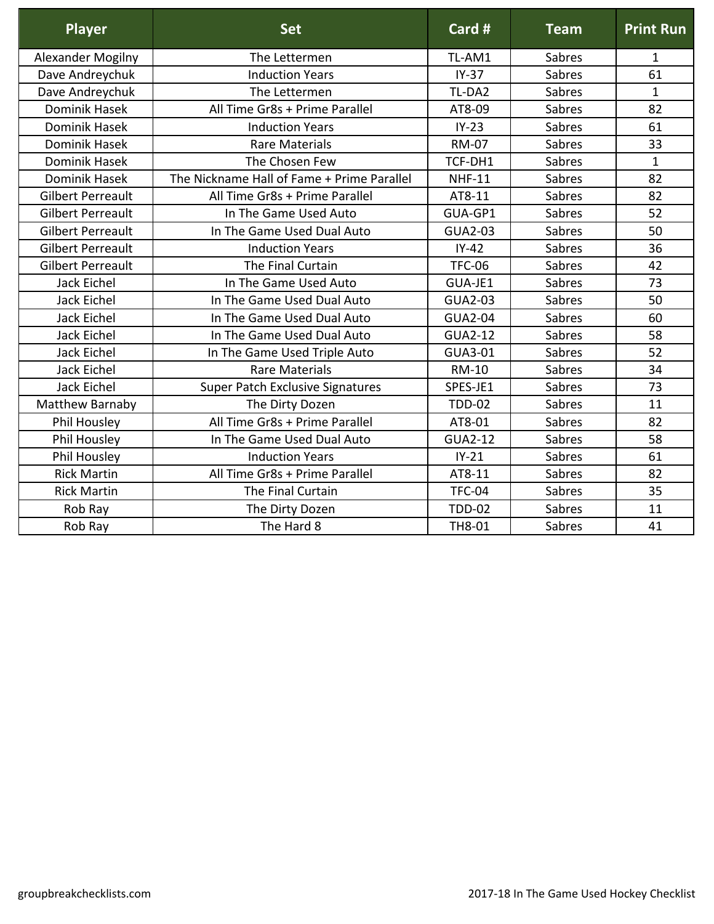| <b>Player</b>            | <b>Set</b>                                 | Card #         | <b>Team</b> | <b>Print Run</b> |
|--------------------------|--------------------------------------------|----------------|-------------|------------------|
| Alexander Mogilny        | The Lettermen                              | TL-AM1         | Sabres      | $\mathbf{1}$     |
| Dave Andreychuk          | <b>Induction Years</b>                     | $IY-37$        | Sabres      | 61               |
| Dave Andreychuk          | The Lettermen                              | TL-DA2         | Sabres      | $\mathbf{1}$     |
| <b>Dominik Hasek</b>     | All Time Gr8s + Prime Parallel             | AT8-09         | Sabres      | 82               |
| <b>Dominik Hasek</b>     | <b>Induction Years</b>                     | $IY-23$        | Sabres      | 61               |
| <b>Dominik Hasek</b>     | <b>Rare Materials</b>                      | <b>RM-07</b>   | Sabres      | 33               |
| <b>Dominik Hasek</b>     | The Chosen Few                             | TCF-DH1        | Sabres      | $\mathbf{1}$     |
| Dominik Hasek            | The Nickname Hall of Fame + Prime Parallel | <b>NHF-11</b>  | Sabres      | 82               |
| <b>Gilbert Perreault</b> | All Time Gr8s + Prime Parallel             | AT8-11         | Sabres      | 82               |
| <b>Gilbert Perreault</b> | In The Game Used Auto                      | GUA-GP1        | Sabres      | 52               |
| <b>Gilbert Perreault</b> | In The Game Used Dual Auto                 | <b>GUA2-03</b> | Sabres      | 50               |
| <b>Gilbert Perreault</b> | <b>Induction Years</b>                     | $IY-42$        | Sabres      | 36               |
| <b>Gilbert Perreault</b> | The Final Curtain                          | <b>TFC-06</b>  | Sabres      | 42               |
| Jack Eichel              | In The Game Used Auto                      | GUA-JE1        | Sabres      | 73               |
| Jack Eichel              | In The Game Used Dual Auto                 | <b>GUA2-03</b> | Sabres      | 50               |
| <b>Jack Eichel</b>       | In The Game Used Dual Auto                 | <b>GUA2-04</b> | Sabres      | 60               |
| Jack Eichel              | In The Game Used Dual Auto                 | <b>GUA2-12</b> | Sabres      | 58               |
| <b>Jack Eichel</b>       | In The Game Used Triple Auto               | GUA3-01        | Sabres      | 52               |
| Jack Eichel              | <b>Rare Materials</b>                      | <b>RM-10</b>   | Sabres      | 34               |
| <b>Jack Eichel</b>       | Super Patch Exclusive Signatures           | SPES-JE1       | Sabres      | 73               |
| Matthew Barnaby          | The Dirty Dozen                            | <b>TDD-02</b>  | Sabres      | 11               |
| Phil Housley             | All Time Gr8s + Prime Parallel             | AT8-01         | Sabres      | 82               |
| Phil Housley             | In The Game Used Dual Auto                 | <b>GUA2-12</b> | Sabres      | 58               |
| Phil Housley             | <b>Induction Years</b>                     | $IY-21$        | Sabres      | 61               |
| <b>Rick Martin</b>       | All Time Gr8s + Prime Parallel             | AT8-11         | Sabres      | 82               |
| <b>Rick Martin</b>       | The Final Curtain                          | <b>TFC-04</b>  | Sabres      | 35               |
| Rob Ray                  | The Dirty Dozen                            | <b>TDD-02</b>  | Sabres      | 11               |
| Rob Ray                  | The Hard 8                                 | TH8-01         | Sabres      | 41               |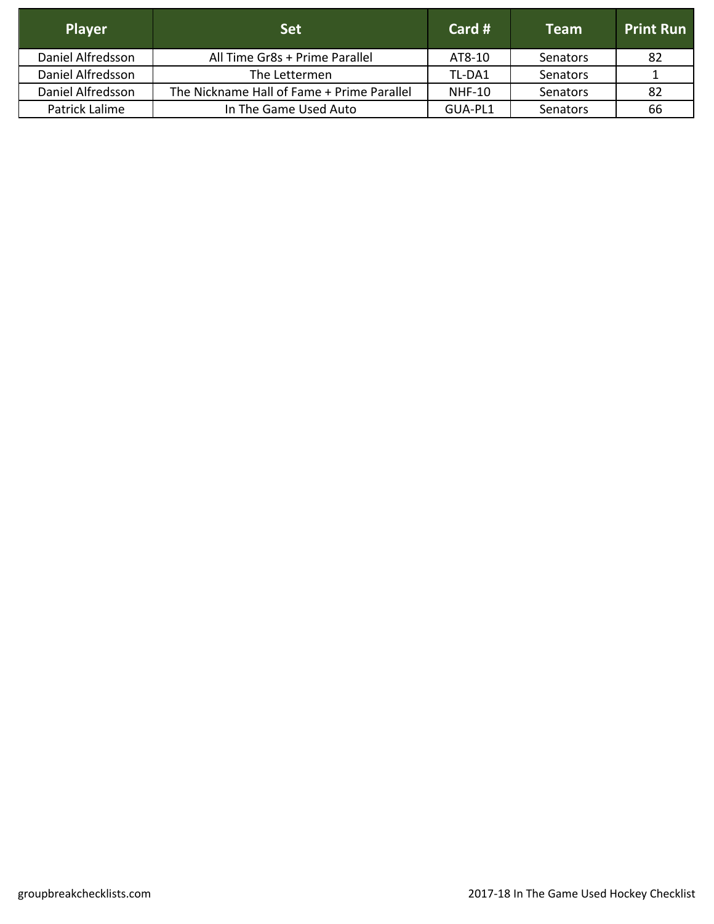| <b>Player</b>     | <b>Set</b>                                 | Card #        | <b>Team</b>     | <b>Print Run</b> |
|-------------------|--------------------------------------------|---------------|-----------------|------------------|
| Daniel Alfredsson | All Time Gr8s + Prime Parallel             | AT8-10        | <b>Senators</b> | 82               |
| Daniel Alfredsson | The Lettermen                              | TL-DA1        | <b>Senators</b> |                  |
| Daniel Alfredsson | The Nickname Hall of Fame + Prime Parallel | <b>NHF-10</b> | Senators        | 82               |
| Patrick Lalime    | In The Game Used Auto                      | GUA-PL1       | <b>Senators</b> | 66               |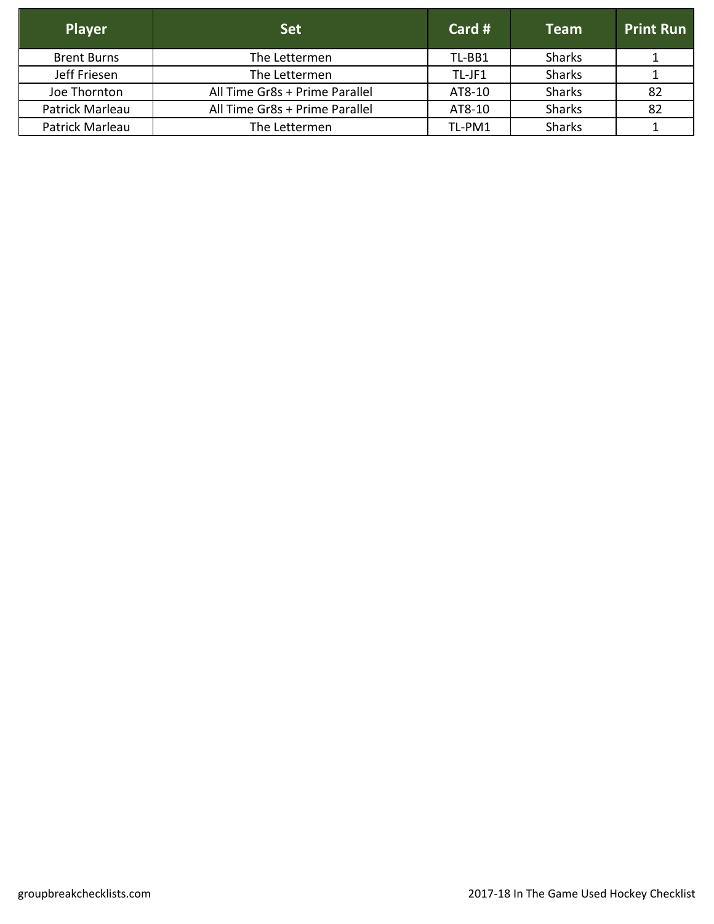| <b>Player</b>      | <b>Set</b>                     | Card # | <b>Team</b>   | <b>Print Run</b> |
|--------------------|--------------------------------|--------|---------------|------------------|
| <b>Brent Burns</b> | The Lettermen                  | TL-BB1 | <b>Sharks</b> |                  |
| Jeff Friesen       | The Lettermen                  | TL-JF1 | <b>Sharks</b> |                  |
| Joe Thornton       | All Time Gr8s + Prime Parallel | AT8-10 | <b>Sharks</b> | 82               |
| Patrick Marleau    | All Time Gr8s + Prime Parallel | AT8-10 | <b>Sharks</b> | 82               |
| Patrick Marleau    | The Lettermen                  | TL-PM1 | <b>Sharks</b> |                  |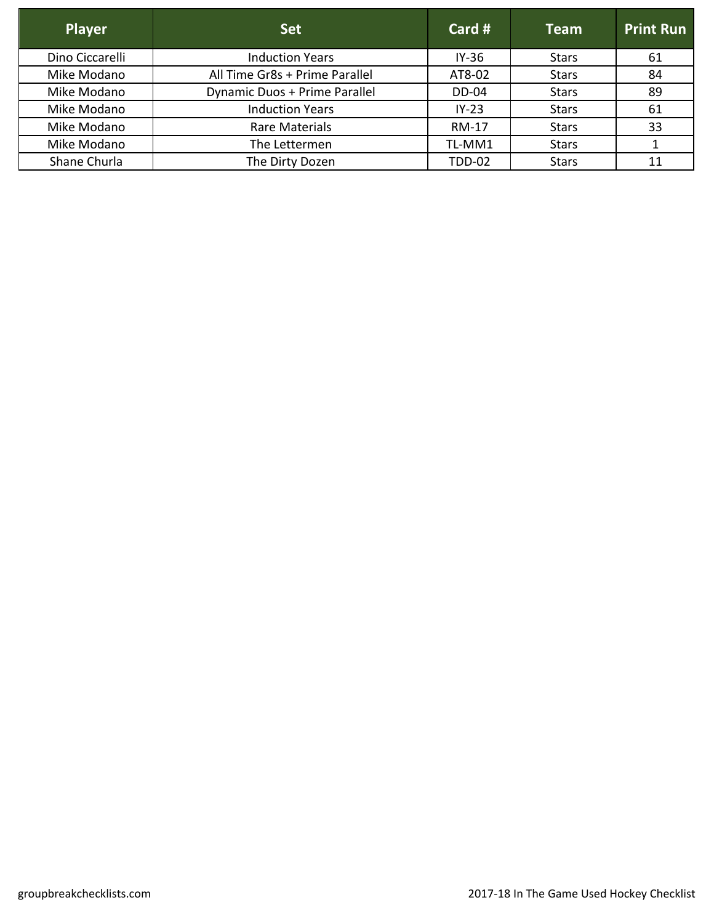| <b>Player</b>   | <b>Set</b>                     | Card #        | <b>Team</b>  | <b>Print Run</b> |
|-----------------|--------------------------------|---------------|--------------|------------------|
| Dino Ciccarelli | <b>Induction Years</b>         | $IY-36$       | <b>Stars</b> | 61               |
| Mike Modano     | All Time Gr8s + Prime Parallel | AT8-02        | <b>Stars</b> | 84               |
| Mike Modano     | Dynamic Duos + Prime Parallel  | <b>DD-04</b>  | <b>Stars</b> | 89               |
| Mike Modano     | <b>Induction Years</b>         | $IY-23$       | <b>Stars</b> | 61               |
| Mike Modano     | Rare Materials                 | <b>RM-17</b>  | <b>Stars</b> | 33               |
| Mike Modano     | The Lettermen                  | TL-MM1        | <b>Stars</b> |                  |
| Shane Churla    | The Dirty Dozen                | <b>TDD-02</b> | <b>Stars</b> | 11               |